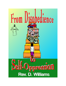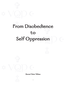

# rc<br>T  $opression$ enc<br>| From Disobedience to Self Oppression

*Reverend Delvert Williams Williams*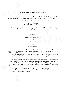#### **Scripture quotations, unless otherwise indicated:**

 lished by the American Bible Society, New York, NY. Used by permission. All rights reserved. Scripture quotations, unles<br>All scripture quotations, unless otherwise indica<br>NKJV®. Copyright© 1979. 1980. 1982 by Thomas N All scripture quotations, unless otherwise indicated, are taken from the New King James Version. NKJV®. Copyright© 1979, 1980, 1982 by Thomas Nelson Publishers. Copy used for this work pub-

> Copyright © 2000 Rev. Delvert Williams (Deceased)

-Darnell © 2 Edited by Teresa Spurling, PhD, NBCT and copyrighted by Charles E. Darnell © 2015, All Rights Reserved

Published by VisionQuest Publishing Campbellsville, Kentucky 42718

Puest Dublishing<br>ille, Kentucky 42718<br> $\downarrow \qquad \qquad \downarrow \qquad \qquad \qquad \downarrow \qquad \qquad \qquad \downarrow \qquad \qquad \downarrow \qquad \qquad \downarrow \qquad \qquad \downarrow \qquad \qquad \downarrow$ 

All rights reserved.

from VisionQuest Publishing will be electronically watermarked. Any page not having this watermark is<br>not an original and should not be accepted as a valid copy of the original copyrighted material.<br>Throughout my works I h means<br>media fo<br>es of dig No portion of this book may be reproduced in any form or by any means in whole or in part without written permission of the publisher. Reproduction for use in electronic media format is also prohibited. Due to copyright infringement and piracy of intellectual property all pages of digital formatted work not an original and should not be accepted as a valid copy of the original copyrighted material.

Throughout my works I have attempted to incorporate supporting scripture for the convenience of the reader. In doing such I may, or may not, follow the appropriate manuscript style as stated in the Fifth Edition of the Publication Manual of the American Psychological Association (APA) or any other accepted which needs to be inserted herein:

manuscript guide. While acknowledging the authority of the APA there is a clause used in the stated manual<br>which needs to be inserted herein:<br>The Publication Manual presents explicit style requirements but acknowledges tha alternatives are sometimes necessary; authors should balance the rules of the Publication The Publication Manual presents explicit style requirements but acknowledges that Manual with good judgment. Preface: p. xx.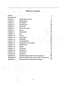## **Table of Contents**

 $\ddot{\mathbf{r}}$ 

| <b>Table of Contents</b> |                     |                                                    |              |
|--------------------------|---------------------|----------------------------------------------------|--------------|
|                          |                     |                                                    |              |
|                          | <b>Preface</b>      |                                                    | $\mathbf{1}$ |
|                          | <b>Introduction</b> |                                                    | 3            |
|                          | <b>Chapter 1</b>    | <b>Disobedience is Sin</b>                         | 5            |
|                          | <b>Chapter 2</b>    | <b>Disobedience</b>                                | 12           |
|                          | <b>Chapter 3</b>    | <b>Revelation</b>                                  | 17           |
|                          | <b>Chapter 4</b>    | <b>Justification</b>                               | 20           |
|                          | <b>Chapter 5</b>    | <b>Innocence</b>                                   | 24           |
|                          | <b>Chapter 6</b>    | <b>Our Adversaries</b>                             | 29           |
|                          | <b>Chapter 7</b>    | <b>Satan</b>                                       | 32           |
|                          | <b>Chapter 8</b>    | <b>Temptation</b>                                  | 39           |
|                          | <b>Chapter 9</b>    | <b>Sin</b>                                         | 41           |
|                          | <b>Chapter 10</b>   | <b>Prayer</b>                                      | 44           |
|                          | <b>Chapter 11</b>   | <b>Holy Spirit</b>                                 | 53           |
|                          | <b>Chapter 12</b>   | <b>Suffering</b>                                   | 62           |
|                          | <b>Chapter 13</b>   | <b>Condemnation</b>                                | 66           |
|                          | <b>Chapter 14</b>   | <b>Imputation (Accusation)</b>                     | 67           |
|                          | <b>Chapter 15</b>   | <b>Punishment</b>                                  | 69           |
|                          | <b>Chapter 16</b>   | <b>Death</b>                                       | 72           |
|                          | <b>Chapter 17</b>   | <b>The Dead</b>                                    | 74           |
|                          | <b>Chapter 18</b>   | <b>Obedience</b>                                   | 77           |
|                          | <b>Chapter 19</b>   | <b>Atonement</b>                                   | 79           |
|                          | <b>Chapter 20</b>   | <b>Salvation</b>                                   | 82           |
|                          | <b>Appendix A</b>   | <b>Finding Help in Special Circumstances</b>       | 89           |
|                          | <b>Appendix B</b>   | <b>What the Bible Says About God's Forgiveness</b> | 93           |
|                          | <b>Appendix C</b>   | <b>Experiencing Troublesome Feelings</b>           | 95           |

iii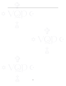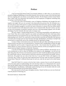## **Preface**

I first met Reverend Delvert (Del to his fri<br>ployed by Doghouse Publishing in Louisville, Kentu<br>and very outgoing and I was always at ease talking<br>ship. It didn't take very long before Del told the re and very outgoing and I was always at ease talking with him. We developed an almost instant friend-I first met Reverend Delvert (Del to his friends) Williams in 1993 when we were both employed by Doghouse Publishing in Louisville, Kentucky. Del was short of statue, full of the Holy Spirit ship. It didn't take very long before Del told the rest of the employees at Doghouse something fishy was going on and therefore he quit.

> the tria<br>again. I<br>we were<br>lennedy<br>less in o the way Mr. Kennedy managed to convince the State of Kentucky to advance him one million dollars<br>to start a business in one of the depressed counties of our Commonwealth. The state's money, our time,<br>our pay, the investmen It was the trial of Mr. Fred Kennedy, owner of Doghouse Publishing, that brought Del and I together once again. Del was very accurate in his observation the previous year. Mr. Kennedy was a con man and we were all his pawns in a game of fraud that took much from a group of people. Along to start a business in one of the depressed counties of our Commonwealth. The state's money, our time, our pay, the investments of potential customers and even a thriving printing company were all taken advantage of by Mr. Kennedy. But God works in strange ways!

of the other party in our friendship and a complete lack of<br>or hours between Louisville and Nashville, later between<br>veen LaGrange and Bardstown, Kentucky. It seemed God<br>dule toward our individual writings.<br>were disclosed Del and I began a running dialog between us concerning interpretations and applications of God's Word. Why were we able to speak to one another and understand each other when many others professed hatred for God, hatred for the race of the other party in our friendship and a complete lack of understanding God's Word? We would talk for hours between Louisville and Nashville, later between Louisville and LaGrange and even later between LaGrange and Bardstown, Kentucky. It seemed God moved both of us physically and on His schedule toward our individual writings.

 Walter Malone at Canaan Christian Church in Louisville, Kentucky and the encouragement for Del to In many of those conversations facts were disclosed with each other concerning our previous lifetime journey and where our own path had led us. I learned of Del's membership in a band, the night club temptations and the results it impacted upon his life. I also learned about the guidance of Dr. attend American Baptist Seminary in Nashville, Tennessee.

his written books with me, with the specific instruction to get this one presented to his people: African-<br>Americans. His people may not want to hear from me, I was just Del's friend, who happens to be<br>Caucasian. But, I as une enco<br>Villiams<br><u>Reverence</u><br>Was de I can tell you honestly that the Reverend in this book is Delvert Williams. He basically says so in his introduction as well as where he introduces the student he calls: Reverend. I can tell you one other thing about Del. He knew God and freely praised God. Del's health was deteriorating and he left Americans. His people may not want to hear from me, I was just Del's friend, who happens to be Caucasian. But, I assure you Del and I both understood that God only made one blood for mankind: human blood. There isn't a different blood type for each race, only the one type for the whole human race!

across the major points of understanding who God a<br>may find the simple truth of God and His plan for m<br>tion, Redemption, Sanctification, Justification and E<br>of God and presented here by Reverend Delvert Will<br>Del, may you l Read Del's book! It is concise in the fact that it takes a journey from sin and self oppression across the major points of understanding who God and Jesus really are. It demonstrates how anyone may find the simple truth of God and His plan for mankind's salvation through His Son Jesus. Salvation, Redemption, Sanctification, Justification and Everlasting Life are all recorded within the words of God and presented here by Reverend Delvert William.

 Del, may you live in God's grace throughout eternity. I thank God that you were my friend and I had the pleasure of knowing you.

res E. L Reverend Charles E. Darnell, PhD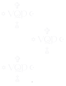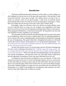#### **Introduction**

Introduced a the Second Second Second Section 2.1 This book is based upon personal experience after reading it, do not say you are too far got come back, however, I never gave up hope. after reading it, do not say you are too far gone and cannot return. I did not think I could This book is based upon personal experiences of the author, so while reading it or come back, however, I never gave up hope. Life without Christ is not life at all, it is merely an existence. That was not good enough. I could never be satisfied without possessing the full rich life of serving my Savior and enjoying his saving grace. I knew there was a better life only because at one time I had it and I wanted it back.

he full<br>better l<br>rfully,<br>ad this Archives to remain<br>ion. The ke<br>e must lear Prayerfully, I hope you will know what to do, and how to remain obedient when you have read this book, or at least you can recognize your disobedience and repent before you reach a severe level of self-oppression and deprivation. The key word is prayer. Before going into disobedience, we become less prayerful. We must learn to be more and more thankful everyday, regardless of our situations.

be overemphasized. Allow me to name a couple reasons: First, we should be thankful for God's creation of the world, including humans. David reminds us in Psalm 100 concerning the area of thanksgiving. The apostle John tell God for His work in Creation. In Revelation 4:11, we are given this song of praise: *"You* The importance of spiritual benefits through thanksgiving in our prayer life cannot God's creation of the world, including humans. David reminds us in Psalm 100 concerning the area of thanksgiving. The apostle John tells us throughout all eternity we will thank *are worthy, O Lord, to receive glory and honor and power; for You created all things, and by Your will they exist and were created."*

Second, John informs us that our second song in heaven will feature thanksgiving<br>for God's work in redemption: Revelation 5:9, "And they sang a new song, saying, 'You<br>are worthy to take the scroll, and to open its seals; f Second, John informs us that our second song in heaven will feature thanksgiving for God's work in redemption: Revelation 5:9, *"And they sang a new song, saying, 'You are worthy to take the scroll, and to open its seals; for You were slain, and have redeemed* trail of pride, disobedience, and separation from God, that finally leads to deprivation and self-oppression. Presuming of course, that same individual loves the Lord.

that it is not worth the going. What I have four<br>of my heart. Nothing compares to living ever<br>His presence. It is a walk of joy and glory far<br>will ever find. Don't believe me! Try Him for de, disobec<br>ppression. I<br>mmend, or<br>success, bu<br>tle choice a I commend, or send, the journey of obedience to you, not because it is full of fun and quick success, but because it is what God through Scripture calls us to, and because we have little choice as servants except to obey the will of the Father. This does not mean that it is not worth the going. What I have found on the way answers the deepest hungers of my heart. Nothing compares to living every day reconciled with God and filled with His presence. It is a walk of joy and glory far exceeding any other adventure you and I will ever find. Don't believe me! Try Him for yourself.

3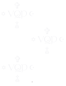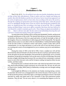#### **Chapter 1 Disobedience is Sin**

washir<br>undan<br>wuld b<br>these t **Disobedier**<br>Titus 3:3-8, 10-11, *For we ourselves were verying various lusts and pleasures, living if*<br>another. But when the kindness and the love of *serving various lusts and pleasures, living in malice and envy, hateful and hating one critat tife.*<br>those who<br>are good<br>nonition, kn Titus 3:3-8, 10-11, *For we ourselves were also once foolish, disobedient, deceived, another. But when the kindness and the love of God our Savior toward man appeared, not by works of righteousness which we have done, but according to His mercy He saved us, through the washing of regeneration and renewing of the Holy Spirit, whom He poured out on us abundantly through Jesus Christ our Savior, that having been justified by His grace we should become heirs according to the hope of eternal life. This is a faithful saying, and these things I want you to affirm constantly, that those who have believed in God should be careful to maintain good works. These things are good and profitable to men. . . . Reject a divisive man after the first and second admonition, knowing that such a person is warped and sinning, being self-condemned.*

The Apostle Paul advises us of our past and informs<br>grace and mercy of God, He has made us heirs of<br>s still a large part of the Christian life. The Apostle<br>the sin of disobedience. God has the foreknowledge<br>ontact with sin further advises us how to warn others of the sin of disobedience. God has the foreknowledge At some point in the Christian walk we all become disobedient, foolish, and deceived by people and pleasures of this world. The Apostle Paul advises us of our past and informs us therefore, that because of the love, grace and mercy of God, He has made us heirs of His kingdom. However, disobedience is still a large part of the Christian life. The Apostle of the fact that if there is continuous contact with sinners, sooner or later, there will be contamination. It is my hope and prayer, as well as the will of God, this book will serve as a warning and a source of encouragement for you to continue your service and obedience to God.

eption he bot<br>he just did<br>happy with<br>nly a few tip<br>d then wea as a warning and a source of encouragement for you to continue your service and obedience<br>to God.<br>During the winter of 1991 to the fall of 1992, I knew a student (we will call him<br>Reverend) that allowed himself to be decei During the winter of 1991 to the fall of 1992, I knew a student (we will call him In this deception he became disobedient. Reverend did not intentionally arrive at foolish deceptions, he just did not remember God was the source of all his rich blessings. Reverend became so happy with things that his prayer life was reduced from continuing or continual prayer to only a few times per week, and his Scripture reading, having been daily, became weekly, and then weakly.

Reverend became so infused with the it<br>him, that he allowed them to push God slowly<br>to Church every Sunday, Bible Study on Wed<br>had changed.<br>God brought the difference to his atten Reverend became so infused with the items with which he had asked God to bless him, that he allowed them to push God slowly out of his daily life. Oh sure, he still went to Church every Sunday, Bible Study on Wednesday evenings and even thought nothing had changed.

r ure pr<br>weeks<br>ney all he did not feel the presence of the Holy Spirit, so he began searching for answers. Reverend God brought the difference to his attention one Sunday morning during a sermon he preached. Reverend was so disappointed in the sermon because it had no power, and searched for weeks and asked some of his classmates if they had experienced similar situations. They all said, "Do not worry about it, it is something that happens to all of us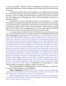r another." at one time or another." However, it had never happened to him before, so he was not satisfied with their answers. Finally, he began to pray and ask God why. Reverend received no answers.

It still amazes me that when we have problems we are willing to look everywhere<br>but to self. Three weeks later, Reverend was blessed to preach again and he experienced<br>the same, no power, no filling of the Holy Spirit. It the same, no power, no filling of the Holy Spirit. It caused him to question his spiritual It still amazes me that when we have problems we are willing to look everywhere but to self. Three weeks later, Reverend was blessed to preach again and he experienced refused to believe it.

ence 1s<br>a trou<br>d some<br>validit Disobedience is not just something one hears of or reads about, it is a reality. to question the validity and the essence of all my experiences, rather than just accepting<br>them. Some of course, were accomplished my way. I have spent many hours debating<br>with the Lord. In the end I learned that only The Disobedience is a troubled and burdensome experience which Christians have personally encountered and some more than others. I personally have always been a person who had them. Some of course, were accomplished my way. I have spent many hours debating with the Lord. In the end I learned that only The Lord's way will work!

through the<br>teousness<br>an's offens<br>lan's righte<br>prone man's ne Mar<br>h the c<br>nation,<br>the on *much more the grace of God and the gift by the grace of the one Man, Jesus Christ,* 2-19, Therefore, just as through one man sin<br>and thus death spread to all men, because all<br>world, but sin is not imputed when there is no<br>a to Moses, even over those who had not sinned<br>ion of Adam, who is a type of Him wh I am certain there are others like myself who find it necessary to blaze your own trail in your Christian life. Even to the extreme sometime of becoming disobedient. Simply stated, disobedience is sin! Romans 5:12-19, *Therefore, just as through one man sin entered the world, and death through sin, and thus death spread to all men, because all sinned—(For until the law sin was in the world, but sin is not imputed when there is no law. Nevertheless death reigned from Adam to Moses, even over those who had not sinned according to the likeness of the transgression of Adam, who is a type of Him who was to come. But the free gift is not like the offense. For if by the one man's offense many died, abounded to many. And the gift is not like that which came through the one who sinned. For the judgment which came from one offense resulted in condemnation, but the free gift which came from many offenses resulted in justification. For if by the one man's offense death reigned through the one, much more those who receive abundance of grace and of the gift of righteousness will reign in life through the One, Jesus Christ.) Therefore, as through one man's offense judgment came to all men, resulting in condemnation, even so through one Man's righteous act the free gift came to all men, resulting in justification of life. For as by one man's disobedience many were made sinners, so also by one Man's obedience many will be made righteous.* Disobedience is an unwillingness to comply with the guidance of authority, especially a neglect of God's will.

with the guidance of authority, especially a neglect of God's will.<br> *Knowing disobedience is rebellion against God and His authority, we should also*<br> *be aware of at least three sources of disobedience:*<br> **Satan's Tempta** Knowing disobedience is rebellion against God and His authority, we should also be aware of at least three sources of disobedience:

 **Satan's Temptations:** Genesis 3:1-13, *Now the serpent was more cunning than God indeed said, 'You shall not eat of every tree of the garden?'"*

And the woman said to the serpent, "We may eat the fruit of the trees of the garden;<br>the fruit of the tree which is in the midst of the garden, God has said, 'You shall not<br>nor shall you touch it, lest you die.'"<br>———————— *but of the fruit of the tree which is in the midst of the garden, God has said, 'You shall not eat it, nor shall you touch it, lest you die.'"*

6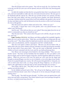n the serpe *Then the serpent said to the woman, "You will not surely die. For God knows that in the day you eat of it your eyes will be opened, and you will be like God, knowing good and evil."*

Adam<br>the gar<br>the Lor<br>said, *the day, and Adam and his wife hid themselves from the presence of the Lord God among* and evil."<br>So when the woman saw that the tree was good for food, that it was pleasant to the<br>eyes, and a tree desirable to make one wise, she took of its fruit and ate. She also gave to<br>her husband with her, and he ate. T *her husband with her, and he ate. Then the eyes of both of them were opened, and they So when the woman saw that the tree was good for food, that it was pleasant to the eyes, and a tree desirable to make one wise, she took of its fruit and ate. She also gave to coverings. And they heard the sound of the Lord God walking in the garden in the cool of the trees of the garden.*

*Then the Lord God called to Adam and said to him, "Where are you?"*

 $\frac{1}{2}$  was afraited values of the set of the set of the set of the set of the set of the set of the set of the set of the set of the set of the set of the set of the set of the set of the set of the set of the set of t *So he said, "I heard Your voice in the garden, and I was afraid because I was naked; and I hid myself."*

*And He said, "Who told you that you were naked? Have you eaten from the tree of which I commanded you that you should not eat?"*

*Then the man said, "The woman whom You gave to be with me, she gave me of the tree, and I ate."*

Aoses and Aaron gathered the assembly together<br>Hear now, you rebels! Must we bring water for you<br>is hand and struck the rock twice with his rod; and<br>ingregation and their animals drank. *out of this rock?" Then Moses lifted his hand and struck the rock twice with his rod; and* **Lust:** Numbers 20:10-24, *And Moses and Aaron gathered the assembly together before the rock; and he said to them, "Hear now, you rebels! Must we bring water for you water came out abundantly, and the congregation and their animals drank.*

ut not t<br>of Mei<br>red am<br>f Edon<br>us hol *hallow Me in the eyes of the children of Israel, therefore you shall not bring this assembly Then the Lord spoke to Moses and Aaron, "Because you did not believe Me, to into the land which I have given them." This was the water of Meribah, because the children of Israel contended with the Lord, and He was hallowed among them.*

aet: You F<br>ypt, and we<br>Then we cr<br>up out of E<br>us pass thre *Now Moses sent messengers from Kadesh to the king of Edom. "Thus says your brother Israel: 'You know all the hardship that has befallen us, how our fathers went down to Egypt, and we dwelt in Egypt a long time, and the Egyptians afflicted us and our fathers. When we cried out to the Lord, He heard our voice and sent the Angel and brought us up out of Egypt; now here we are in Kadesh, a city on the edge of your border. Please let us pass through your country. We will not pass through fields or vineyards, nor will we drink water from wells; we will go along the King's Highway; we will not turn aside to the right hand or to the left until we have passed through your territory.'"*

*Then Edom said to him, "You shall not pass through my land, lest I come out against you with the sword."*

aside to the right hand or to the left until we have passed through your territory."<br>
Then Edom said to him, "You shall not pass through my land, lest I come out<br>
against you with the sword."<br>
So the children of Israel sai *So the children of Israel said to him, "We will go by the Highway, and if I or my nothing more."*

> Then he said, "You shall not pass through." So Edom came out against them with<br>men and with a strong hand. Thus Edom refused to give Israel passage through his<br>ry; so Israel turned away from him. *many men and with a strong hand. Thus Edom refused to give Israel passage through his territory; so Israel turned away from him.*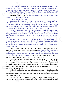of the land of Edom, saying: "Aaron shall be gati<br>the land which I have given to the children of I<br>word at the water of Meribah."<br>**Rebellion:** 1 Samuel 15:16-23, Then Samu<br>you what the Lord said to me last night." *Then the children of Israel, the whole congregation, journeyed from Kadesh and came to Mount Hor. And the Lord spoke to Moses and Aaron in Mount Hor by the border of the land of Edom, saying: "Aaron shall be gathered to his people, for he shall not enter the land which I have given to the children of Israel, because you rebelled against My word at the water of Meribah."*

 **Rebellion:** 1 Samuel 15:16-23, *Then Samuel said to Saul, "Be quiet! And I will tell you what the Lord said to me last night."*

*And he said to him, "Speak on."*

et said,<br>' And d<br>ind sai<br>itil the *So Samuel said, "When you were little in your own eyes, were you not head of the tribes of Israel? And did not the Lord anoint you king over Israel? Now the Lord sent you on a mission, and said, 'Go, and utterly destroy the sinners, the Amalekites, and fight against them until they are consumed.' Why then did you not obey the voice of the Lord? Why did you swoop down on the spoil, and do evil in the sight of the Lord?"*

by the voice<br>of the Lord:<br>he Lord, an<br>of Amalek;<br>een and oxe *And Saul said to Samuel, "But I have obeyed the voice of the Lord, and gone on the mission on which the Lord sent me, and brought back Agag king of Amalek; I have utterly destroyed the Amalekites. But the people took of the plunder, sheep and oxen, the best of the things which should have been utterly destroyed, to sacrifice to the Lord your God in Gilgal."*

destroyed, to sacrifice to the Lord your God in<br>great delight in burnt offerings and sacrifices,<br>ld, to obey is better than sacrifice, and to heed<br>the sin of witchcraft, and stubbornness is as *So Samuel said: "Has the Lord as great delight in burnt offerings and sacrifices, as in obeying the voice of the Lord? Behold, to obey is better than sacrifice, and to heed than the fat of rams. For rebellion is as the sin of witchcraft, and stubbornness is as iniquity and idolatry. Because you have rejected the word of the Lord, He also has rejected you from being king."*

*a what yo*<br>*bu may be*<br>**nal desires**<br>**nd, made clinary to be** Satan.<br>
ion ha.<br>
l not a Most of us are always willing to blame our disobedience on Satan. Satan can only tempt us, he cannot make us sin: 1 Corinthians 10:13, *No temptation has overtaken you except such as is common to man; but God is faithful, who will not allow you to be tempted beyond what you are able, but with the temptation will also make the way of escape, that you may be able to bear it.* Most of the time the reason for disobedience is our own personal desires, which are not the desires or the will of God.

he had to obtain full-time and part-time employme<br>led him toward the direction of further financial of<br>still, the lust of, material things.<br>God had blessed him with such an abundant<br>from whence cometh his help and success. Reverend, made chaos of the plan God had originally designed for him. God sent him to the seminary to become better equipped for service to Him and His people. During the latter part of his Junior year, he decided to move off campus. In moving off campus, he had to obtain full-time and part-time employment and get an apartment. That of course, led him toward the direction of further financial obligations, due to the need of, or better still, the lust of, material things.

 God had blessed him with such an abundant life, that somehow he failed to remember from whence cometh his help and success. Due to declining health, he thought he was left with no choice but to drop out of school, and work full-time to survive the financial grave he had dug for himself.

g for h<br>do it<br>is disol Trying to do it on his own without God, he buried himself deeper into selfoppression. In his disobedience, he began to lose faith, and became separated from God,

8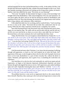Experience<br>
The Povernor<br>
The Povernor and had forgotten the fact that God had blessed him so richly. In the midst of all this, God decided that Reverend needed His help, whether Reverend thought he did or not. Early one Saturday morning as Reverend was looking out his living-room window, he heard a familiar voice that called him by name, "Reverend, are you listening?"

 been a long, arduous, and continuous valley experience. one Saturday morning as Reverend was look<br>familiar voice that called him by name, "Rev<br>"Yes Lord," he replied. At that momen<br>brought forth of his disobedience. After ackr<br>was given again, the peace and joy he had brought forth of his disobedience. After acknowledgment of his sins and repentance, he "Yes Lord," he replied. At that moment he began to weep at the knowledge God was given again, the peace and joy he had lost during his period of disobedience and separation from God. Since that morning, the trip back to his original status with God has

arduo<br>asked<br>live in<br>a God, Folks asked him daily how he was doing, and he would tell them, "God is teaching me how to live in the valley." Reverend did not think they understood what he was

saying. With God, the valley experience should not be a complaint, but a praise.<br>Since that morning (Praise God), Reverend's life with Christ has been much<br>Again, he can sing the song, "*He walks with me and He talks with* Since that morning (Praise God), Reverend's life with Christ has been much closer. Again, he can sing the song, "*He walks with me and He talks with me, and He tells me I am His very own, and the joy we share as we tarry there, none other has ever known*."1 Reverend knew as his days continued, the Lord would help him draw closer.

 *him and honor him. With long life I will satisfy him, and show him My salvation."* Praise ecognize as David did the fact: Psalms 91:1-2, He<br>Most High shall abide under the shadow of the<br>my refuge and my fortress; My God, in Him I will<br>lms 91:14-16, "Because he has set his love upon<br>set him on high, because he h *trust."* I can also hear God saying: Psalms 91:14-16, *"Because he has set his love upon* Today, like Reverend, I too can recognize as David did the fact: Psalms 91:1-2, *He who dwells in the secret place of the Most High shall abide under the shadow of the Almighty. I will say of the Lord, "He is my refuge and my fortress; My God, in Him I will Me, therefore I will deliver him; I will set him on high, because he has known My name. He shall call upon Me, and I will answer him; I will be with him in trouble; I will deliver* God!

of this type<br>we God, d<br>erefore, sel<br>.<br>time those  $\lim_{t \to \infty} My$ <br>true m<br>to writ Like Reverend and many other Christians, I, too, know the true meaning of suffering through self-oppression, so much so, the Lord inspired me to write this book. Selfoppression of this type, is only brought on those who love the Lord. In people who do not know or love God, disobedience is a part of their everyday life, without the desire to repent. Therefore, self-oppression, due to guilt of sin, is something the world does not experience.

because the guilt and anguish becomes so severe. Self-oppression, puts undue hardships<br>upon one's-self. Especially knowing that Jesus said: Matthew 11:28-30, "Come to Me,<br>all you who labor and are heavy laden, and I will g *and learn from Me, for I am gentle and lowly in heart, and you will find rest for your* Any time those of us who love the Lord continually sin, and do not repent and ask forgiveness, we begin to feel dejected, depressed, disheartened, dispirited, and alone upon one's-self. Especially knowing that Jesus said: Matthew 11:28-30, *"Come to Me, all you who labor and are heavy laden, and I will give you rest. Take My yoke upon you souls. For My yoke is easy and My burden is light."*

> him or herself. Therefore, they cannot go to the Lord and ask forgiveness to return to the<br>
> <sup>1</sup>In The Garden, Charles Austin Miles, 1868-1946, published 1913, ©Public Domain. The problem however, is one can be so oppressed, that he or she cannot absolve

1 *In The Garden*, Charles Austin Miles, 1868-1946, published 1913, ©Public Domain.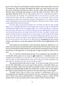*by the commandment, deceived me, and by it killed me. Therefore the law is holy, and the* they are too ashamed of what they have done. Ju<br>that they know would hurt their parents, it hu<br>oppression. Romans 7:8-19, *But sin, taking oppo*<br>in me all manner of evil desire. For apart from<br>without the law, but when the *in me all manner of evil desire. For apart from the law sin was dead. I was alive once* Since one grace of God. Since one cannot forgive oneself, it becomes almost impossible to ask God for forgiveness. Due to the guilt and anguish felt within, one cannot stand to face God, they are too ashamed of what they have done. Just like a child, when something is done that they know would hurt their parents, it hurts the child to tell them. This is selfoppression. Romans 7:8-19, *But sin, taking opportunity by the commandment, produced without the law, but when the commandment came, sin revived and I died. And the commandment, which was to bring life, I found to bring death. For sin, taking occasion commandment holy and just and good.*

dment,<br>holy ar<br>s prodi<br>s . my flesh) nothing good dwells; for to will is<br>is good I do not find. For the good that I will to<br>o, that I practice. Disobedience is sin, sin is an<br>ses God and His work of righteousness in the so that singlends so that the lay<br>derstand. For do what I v *Has then what is good become death to me? Certainly not! But sin, that it might appear sin, was producing death in me through what is good, so that sin through the commandment might become exceedingly sinful. For we know that the law is spiritual, but I am carnal, sold under sin. For what I am doing, I do not understand. For what I will to do, that I do not practice; but what I hate, that I do. If, then, I do what I will not to do, I agree with the law that it is good. But now, it is no longer I who do it, but sin that dwells in me. For I know that in me (that is, in my flesh) nothing good dwells; for to will is present with me, but how to perform what is good I do not find. For the good that I will to* do, I do not do; but the evil I will not to do, that I practice. Disobedience is sin, sin is an evilness, and evilness is a force that opposes God and His work of righteousness in the world.

d, fam<br>iself to<br>elf, he point of almost hatred, and sometimes there is hatred: hatred of God, family, friends, and Such intense fear and bitterness is there during the oppression. Bitterness is to a self. Reverend stated he hated himself for what he had allowed himself to believe and do, but because of self-oppression or not being able to forgive himself, he could not face God.

could have<br>nd has given<br>sovertaken<br>you to be t<br>way of esc Yes, we could have blamed Satan because of our temptations, but God holds us accountable and has given us an escape in **all** temptations: 1 Corinthians 10:13, *No temptation has overtaken you except such as is common to man; but God is faithful, who* will not allow you to be tempted beyond what you are able, but with the temptation will *also make the way of escape, that you may be able to bear it.*

The question nowever that comes to find<br>use it? Only individually can we each answer through our human nature, feel the need to sore<br>drudgery, and sometimes that includes our Christ<br>that which we feel we believe has caused that which we feel we believe has caused us to become imprisoned, or discouraged. The question however that comes to mind—if we have an escape, why do we not use it? Only individually can we each answer that question. I personally believe we, through our human nature, feel the need to sometimes remove ourselves from life's drudgery, and sometimes that includes our Christian life. In other words, to rebel against

way al<br>e are o discouragement, but a freedom of true expression. However, sometimes we feel the human Through Christ, what we have is not a prison or confinement, nor is it a need to break away and do something else or something wrong for a while. We tell ourselves that we are only human and can only accept so much of what life offers.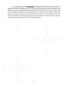within us, we too are part Divine. Peter said: 2<br>to us all things that pertain to life and godi<br>called us by glory and virtue, by which has<br>precious promises, that through these you me<br>escaped the corruption that is in the *precious promises, that through these you may be partakers of the divine nature, having* so easy to It is so easy to say we are **only human**. The problem with that answer of course, is that God is Divine. Therefore, since we are part of Him and have the Holy Spirit living within us, we too are part Divine. Peter said: 2 Peter 1:3-4, *As His divine power has given to us all things that pertain to life and godliness, through the knowledge of Him who called us by glory and virtue, by which have been given to us exceedingly great and escaped the corruption that is in the world through lust.*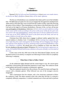#### **Chapter 2 Disobedience**

**Disobedie**<br>Romans 5:19, For as by one man's disobed<br>so also by one Man's obedience (Jesus) many w *so also by one Man's obedience* (Jesus) *many will be made righteous.* Romans 5:19*, For as by one man's disobedience* (Adam) *many were made sinners,*

does no<br>felt wh<br>to foll<br>the stage the fiest about<br>this, we have<br>*u* once *wall*<br>of the air, *i*<br>nce conduc The first act of disobedience was committed when Adam and Eve ate of the forbidden fruit. The Bible does not speak of it, but can you imagine the self-oppression and depression Adam and Eve felt when they were evicted from the Garden of Eden, especially knowing the pains of life to follow? Their disobedience set the desire of the flesh above the will of God and set the stage for all human disobedience. Because of this, we have all become sons and daughters of disobedience. Ephesians. 2:2-3, *In which you once walked according to the course of this world, according to the prince of the power of the air, the spirit who now works in the sons of disobedience, among whom also we all once conducted ourselves in the lusts of our flesh, fulfilling the desires of the flesh and of the mind, and were by nature children of wrath, just as the others.*

e <u>obedient to the point of death</u>. Philippians 2:8, And being found in appearance as<br>The humbled Himself and became obedient to the point of death, even the death of<br>I read a story in the July 1992 issue of the *Our Daily* s.<br>
engage in spiritual warfare against their own<br>
nthians 10:5-6, Casting down arguments and<br>
the knowledge of God, bringing every thought<br>
nd being ready to punish all disobedience when Christians have little choice but to engage in spiritual warfare against their own natural tendency to disobey God. 2 Corinthians 10:5-6, *Casting down arguments and every high thing that exalts itself against the knowledge of God, bringing every thought into captivity to the obedience of Christ, and being ready to punish all disobedience when your obedience is fulfilled.* We should aim to be as obedient as Christ was when He became obedient to the point of death. Philippians 2:8, *And being found in appearance as a man, He humbled Himself and became obedient to the point of death, even the death of the cross.*

decided to print it in its entirety. It compares our following of Christ to that of a symphony<br>following a conductor:<br>**What Does it Take to Follow Christ?** following a conductor:

#### **What Does it Take to Follow Christ?**

As the auditorium lights dimmed and the ended their conversations and turned their attention<br>to the podium and bowed in response to enthusize<br>Then the conductor turned to face the orch-<br>concert with a dramatic gesture. Wha As the auditorium lights dimmed and the curtain began to rise, the concert-goers ended their conversations and turned their attention to center stage. The conductor strode to the podium and bowed in response to enthusiastic applause.

Then the conductor turned to face the orchestra. He raised his baton and began the concert with a dramatic gesture. What followed was one of the strangest concerts imaginable.

difficial<br>lead. T<br>rent co After a harmonious first few minutes, only a few musicians continued to follow the conductor's lead. The others seemed to play only when they felt like it, or played a completely different composition. A violinist sauntered out in front and tried to perform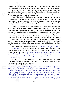had writte a piece he had written himself. A trombonist broke into a jazz number. Chaos reigned. The audience sat for several minutes in stunned silence, then walked out in disbelief.

Fortunately, the scene described above<br>to play in a symphony orchestra simply do r<br>agreement they will follow the conductor's lea<br>who all just happened to be playing at the same<br>Unfortunately, we who have declared of who all just happened to be playing at the same time. Fortunately, the scene described above is fictitious. Skilled musicians who agree to play in a symphony orchestra simply do not behave that way. They sign on with the agreement they will follow the conductor's lead. They are part of a symphony, not soloists

ncy to<br>n God's<br>ife.<br>ugh w have a tendency to want to direct our own lives. Our goals take on greater importance and Unfortunately, we who have declared ourselves to be followers of Christ sometimes behave as members of that imaginary orchestra. We may not like to think so, but we all urgency than God's goals for us. We act as though God is supposedly to help us get what we want in life.

on the cros<br>ted. We may<br>in lives. He<br>to do is wh Although we are thankful for what Christ did for us on the cross, and we gladly accepted His offer of forgiveness, we may have gotten distracted. We may have forgotten as part of His symphony, we are to submit to His direction in our lives. He is the Conductor, the Head, the King whom we serve. Doing what He wants us to do is what our new life is all about. He longs to lead us through a life that will demonstrate to a watching audience, the unbelieving world, that we know what it means to be His people. He wants us to demonstrate the validity of our profession of faith by walking with Him in obedience.

what it means to be His people. He wants us to<br>ion of faith by walking with Him in obedience.<br>or's lead has four elements: (1) dependence, (2)<br>will depend on Christ as a vine does on the branch,<br>come, as near as possible, risk, (3) loyalty, and (4) imitation. We will depend on Christ as a vine does on the branch, A life that follows the Conductor's lead has four elements: (1) dependence, (2) trust Him, remain true to Him, and become, as near as possible, like Him in everything we do.

*m, with tha<br>ich surpas<br>us.*<br>e first chap<br>me of the o esists the<br>e becon<br>cive fo<br>verythi James, the brother of Christ said: James 4:6, *. . . "God resists the proud, but gives grace to the humble."* Perhaps you are thinking, how does one become humble? Being thankful does it! What Paul told the Philippians is also conducive for Christians today. He said: Philippians 4:6-7, *Be anxious for nothing, but in everything by prayer and supplication, with thanksgiving, let your requests be made known to God: and the peace of God, which surpasses all understanding, will guard your hearts and minds through Christ Jesus.*

In the first chapter, only three sources of disobedience was mentioned, now I shall mention some of the consequences of disobedience. They are death, exclusion from the promise land, the defeat of Israel and doom.

l and th<br>is not l *gift is not like the offense. For if by the one man's offense many died, much more the* **Death:** Romans 5:12-19, *Therefore, jus*<br>and death through sin, and thus death spread<br>the law sin was in the world, but sin is not in<br>death reigned from Adam to Moses, even over<br>likeness of the transgression of Adam, who *death reigned from Adam to Moses, even over those who had not sinned according to the* **Death**: Romans 5:12-19, *Therefore, just as through one man sin entered the world, and death through sin, and thus death spread to all men, because all sinned—(For until the law sin was in the world, but sin is not imputed when there is no law. Nevertheless likeness of the transgression of Adam, who is a type of Him who was to come. But the free grace of God and the gift by the grace of the one Man, Jesus Christ, abounded to many. And the gift is not like that which came through the one who sinned. For the judgment*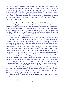through the one, much more those who receive<br>righteousness will reign in life through the One,<br>man's offense judgment came to all men, resultin<br>Man's righteous act the free gift came to all men<br>by one man's disobedience ma *Man's righteous act the free gift came to all men, resulting in justification of life. For as* and the set of the set of the set of the set of the set of the set of the set of the set of the set of the set of the set of the set of the set of the set of the set of the set of the set of the set of the set of the set o *which came from one offense resulted in condemnation, but the free gift which came from many offenses resulted in justification. For if by the one man's offense death reigned through the one, much more those who receive abundance of grace and of the gift of righteousness will reign in life through the One, Jesus Christ.) Therefore, as through one man's offense judgment came to all men, resulting in condemnation, even so through one by one man's disobedience many were made sinners, so also by one Man's obedience many will be made righteous.*

n Fron<br>My glo<br>the test *have put Me to the test now these ten times, and have not heeded My voice, they certainly shall not see the land of which I swore to their fathers, nor shall any of those who rejected Me see it. But My servant Caleb, beca* **Exclusion From the Promise Land**: Numbers 14:26-39, *"Because all these men who have seen My glory and the signs which I did in Egypt and in the wilderness, and shall not see the land of which I swore to their fathers, nor shall any of those who rejected Me see it. But My servant Caleb, because he has a different spirit in him and has followed Me fully, I will bring into the land where he went, and his descendants shall inherit it. Now the Amalekites and the Canaanites dwell in the valley; tomorrow turn and move out into the wilderness by the Way of the Red Sea."*

congregation who are gamered together against the. In this widerness they shall be consumed, and there they shall die.'" Now the men whom Moses sent to spy out the land, who returned and made all the congregation complain *plague before the Lord. But Joshua the son of Nun and Caleb the son of Jephunneh is wildern*<br>*ar the brur*<br>*cording to<br>day you sl*<br>*ction. I th* entire number, from twenty years old and above. Except for Caleb the son of Jephunneh<br>and Joshua the son of Nun, you shall by no means enter the land which I swore I would<br>make you dwell in. But your little ones, whom you *entire number, from twenty years old and above. Except for Caleb the son of Jephunneh* Sea."<br>aron, saying, "How long shall I bear with this<br>Me? I have heard the complaints which the<br>o them, 'As I live,' says the Lord, 'just as you<br>ou: The carcasses of you who have complained *And the Lord spoke to Moses and Aaron, saying, "How long shall I bear with this evil congregation who complain against Me? I have heard the complaints which the children of Israel make against Me. Say to them, 'As I live,' says the Lord, 'just as you have spoken in My hearing, so I will do to you: The carcasses of you who have complained against Me shall fall in this wilderness, all of you who were numbered, according to your and Joshua the son of Nun, you shall by no means enter the land which I swore I would make you dwell in. But your little ones, whom you said would be victims, I will bring in, shall fall in this wilderness. And your sons shall be shepherds in the wilderness forty years, and bear the brunt of your infidelity, until your carcasses are consumed in the wilderness. According to the number of the days in which you spied out the land, forty days, for each day you shall bear your guilt one year, namely forty years, and you shall know My rejection. I the Lord have spoken this; I will surely do so to all this evil congregation who are gathered together against Me. In this wilderness they shall be who returned and made all the congregation complain against him by bringing a bad report of the land, those very men who brought the evil report about the land, died by the remained alive, of the men who went to spy out the land.*

 *Then Moses told these words to all the children of Israel, and the people mourned greatly.*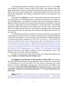Egypt and He delivered them to a region of n<br>report of the spies was true enough, but it is<br>infected the congregation. Their anxiety crea<br>before them.<br>The proposal was **refused**. It was late e iceless private A priceless privilege has been offered, refused, and lost in verses 22-23. The **offer** was the glory of all lands. Canaan, the gift of their Father, who redeemed them from Egypt and He delivered them to a region of milk and honey (liberty and rest). The initial report of the spies was true enough, but it represented skepticism and fears that soon infected the congregation. Their anxiety created panic! However, God's proposal is still before them.

gh pra<br>day? T<br>o indic<br>refuse heart. Through prayer, why could they not realize what was insurmountable yesterday is deliberately refused the proposal of the Promise Land. Just like today, sinners would<br>believe a lie rather than the truth. They would rather be mistaken in their reasoning and<br>revolt against God, the One whom they know has The proposal was **refused**. It was late evening when the spies gave their report and by morning there was a dissenting reaction, a powerful reaction, but not a contrition of applicable today? The quarrel of the devoted Caleb and Joshua was ineffectual. The parish was ready to indict Moses and slay the faithful two, Caleb and Joshua. The multitude believe a lie rather than the truth. They would rather be mistaken in their reasoning and revolt against God, the One whom they know has been their help in a time of need—the only true God.

*do not*<br>*do lead*<br>gener *commit sin not leading to death. There is sin leading to death. I do not say that he should* er, Moses intervened, but he could not shield them<br>hristians must realize there are indeed boundaries<br>:1, *Then the Lord said to me, "Even if Moses and<br>ld not be favorable toward this people. Cast them*<br>1 John 5:16-17, *If Samuel stood before Me, My mind would not be favorable toward this people. Cast them* God decided to defend His two dedicated witnesses and servants, and proclaimed a lethal sentence upon the rest. However, Moses intervened, but he could not shield them or himself from possible loss. We as Christians must realize there are indeed boundaries to our intercessory prayer. Jeremiah 15:1, *Then the Lord said to me, "Even if Moses and out of My sight, and let them go forth."* 1 John 5:16-17, *If anyone sees his brother sinning a sin which does not lead to death, he will ask, and He will give him life for those who pray about that. All unrighteousness is sin, and there is sin not leading to death.* The proposal God made to the children of Israel was lost to that generation. Why? Only because of the lack of faith, which is disobedience.

The offer was lost because of fear and non-belief, which induced disobedience and brought **death** and **exclusion from the Promise Land.**

t is impossible for as to fove and follow ev<br>because it involves: disobedience, thankless<br>lowest quests. The causes of desertion of fait<br>and comfort, endurance of a corrupt and immediately<br>lower order. The offer was lost because of fear and non-belief, which induced disobedience and<br>brought **death** and **exclusion from the Promise Land.**<br>The **<u>Defeat</u> of Israel Because of the Desertion of Their Faith:** The nature of<br>deser **The Defeat of Israel Because of the Desertion of Their Faith:** The nature of it is impossible for us to love and follow evil. The remorse of deserting God is great because it involves: disobedience, thanklessness, and the fall from the Highest to the lowest quests. **The causes of desertion of faith are:** substandard learning, a state of ease and comfort, endurance of a corrupt and immoral life, and the natural enticements of the lower order.

> lay of t<br>rn to w **Doom**: Ezekiel 7:7, 13, *Doom has come to you, you who dwell in the land; the time has come, a day of trouble is near, and not of rejoicing in the mountains. . . . For the seller shall not return to what has been sold, though he may still be alive; for the vision concerns*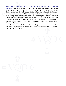not, there is death (doom). Where God is, there is Heaven, and where God is not, there is Never yet has the transgressor escaped, and he<br>shines, vengeance of God will come to the diso<br>sin and punishment are one and the same thing.<br>sin in its very nature is destructive, and can lea<br>Obedience through love cements sin in its very nature is destructive, and can lead to nothing but destruction and doom. <u>litude, and</u><br>litude, and *the whole multitude, and it shall not turn back; no one will strengthen himself who lives in iniquity.* Never yet in the history of men has God failed to vindicate His righteousness. Never yet has the transgressor escaped, and he or she never will. Assuredly as the sun shines, vengeance of God will come to the disobedient. Disobedience is sin. Therefore sin and punishment are one and the same thing. Retribution is simply full-grown sin. So Obedience through love cements and unites, disobedience is transgression, which dissolves and separates. Separation from God is ruin. Where God is, there is life, and where God is the blackest hell.

th (doon)<br>1.<br>1 is wa now while God is waiting, do not continue waiting until death comes. The choice is yours: joy and peace, or doom! Do not continue in disobedience. God is calling all of us to repentance now! Come yours: joy and peace, or doom!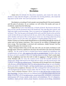### **Chapter 3 Revelation**

**Revel:**<br>Amos 4:13, For behold, He who fore<br>declares to man what his thought is, and may<br>high places of the earth—the Lord God of ho *declares to man what his thought is, and makes the morning darkness, who treads the* Amos 4:13, *For behold, He who forms mountains, and creates the wind, who high places of the earth—the Lord God of hosts is His name.*

> ation is<br>n of sa<br>Learn<br>19:1-0 Revelation is a revealing of God to people concerning Himself, His moral standards, and His plan of salvation. As we continue, we will review His modes and ways of revelations. Learn from the following:

> id. The hea<br>unto day ui<br>nguage wh<br>their words Psalm 19:1-6, *To the Chief Musician. A Psalm of David. The heavens declare the glory of God; and the firmament shows His handiwork. Day unto day utters speech, and night unto night reveals knowledge. There is no speech nor language where their voice is not heard. Their line has gone out through all the earth, and their words to the end of the world. In them He has set a tabernacle for the sun, which is like a bridegroom coming out of his chamber, and rejoices like a strong man to run its race. Its rising is from one end of heaven, and its circuit to the other end; and there is nothing hidden from its heat.*

Equality that is the divide groom coming out<br>ig man to run its race. Its rising is from one end of<br>is and there is nothing hidden from its heat.<br>iself known to all mankind through the marvels of<br>This is proven by our abili nature and in the human conscience. This is proven by our ability to distinguish right Psalms 19 shows us God has made Himself known to all mankind through the marvels of from wrong. This knowledge is universal and continuous, simply because God has displayed His glory for everyone to see.

filled v<br><u>s</u>; full<br><u>aters c</u> *fitting; being filled with all unrighteousness, sexual immorality, wickedness, covetousness,* 1:21, *Because*, *although* <u>they knew God</u>, they <u>di</u><br>but became futile in their thoughts, and <u>their</u><br>Paul spoke of the unrighteous: Romans 1:25,<br>and worshiped and served the creature rathe<br>Amen. Paul's continues: Romans *and worshiped and served the creature rather than the Creator, who is blessed forever. be known of God is manifest in them, for <u>God has shown it to them</u>. Paul's words imply that the unrighteous must have the truth in order to <u>suppress</u> it. Paul goes further and wrote: Romans 1:20, <i>For since the creation* Many Christians believe they are the only ones who can see God's revelation in and through nature. However, unbelievers also know the truth about God. Paul said: Romans 1:18-19, For the wrath of God is revealed from heaven through nature. However, unbelievers also know the truth about God. Paul said: Romans 1:18-19, *For the wrath of God is revealed from heaven against all ungodliness and unrighteousness of men, who suppress the truth in unrighteousness, because what may* that the unrighteous must have the truth in order to suppress it. Paul goes further and wrote: Romans 1:20, *For since the creation of the world His invisible attributes are clearly seen, being understood by the things that are made, even His eternal power and Godhead, so that they are without excuse.* Continuing with his thought Paul wrote: Romans 1:21, *Because, although they knew God, they did not glorify Him as God, nor were thankful, but became futile in their thoughts, and their foolish hearts were darkened.* In verse 25 Paul spoke of the unrighteous: Romans 1:25, *Who exchanged the truth of God for the lie, Amen.* Paul's continues: Romans 1:28-31, *And even as they did not like to retain God in their knowledge, God gave them over to a debased mind, to do those things which are not maliciousness; full of envy, murder, strife, deceit, evil-mindedness; they are whisperers, backbiters, haters of God, violent, proud, boasters, inventors of evil things, disobedient*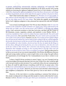unbelievers knowing the righteous judgment (1<br>1:32, Who, knowing the righteous judgment of C<br>are deserving of death, not only do the same but a<br>Paul's final word on this subject is: Roman<br>man, whoever you are who judge, fo <u>ndiscerning</u><br>ndiscerning *to parents, undiscerning, untrustworthy, unloving, unforgiving, and unmerciful.* Paul concludes his statement concerning the unrighteous in the thirty-second verse saying unbelievers knowing the righteous judgment (moral law) of God, disobey it. Romans 1:32, *Who, knowing the righteous judgment of God, that those who practice such things are deserving of death, not only do the same but also approve of those who practice them.*

 before God's righteous judgment is they possessed but rejected the truth that God gave Paul's final word on this subject is: Romans 2:1, *Therefore you are inexcusable, O man, whoever you are who judge, for in whatever you judge another you condemn yourself; for you who judge practice the same things.* The reason the ungodly are inexcusable them.

ghteou<br>now G<br>*world* ng conduct<br>nts of God<br>a result of<br>lge of lovir witnes<br>e day<br>Paul pi<br>he diff *of the law written in their hearts, their conscience also bearing witness, and between* m 29:4, The voice of the Lord is powerful; the<br>s 2:12-16, For as many as have sinned without<br>any as have sinned in the law will be judged by<br>ust in the sight of God, but the doers of the law<br>lo not have the law, by nature *creation of the world His invisible attributes are <u>clearly seen</u>, being understood by the things that are made, even His eternal power and Godhead, so that <u>they are without excuse</u>. God's universal revelation is clear t* Can we know God though nature? Yes! We saw that in Romans 1:20, *For since the things that are made, even His eternal power and Godhead, so that they are without excuse.* God's universal revelation is clear that God exists, and that God, the Creator of the mountains, oceans, vegetation, animals, and mankind, is wise: Psalms 104:24, *O Lord, how manifold are Your works! In wisdom You have made them all. The earth is full of Your possessions.* He is powerful: Psalm 29:4, *The voice of the Lord is powerful; the voice of the Lord is full of majesty.* Romans 2:12-16, *For as many as have sinned without law will also perish without law, and as many as have sinned in the law will be judged by the law (for not the hearers of the law are just in the sight of God, but the doers of the law will be justified; for when Gentiles, who do not have the law, by nature do the things in the law, these, although not having the law, are a law to themselves, who show the work themselves their thoughts accusing or else excusing them) in the day when God will* judge the secrets of men by Jesus Christ, according to my gospel. Paul provides proof to us that we are aware of our own moral responsibility. We all know the difference between right and wrong conduct and have a sense of guilt when we do wrong. Our guilt reflects the requirements of God though the Ten Commandments (Law) that is written in our hearts.

by Jesus all would be right because everything<br>13:34, *A new commandment I give to you, that yo<br>that you also love one another*. However, no one<br>their neighbors as themselves. We have been gi<br>Him. their neighbors as themselves. We have been given by God an inert desire to worship Is there a result of divine revelation in nature? Again, I say yes! If people lived up to the knowledge of loving and obeying God every day of their lives, they would be right with God and would not need salvation. If we would only follow the one command given by Jesus all would be right because everything would fall into its proper place. John 13:34, *A new commandment I give to you, that you love one another; as I have loved you, that you also love one another.* However, no one loves God with their whole being and Him.

that people worship and serve things and other people in creation rather than the Creator.<br>Romans 1:24-25, *Therefore God also gave them up to uncleanness, in the lusts of their*  However, of this inert desire to worship something or someone Paul informs us Romans 1:24-25, *Therefore God also gave them up to uncleanness, in the lusts of their*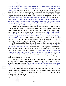own So<br>that the<br>ing to<br>we as *sending His own Son in the likeness of sinful flesh, on account of sin: He condemned sin forever. Amen.* Paul goes further to tell us th which like the Law is holy, just, and good, the lives. The most admirable human being (o uprightness God requires. View the followis Therefore the law is holy, and the comma uprightness God requires. View the following scripture for the proof: Romans 7:12, dishonor the<br>dishonor the *hearts, to dishonor their bodies among themselves, who exchanged the truth of God for the lie, and worshiped and served the creature rather than the Creator, who is blessed forever. Amen.* Paul goes further to tell us the problem does not lie with the revelation, which like the Law is holy, just, and good, the problem is with the sinfulness of human lives. The most admirable human being (other than Jesus Christ), falls short of the *Therefore the law is holy, and the commandment holy and just and good.* And Romans 8:3-4, *For what the law could not do in that it was weak through the flesh, God did by in the flesh, that the righteous requirement of the law might be fulfilled in us who do not walk according to the flesh but according to the Spirit.*

what may be known of God is manifest in them, for<br>lesty, decency and fair and equal treatment in the<br>be completed and complimented by the good news<br>of perfect righteousness.<br>hal revelation of God has occurred in Jesus Chri ency in our<br>ose our spe<br>al principle<br>9, For the When we as Christians defend justice, honesty, and decency in our schools, homes, neighborhoods, businesses, and governments, we do not impose our special beliefs upon others. Paul also states that most of us merely point to universal principles that all sinners know, but suppress in their unrighteousness. Romans 1:18-19, *For the wrath of God is revealed from heaven against all ungodliness and unrighteousness of men, who suppress the truth in unrighteousness, because what may be known of God is manifest in them, for God has shown it to them.* Justice, honesty, decency and fair and equal treatment in the world today is not enough. They must be completed and complimented by the good news of God's mercy and His gracious gift of perfect righteousness.

by the Sp<br>intil we hear<br>the foreverme<br>in 2nd Pet<br>given to sp of the Father, He has declared Him. Christ has <u>declared</u> God to us personally. At the cross<br>Jesus supremely revealed God's self-giving love. We learned that He died: <u>the just for the unjust, that He might bring us to God</u> *of the Father, He has declared Him.* Christ has declared God to us personally. At the cross In John we learned the full and final revelation of God has occurred in Jesus Christ. John 1:18, *No one has seen God at any time. The only begotten Son, who is in the bosom* Jesus supremely revealed God's self-giving love. We learned that He died: the just for the unjust, that He might bring us to God. 1 Peter 3:18, *For Christ also suffered once for sins, made alive by the Spirit.* However, that was just part of the good news, and it is not complete until we hear that He rose again triumphantly over sin, Satan, and the grave, and is alive forevermore. Praise God!

It is in 2nd Peter that we see the content of God's special revelation concerning salvation, given to specially gifted spokespersons (the Apostles). We find it supremely revealed in Christ. 2 Peter 3:2, *That you may be mindful of the words which were spoken Savior.*

no longer say: **I** did not know. *before by the holy prophets, and of the commandment of us, the apostles of the Lord and Savior.*<br>You the reader, now prayerfully understand the revelation of God, and because of this knowledge should have gained the stren this knowledge should have gained the strength which will keep you from self-oppression You the reader, now prayerfully understand the revelation of God, and because of through disobedience, and now begin the walk of obedience. We as a people of God can

May God continue to bless and strengthen you, not only for yourself, but for others<br>1. as well.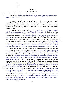## **Chapter 4 Justification**

Justificat<br>
Romans 3:24, *Being justified freely by Hi*.<br> *in Christ Jesus.*  Romans 3:24, *Being justified freely by His grace through the redemption that is in Christ Jesus.*

non thi<br>holy C<br>grace.<br>lled in Justification through Grace is the only way by which we as sinners are made acceptable to a holy God. Paul instructs us in the verse above that Christianity teaches justification by grace. Justification is God's declaration that the demands of His Law death of Christ.

 *who was delivered up because of our offenses, and was raised because of our justification.* e offering He has perfected forever those who<br>Abraham to teach us that justification, then, is<br>if through His blood, and informs us that Jesus<br>His resurrection. Romans 4:23-25, Now it was<br>that it was imputed to him, <u>but a</u> have been fulfilled in the righteousness of His Son. The basis for this justification is the<br>death of Christ.<br>The writer of Hebrews says: Hebrews 10:10, *And by that will, we have been made*<br>holy through the sacrifice of t The writer of Hebrews says: Hebrews 10:10, *And by that will, we have been made holy through the sacrifice of the body of Jesus Christ once for all.* God was in Christ reconciling the world to Himself, not imputing their trespasses to them. This reconciliation covers all sin: Hebrews 10:14, *For by one offering He has perfected forever those who are being sanctified.* Paul uses the faith of Abraham to teach us that justification, then, is based on the work of Christ, accomplished through His blood, and informs us that Jesus brought redemption to His people through His resurrection. Romans 4:23-25, *Now it was not written for his sake alone* (Abraham) *that it was imputed to him, but also for us. It shall be imputed to us who believe in Him who raised up Jesus our Lord from the dead,*

5, . . . . (<br>he pre:<br>uas fait by the Law and the Prophets, even the righteousne<br>to all and on all who believe. God is just because H<br>has been fulfilled in Christ. Acts 13:38-39 NIV,<br>know that through Jesus the forgiveness of sins is p<br>who believes is j *know that through Jesus the forgiveness of sins is proclaimed to you. Through him everyone* righteous<br>Therefore,<br>on, even so<br>stification<br>from the la *use of c*<br>ged to<br>*e made<br>of God* We our taught that when God justifies us, our sins are charged to Christ and God credits the righteousness of Jesus to us. 2 Corinthians 5:21, *For He made Him who knew no sin to be sin for us, that we might become the righteousness of God in Him.* Thus, through Jesus' righteous act, the free gift came to all men, resulting in justification of life. Romans 5:18, *Therefore, as through one man's offense judgment came to all men, resulting in condemnation, even so through one Man's righteous act the free gift came to all men, resulting in justification of life.* Because this righteousness is the righteousness of God which is apart from the law and freely given to all who believe by faith in Jesus. Romans 3:21-22, *But now the righteousness of God apart from the law is revealed, being witnessed by the Law and the Prophets, even the righteousness of God, through faith in Jesus Christ, to all and on all who believe.* God is just because His holy standard of perfect righteousness has been fulfilled in Christ. Acts 13:38-39 NIV, *"Therefore, my brothers, I want you to who believes is justified from everything you could not be justified from by the law of Moses.*" God is the justifier, because this righteousness is freely given to the believer. Romans 3:25-26, *. . . God had passed over the sins that were previously committed, to demonstrate at the present time His righteousness, that He might be just and the justifier of the one who has faith in Jesus.*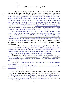#### **Justification by and Through Faith**

iustifie<br>set fori<br>ss, bec<br>ommitt *who believe. For there is no difference; for all have sinned and fall short of the glory of* Although the Lord Jesus has paid the<br>faith and not the lack of faith that He is rece<br>and enjoyed. We clearly see this in Paul's is<br>righteousness of God apart from the law is re<br>Prophets even the righteousness of God three *righteousness of God apart from the law is revealed, being witnessed by the Law and the* ed over the<br>ighteousne<br>fworks? N<br>apart from Although the Lord Jesus has paid the price for our justification, it is through our faith and not the lack of faith that He is received and His righteousness is experienced and enjoyed. We clearly see this in Paul's teaching in Romans 3:21-31, *But now the Prophets, even the righteousness of God, through faith in Jesus Christ, to all and on all God, being justified freely by His grace through the redemption that is in Christ Jesus, whom God set forth as a propitiation by His blood, through faith, to demonstrate His righteousness, because in His forbearance God had passed over the sins that were previously committed, to demonstrate at the present time His righteousness, that He might be just and the justifier of the one who has faith in Jesus.*

who will justify the circumcised by faith and the<br>who will justify the circumcised by faith and the<br>pay make void the law through faith? Certainly not!<br>Paul and John both tell us that faith in Christ is<br>rk of man, but as t considered righteousness, not as the work of man, but as the gift and work of God. Review *Where is boasting then? It is excluded. By what law? Of works? No, but by the law of faith. Therefore we conclude that a man is justified by faith apart from the deeds of the law. Or is He the God of the Jews only? Is He not also the God of the Gentiles? Yes, of the Gentiles also, since there is one God who will justify the circumcised by faith and the uncircumcised through faith. Do we then make void the law through faith? Certainly not! On the contrary, we establish the law.* Paul and John both tell us that faith in Christ is the following:

and it was accounted to him for righteousness." . . . <u>But to him who does not work but</u><br>believes on Him who justifies the ungodly, his faith is accounted for righteousness, . . .<br>Does this blessedness then come upon the c Romans 4:3, 5, and 9, *For what does the Scripture say? "Abraham believed God, believes on Him who justifies the ungodly, his faith is accounted for righteousness, . . . Does this blessedness then come upon the circumcised only, or upon the uncircumcised also? For we say that faith was accounted to Abraham for righteousness.*

Philippians 1:28-29, *And not in any way terrified by your adversaries, which is to* a proof of perdition, but <u>to you of salvation</u>, and that <u>from God</u>. For <u>to you it has granted on behalf of Christ</u>, not only to believ *them a proof of perdition, but to you of salvation, and that from God. For to you it has been granted on behalf of Christ, not only to believe in Him, but also to suffer for His sake.*

John 6:28-29, *Then they said to Him, "What shall we do, that we may work the works of God?"*

works of God?"<br>Jesus answered and said to them, "This<br>whom He sent."<br>The New Testament sometimes seem *Jesus answered and said to them, "This is the work of God, that you believe in Him whom He sent."*

r word<br><u>e doers</u><br>n the si<sub>s</sub> *"For by your words you will be justified, and by your words you will be condemned."* The New Testament sometimes seems to speak of justification by works. For example Jesus spoke of justification (and condemnation) by your words. Matthew 12:37, Paul said: the doers of the law will be justified. Romans 2:13, *For not the hearers of the* law are just in the sight of God, but the doers of the law will be justified. James concluded: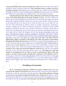warnings in Romans 3:20, *Therefore by the deed*<br>*His sight, for by the law is the knowledge of sin.* G<br>*from Christ, you who attempt to be justified by l*<br>**Galatians informs us the solution to this pr**<br>works of the flesh Fied by works a man is justified by works, and not by faith only. James 2:24, *You see then that a man is justified by works, and not by faith only.* These statements seem to conflict with Paul's warnings in Romans 3:20, *Therefore by the deeds of the law no flesh will be justified in His sight, for by the law is the knowledge of sin.* Galatians 5:4, *You have become estranged from Christ, you who attempt to be justified by law; you have fallen from grace.*

gainst<br>uat you<br>of the<br>utry, so *and the Spirit against the flesh; and these are contrary to one another, so that you do not* Galatians informs us the solution to this problem lies in the distinction between the ther words<br>you have be<br>works, lest<br>or good we *should*<br>*ord*, *Yo*<br>being<br>n is: g *Jesus for good works, which God prepared beforehand that we should walk in them.* First's have crucified the flesh with its passions<br>
S also walk in the Spirit. Not only is Christ's<br>
eliever, but Christ also dwells in the believer<br>
if Christ is in you, the body is dead because of<br>
usness. With the Holy *thursts of v*<br>evelries, and that those<br>of the Spiri works of the flesh and the fruit of the Spirit. Galatians 5:16-25, *I say then: Walk in the Spirit, and you shall not fulfill the lust of the flesh. For the flesh lusts against the Spirit, do the things that you wish. But if you are led by the Spirit, you are not under the law. Now the works of the flesh are evident, which are: adultery, fornication, uncleanness, lewdness, idolatry, sorcery, hatred, contentions, jealousies, outbursts of wrath, selfish ambitions, dissensions, heresies, envy, murders, drunkenness, revelries, and the like; of which I tell you beforehand, just as I also told you in time past, that those who practice such things will not inherit the kingdom of God. But the fruit of the Spirit is love, joy, peace, longsuffering, kindness, goodness, faithfulness, gentleness, self-control. Against such there is no law. And those who are Christ's have crucified the flesh with its passions and desires. If we live in the Spirit, let us also walk in the Spirit.* Not only is Christ's righteousness legally accounted to the believer, but Christ also dwells in the believer through the Holy Spirit. Romans 8:10, *And if Christ is in you, the body is dead because of sin, but the Spirit is life because of righteousness. With* the Holy Spirit's help the believer creates works of faith. Ephesians 2:10, *For we are His workmanship, created in Christ* Certainly God's works may be declared righteous. Isaiah 26:12, *Lord, You will establish peace for us, For You have also done all our works in us.* This being true, then Paul explains to the Ephesians that the order of events in justification is: grace, faith, and works, or, in other words, by grace, through faith, resulting in works. Ephesians 2:8-10, *For by grace you have been saved through faith, and that not of yourselves; it is the gift of God, not of works, lest anyone should boast. For we are His workmanship, created in Christ Jesus for good works, which God prepared beforehand that we should walk in them.*

#### **The Influence of Exoneration**

are just<br>these *H*<br>se *He a*  saved is that we are justified and gloried through Christ. Romans 8:30, *Moreover whom* The Influence of Exoneration<br>By our exoneration (vindication, freedom from guilt or blame) from sin we are<br>saved from the wrath of God: Romans 5:9, *Much more then, having now been justified by*  By our exoneration (vindication, freedom from guilt or blame) from sin we are *His blood, we shall be saved from wrath through Him.* The positive influence of being *He predestined, these He also called; whom He called, these He also justified; and whom He justified, these He also glorified.* Paul especially notes that peace with God and access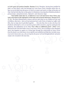have access by faith into this grace in which<br>God. And not only that, but we also glory in trimperseverance; and perseverance, character;<br>Paul further states that we, as believer<br>look to the future to the redemption of His Exercise de la procesa de la procesa de la procesa de la procesa de la procesa de la procesa de la procesa de la procesa de la procesa de la procesa de la procesa de la procesa de la procesa de la procesa de la procesa de to God's grace are positive benefits. Romans 5:1-4, *Therefore, having been justified by faith, we have peace with God through our Lord Jesus Christ, through whom also we have access by faith into this grace in which we stand, and rejoice in hope of the glory of God. And not only that, but we also glory in tribulations, knowing that tribulation produces perseverance; and perseverance, character; and character, hope.*

hen he<br>e may d<br>the Spi<br>e rede *if children, then heirs—heirs of God and joint heirs with Christ, if indeed we suffer with* Paul further states that we, as believers in our Lord and Savior Jesus Christ, may *adoption, the redemption of our body.* Peter offers us additional proof: 1 Peter 1:3-5, *Blessed be the God and Father of our Lord Jesus Christ, who according to His abundant* mercy has begotten us again to a living hope look to the future to the redemption of His body and an eternal inheritance. Romans 8:16- 17, 23, *The Spirit Himself bears witness with our spirit that we are children of God, and Him, that we may also be glorified together. . . . Not only that, but we also who have the firstfruits of the Spirit, even we ourselves groan within ourselves, eagerly waiting for the Blessed be the God and Father of our Lord Jesus Christ, who according to His abundant mercy has begotten us again to a living hope through the resurrection of Jesus Christ from the dead, to an inheritance incorruptible and undefiled and that does not fade away, reserved in heaven for you, who are kept by the power of God through faith for salvation ready to be revealed in the last time.*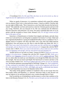## **Chapter 5 Innocence**

Innocen<br>2 Corinthians 5:21, For He made Him wi<br>might become the righteousness of God in Him. 2 Corinthians 5:21, *For He made Him who knew no sin to be sin for us, that we*

e speak<br>e from<br>l Bible<br>tted she perfect with the exception and reared on a farm by Christian parents and never did any wrong. Therefore, she was innocent of sin. She was confused over the difference between innocence and perfection. Of course, the pastor When we speak of innocence, it is sometimes confused with a good life, perhaps even an absence from God or what perfection means. I heard an elderly Christian lady say one night in Bible study, "She is innocent as a new born baby because she had never sinned." She stated she was born and reared on a farm by Christian parents and never did any wrong. Therefore, she was innocent of sin. She was confused over the difference between innocence and perfection. Of course, the pastor explained that none of us are *short of the glory of God.*

re this<br>*ame wa*<br>*mned e*<br>*Noah and upright, and one that feared God, and eschewed evil.* Compare this with the NKJV dom from iniquity and shame, and only Jesus<br>to mankind. In Genesis 3 we learn Adam and<br>ankind thereafter to be in a condition of sin. A<br>at there were a few that God called innocent<br>ere is what the Bible says about Job: Job Innocence, or blamelessness is freedom from iniquity and shame, and only Jesus Christ our Lord and Savior can bring that to mankind. In Genesis 3 we learn Adam and Eve originated disobedience causing all mankind thereafter to be in a condition of sin. A diligent search of scripture will show that there were a few that God called innocent (blameless). One such person was Job. Here is what the Bible says about Job: Job 1:1 KJV, *There was a man in the land of Uz, whose name was Job; and that man was perfect* version: Job 1:1 NKJV, *There was a man in the land of Uz, whose name was Job; and that man was blameless and upright, and one who feared God and shunned evil.*

*nm.* We find the statement concerning Enjan in Zike<br>as they continued on and talked, that suddenly a<br>fire, and separated the two of them; and <u>Elijah</u><br>Surely, God found these two men to be blameles<br>The reality of the spir perfect in his generations. Compare this with the NIV: Genesis 6:9 NIV, *Noah was a* righteous man, *blameless among the people of his time, and he <u>walked with God</u>. There are two others that we could say were blameless e* Another person we can look at is Noah: Genesis 6:9 NKJV, *Noah was a just man, perfect in his generations.* Compare this with the NIV: Genesis 6:9 NIV, *Noah was a righteous man, blameless among the people of his time, and he walked with God.* There are two others that we could say were blameless even though the Bible does not record this outright. The two are Enoch and Elijah! We find Enoch in Genesis and here is the *him.* We find the statement concerning Elijah in 2nd Kings: 2 Kings 2:11, *Then it happened, as they continued on and talked, that suddenly a chariot of fire appeared with horses of fire, and separated the two of them; and Elijah went up by a whirlwind into heaven.* Surely, God found these two men to be blameless before Him.

 may be forgiven of sin and been declared a new creation through faith in Christ. The reality of the spiritual condition of mankind is that no one except Jesus has been totally sinless and blameless, *i.e.* innocent. Innocence today is only because one

Paul records the act of disobedience and the means to correct that condition in his<br>o the Romans. Romans 5:12, 15, *Therefore, just as through one man sin entered the* letter to the Romans. Romans 5:12, 15, *Therefore, just as through one man sin entered the*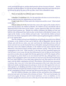death throu *world, and death through sin, and thus death spread to all men, because all sinned. . . . But the free gift is not like the offense. For if by the one man's offense many died, much more the grace of God and the gift by the grace of the one Man, Jesus Christ, abounded to many.*

There are basically four different types of innocence:

of God and the gift by the grace of the one Mar<br>There are basically four different types<br>1 Absolute: 2 Corinthians 5:21, For He l Absolute: 2 Corinthians 5:21, *For He made Him who knew no sin to be sin for us, that we might become the righteousness of God in Him.*

> l Legal: Luke 23:4, *So Pilate said to the chief priests and the crowd, "I find no fault in this Man."*

> ll: Luke<br>"<br>al: Josh<br>of Canc of Gad, ana<br>sive altar. l<br>n, the chila<br>of the land of l Moral: Joshua 22:10-34, *And when they came to the region of the Jordan which is in the land of Canaan, the children of Reuben, the children of Gad, and half the tribe of Manasseh built an altar there by the Jordan—a great, impressive altar. Now the children of Israel heard someone say, "Behold, the children of Reuben, the children of Gad, and half the tribe of Manasseh have built an altar on the frontier of the land of Canaan, in the region of the Jordan—on the children of Israel's side." And when the children of Israel heard of it, the whole congregation of the children of Israel gathered together at Shiloh to go to war against them.*

Example and the ross over to the tand by the tabernacle stands, and take possession among<br>rebel against us, by building yourselves an a.<br>Did not Achan the son of Zerah commit a tresp<br>all the congregation of Israel? And tha *all the congregation of Israel? And that man did not perish alone in his iniquity.'"* an altar, th<br>i for us, fra<br>ie congrega<br>And it shall<br>the whole ud, and<br>ing, "T<br>ve com<br>in that *Then they came to the children of Reuben, to the children of Gad, and to half the tribe of* ie children of Israel gathered together at Shiloh to<br>hinehas the son of Eleazar the priest to the children<br>d to half the tribe of Manasseh, into the land of<br>ruler each from the chief house of every tribe of *of Reuben, to the children of Gad, and to half the tribe of Manasseh, into the land of Then the children of Israel sent Phinehas the son of Eleazar the priest to the children Gilead, and with him ten rulers, one ruler each from the chief house of every tribe of Israel; and each one was the head of the house of his father among the divisions of Israel. Manasseh, to the land of Gilead, and they spoke with them, saying, "Thus says the whole congregation of the Lord: 'What treachery is this that you have committed against the God of Israel, to turn away this day from following the Lord, in that you have built for yourselves an altar, that you might rebel this day against the Lord? Is the iniquity of Peor not enough for us, from which we are not cleansed until this day, although there was a plague in the congregation of the Lord, but that you must turn away this day from following the Lord? And it shall be, if you rebel today against the Lord, that tomorrow He will be angry with the whole congregation of Israel. Nevertheless, if the land of your possession is unclean, then cross over to the land of the possession of the Lord, where the Lord's tabernacle stands, and take possession among us; but do not rebel against the Lord, nor rebel against us, by building yourselves an altar besides the altar of the Lord our God. Did not Achan the son of Zerah commit a trespass in the accursed thing, and wrath fell on*

gods,<br>ainst th *answered and said to the heads of the divisions of Israel: "The Lord God of gods, the Then the children of Reuben, the children of Gad, and half the tribe of Manasseh Lord God of gods, He knows, and let Israel itself know—if it is in rebellion, or if in treachery against the Lord, do not save us this day. If we have built ourselves an altar to*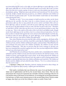done it for fear, for a reason, saying, In time to c<br>descendants, saying, "What have you to do with a<br>made the Jordan a border between you and us,<br>Gad. You have no part in the Lord." So your de<br>cease fearing the Lord." *Gad. You have no part in the Lord." So your descendants would make our descendants* and the last the series of the series of the series of the series of the series of the series of the series of the series of the series of the series of the series of the series of the series of the series of the series of *turn from following the Lord, or if to offer on it burnt offerings or grain offerings, or if to offer peace offerings on it, let the Lord Himself require an account. But in fact we have done it for fear, for a reason, saying, In time to come your descendants may speak to our descendants, saying, "What have you to do with the Lord God of Israel? For the Lord has made the Jordan a border between you and us, you children of Reuben and children of cease fearing the Lord."*

r sacri<br>er us, i<br>with o<br>ur des *offering nor for sacrifice, but that it may be a witness between you and us and our in the Lor*<br>ons in time<br>ur fathers<br>een you and<br>owing the *Therefore we said, "Let us now prepare to build ourselves an altar, not for burnt generations after us, that we may perform the service of the Lord before Him with our burnt offerings, with our sacrifices, and with our peace offerings; that your descendants may not say to our descendants in time to come, You have no part in the Lord." Therefore we said that it will be, when they say this to us or to our generations in time to come, that we may say, "Here is the replica of the altar of the Lord which our fathers made, though not for burnt offerings nor for sacrifices; but it is a witness between you and us. Far be it from us that we should rebel against the Lord, and turn from following the Lord this day, to build an altar for burnt offerings, for grain offerings, or for sacrifices, besides the altar of the Lord our God which is before His tabernacle."*

nong t<br>delive<br>urned fi<br>land at *children of Manasseh, "This day we perceive that the Lord is among us, because you* grain offerings, or for sacrifices, besides the<br>His tabernacle."<br>the rulers of the congregation, the heads of the<br>ard the words that the children of Reuben, the<br>sseh spoke, it pleased them. Then Phinehas the *Now when Phinehas the priest and the rulers of the congregation, the heads of the divisions of Israel who were with him, heard the words that the children of Reuben, the children of Gad, and the children of Manasseh spoke, it pleased them. Then Phinehas the son of Eleazar the priest said to the children of Reuben, the children of Gad, and the have not committed this treachery against the Lord. Now you have delivered the children of Israel out of the hand of the Lord."*

 $\alpha$  and bi<br>ael, and bi<br>children of<br>stroy the la<br>e children *And Phinehas the son of Eleazar the priest, and the rulers, returned from the children of Reuben and the children of Gad, from the land of Gilead to the land of Canaan, to the children of Israel, and brought back word to them. So the thing pleased the children of Israel, and the children of Israel blessed God; they spoke no more of going against them in battle, to destroy the land where the children of Reuben and Gad dwelt. The children of Reuben and the children of Gad called the altar, Witness, "For it is a witness between us that the Lord is God."*

l Spiritual: 2 Peter 3:14, *Therefore, beloved, looking forward to these things, be diligent to be found by Him in peace, without spot and blameless.*

ace of t<br>
e find<br>
ere water<br>
explicitly 1 Spiritual: 2 Peter 3:14, *Therefore, belove*<br>diligent to be found by Him in peace, without spe<br>Paul made a correlation that runs between<br>Adam and of righteousness and life by the seco Paul made a correlation that runs between the cause of sin and death by the first Adam and of righteousness and life by the second Adam, Jesus Christ. This not only characterizes the veracity he expressed, but concludes with the acclaiming of the love of God and the solace of the hearts of true believers. In revealing the reconciliation between God and man, we find a more immense power in the second Adam (Jesus Christ) to make us happy, than there was in the first (Adam) to make us woeful. Praise God!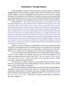#### **Disobedience Through Idolatry**

While disobedience seems to be the pre<br>unrighteousness before God there is another<br>creation. Idolatry is a form of disobedience<br>His people. We can find text in the Bible were<br>into bondage in Babylon and even casts Israel His people. We can find text in the Bible were God gives a divorce to Israel, places Judah While disobedience seems to be the predominate cause for mankind's condition of unrighteousness before God there is another means that God becomes upset with His creation. Idolatry is a form of disobedience and its practices cause God to turn against into bondage in Babylon and even casts Israel out of the promised land because of idolatry. While in the wilderness Israel worshiped an idol, but look at what is recorded in Psalms.

> s 106:<br>nded th<br>idols,<br>ers to a ressed them, and they were brought into subjection<br>ered them; but they rebelled in their counsel, and<br>wertheless He regarded their affliction, when He<br>emembered His covenant, and relented according *heard their cry; and for their sake He remembered His covenant, and relented according n* sacrifice<br>of their son<br>is polluted<br>that He ab Psalms 106:34-45, *They did not destroy the peoples, concerning whom the Lord had commanded them, but they mingled with the Gentiles and learned their works; they served their idols, which became a snare to them. They even sacrificed their sons and their daughters to demons, and shed innocent blood, the blood of their sons and daughters, whom they sacrificed to the idols of Canaan; and the land was polluted with blood. Thus they were defiled by their own works, and played the harlot by their own deeds. Therefore the wrath of the Lord was kindled against His people, so that He abhorred His own inheritance. And He gave them into the hand of the Gentiles, and those who hated them ruled over them. Their enemies also oppressed them, and they were brought into subjection under their hand. Many times He delivered them; but they rebelled in their counsel, and were brought low for their iniquity. Nevertheless He regarded their affliction, when He to the multitude of His mercies.*

ut the **I**<br>ring th<br>r some<br>put the Idolatry is, of course, another sin of disobedience. Israel, once comfortably settled in Palestine, with adequate room for its numbers did not carry out the Divine command to annihilate the Canaanite nations, but was comfortable in sharing the land with them. Today we are content to live in disobedience if it is someone or something we enjoy.

f ease, con<br>re those des<br>ed their cu<br>s contamin<br>instruction It was not compassion that restrained them from casting out the Canaanite nations, but love of ease, comfort, and idleness. This was one of the seven deadly sins. The results were those described in Psalm 106:35 NIV, *"But they mingled with the nations and adopted their customs."* This was the effect of the continuous contact. Wicked connections contaminated good behaviors.

The instruction to eradicate, today, may seem terribly brutal and almost vicious. However, it was based upon God's foreknowledge of the fact, otherwise, there would be contact, and if contact, then contamination.

eart w<br>
bughts. *there your heart will be also."* Knowing the scripture should impact our behavior, However, it was based upon God's foreknowl<br>contact, and if contact, then contamination.<br>The idol they worshiped was Baal prima<br>sometimes even the sun and moon. We tod<br>automobiles, money, houses, our children or sp The idol they worshiped was Baal primarily, along with the nature god and goddess, sometimes even the sun and moon. We today may worship drugs, alcohol, self, our automobiles, money, houses, our children or spouses, our hobbies, anything and everyone but God. We know the Scripture tells us, Matthew 6:21 NIV, *"For where your treasure is,* decisions, thoughts, etc.

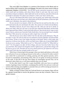understand. Matthew 5:19-34 NIV, "Do not sto<br>where moth and rust destroy, and where thiever<br>yourselves treasures in heaven, where moth and<br>not break in and steal. For where your treasure<br>The eye is the lamp of the body. If *not break in and steal. For where your treasure is, there your heart will be also.* erse taken f This verse taken from Matthew is a portion of the *Sermon on the Mount* and we need to define what is meant by this word treasure. We need a few more verses to help us understand. Matthew 5:19-34 NIV, *"Do not store up for yourselves treasures on earth, where moth and rust destroy, and where thieves break in and steal. But store up for yourselves treasures in heaven, where moth and rust do not destroy, and where thieves do*

 *within you is darkness, how great is that darkness! The eye is the lamp of the body. If your eyes are good, your whole body will be full of light. But if your eyes are bad, your whole body will be full of darkness. If then the light*

*urkness*<br>an serv<br>to the<br>? I tell *No one can serve two masters. Either he will hate the one and love the other, or he will be devoted to the one and despise the other. You cannot serve both God and Money.*

*Therefore I tell you, do not worry about your life, what you will eat or drink; or your body, what you will wear. Is not life more important than food, and the body mportant than clothes? Look at the birds of the air; the about your body, what you will wear. Is not life more important than food, and the body more important than clothes? Look at the birds of the air; they do not sow or reap or store away in barns, and yet your heavenly Father feeds them. Are you not much more valuable than they? Who of you by worrying can add a single hour to his life ?*

n*d all t<br>r tomo*<br>nd acti *you need them. But seek first his kingdom and his righteousness, and all these things will* s? See how the lilies of the field grow. They do<br>n Solomon in all his splendor was dressed like<br>he grass of the field, which is here today and<br>ot much more clothe you, O you of little faith?<br>t?' or 'What shall we drink?' o *And why do you worry about clothes? See how the lilies of the field grow. They do not labor or spin. Yet I tell you that not even Solomon in all his splendor was dressed like one of these. If that is how God clothes the grass of the field, which is here today and tomorrow is thrown into the fire, will he not much more clothe you, O you of little faith? So do not worry, saying, 'What shall we eat?' or 'What shall we drink?' or 'What shall we wear?' For the pagans run after all these things, and your heavenly Father knows that be given to you as well. Therefore do not worry about tomorrow, for tomorrow will worry about itself. Each day has enough trouble of its own."*

e if you are<br>fe is consti<br>aterialism,<br>At the end<br>en from yo What Jesus is instructing in this passage is that your deeds and actions on the earth now will prove if you are storing up treasure on the earth, or in heaven! In other words if your whole life is constructed in working, partying and other general pursuits, and is focused on materialism, and attaining riches, then you are guilty of storing up treasures on the earth. At the end of the day these things are meaningless because they can be destroyed, taken from you, or will mean nothing when you are dead!

matters of getting to know God better, worshiping Him and His Son and your words and<br>actions reflect treating your neighbor as yourself, then you will be storing up treasures in<br>Heaven and these things will be eternal.<br>Sur On the other hand if your life is spent unselfishly with your focus on spiritual actions reflect treating your neighbor as yourself, then you will be storing up treasures in Heaven and these things will be eternal.

 greater treasure. Surely, we know if Jesus Christ our Lord and Savior is our treasure, there will not be a greater reward than to receive the glorious crown one day in heaven. There is no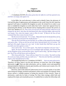#### **Chapter 6 Our Adversaries**

**Our Adv**<br>1 Corinthians 16:9 NIV, *Because a great and there are many who oppose me. and there are many who oppose me.* 1 Corinthians 16:9 NIV, *Because a great door for effective work has opened to me,*

> s plan c<br>d's pla<br>plish hi<br>His id In the Bible, the word adversary is often used to identify Satan, the adversary of ntan later o<br>m to misus<br>i*rit into the<br>l forty nigh<br>'If You are* God and His plan of righteousness and redemption in the world. Since his fall, Satan has opposed God's plan to establish His kingdom on earth. He tricked Eve in order to use man to establish his kingdom on earth rather than God's. Satan later opposed Jesus by questioning His identity as the Messiah and by tempting Him to misuse His powers as God's Son. Matthew 4:1-11, *Then Jesus was led up by the Spirit into the wilderness to be tempted by the devil. And when He had fasted forty days and forty nights, afterward He was hungry. Now when the tempter came to Him, he said, "If You are the Son of God, command that these stones become bread."*

> *But He answered and said, "It is written, 'Man shall not live by bread alone, but by every word that proceeds from the mouth of God.'"*

unition, 'Man shall not live by bread alone, but by<br>uth of God.'"<br>he holy city, set Him on the pinnacle of the temple,<br>FGod, throw Yourself down. For it is written: 'He<br>' and, 'in their hands they shall bear you up, lest *and said to Him, "If You are the Son of God, throw Yourself down. For it is written: 'He Then the devil took Him up into the holy city, set Him on the pinnacle of the temple, shall give His angels charge over you,' and, 'in their hands they shall bear you up, lest you dash your foot against a stone.'"*

*Jesus said to him, "It is written again, 'You shall not tempt the Lord your God.'"*

npt the<br>puntain<br>m, "Al *Again, the devil took Him up on an exceedingly high mountain, and showed Him all the kingdoms of the world and their glory. And he said to Him, "All these things I will give You if You will fall down and worship me."*

*Then Jesus said to him, "Away with you, Satan! For it is written, 'You shall worship*<br>rd your God, and Him only you shall serve.'" Then the devil left Him, and behold,<br>came and ministered to Him.<br>The Apostle Paul told us *the Lord your God, and Him only you shall serve.'" Then the devil left Him, and behold, angels came and ministered to Him.*

adversaries is **self**. There are other adversaries<br>misrepresentation, hindrances, hatred, open host files of these help in our disobedience.<br>However, some of the obstacles (adversand to bring out courage, resolution and pa The Apostle Paul told us in 1 Corinthians 16:9 NKJV, *. . . there are many adversaries.* Therefore, we know Satan is not the only adversary we must face. One of the biggest adversaries is **self**. There are other adversaries, such as, slander, secret and purposeful misrepresentation, hindrances, hatred, open hostility, and violence just to name a few. All of these help in our disobedience.

could<br>s many adversaries, could also be times of testing. For Paul, these testings called forth and However, some of the obstacles (adversaries) serve to test the quality of our labor and to bring out courage, resolution and patience where such qualities are required. Some always answer a valuable purpose in testing the sincerity of the converts. Times of employed his many and remarkable powers. It enabled him to realize his fellowship with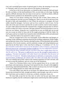romised green<br>onto in at God, and it promised great results of spiritual good. In short, the meaning of verse nine is: Christians, enter in at every door and are to be fearless of adversaries.

In the face of all of our adversaries, we sh<br>He who can help us in the small problems of life<br>against a difficult adversary does not mean to tu<br>position meant a position to be abandoned as qu<br>Some of us are always running position meant a position to be abandoned as quickly as possible. In the face of all of our adversaries, we should be able to keep the faith and stand. He who can help us in the small problems of life, can also help us in the large. Standing against a difficult adversary does not mean to turn and run. God did not think a difficult

y and r<br>be stro<br>e coin (<br>I disco the path of duty and responsibility to God. Where the adversary is strongest, the loyal As I grew older I discovered that life contained trials, struggles and pains that we all have<br>to learn to either live with or overcome. We hope someone will always be there to save us<br>from our own failures. Along the way I Some of us are always running away from the task at hand. These runners are always seeking rest, but they are never finding rest. There is no rest off of and away from soldier should be strongest. God never said our lives would be a bed of roses. On the other side of the coin God never said that life on earth would be a bed of rotten tomatoes. to learn to either live with or overcome. We hope someone will always be there to save us from our own failures. Along the way I realized that no one can really pick me up and save me except my belief in Jesus and all He taught pertaining to God the Father. By God's grace and my two hands I have learned to deal with difficulties in life and understand this is a skill that needs to be mastered in order to survive.

*erefore mo<br>t upon me.<br><u>s, in distre</u><br>ently true o*<br>ot the cond<sup>:</sup> elation<br>xalted<br>night c<br><u>sth is n</u> *lest I should be exalted above measure by the abundance of the revelations, a thorn in the* order to survive.<br>
Frail health, (2) the difficulties and dangers of<br>
wn by his traveling companions, (4) the sudden<br>
ering his plans, (5) the persistent and watchful<br>
sometimes strange and trying limitations put Paul for example had (1) his own frail health, (2) the difficulties and dangers of traveling, (3) the willfulness sometimes shown by his traveling companions, (4) the sudden and unexpected claims of the Churches altering his plans, (5) the persistent and watchful opposition of his Jewish enemies, and (6) sometimes strange and trying limitations put upon him by the Holy Spirit. Is this what Paul is telling us: 2 Corinthians 12:7-10, *And flesh was given to me, a messenger of Satan to buffet me, lest I be exalted above measure. Concerning this thing I pleaded with the Lord three times that it might depart from me. And He said to me, "My grace is sufficient for you, for My strength is made perfect in weakness." Therefore most gladly I will rather boast in my infirmities, that the power of Christ may rest upon me. Therefore I take pleasure in infirmities, in reproaches, in needs, in persecutions, in distresses, for Christ's sake. For when I am weak, then I am strong.* This was evidently true of Paul, which is the common experience of God's servants, and we must accept the conditions, and win virtue out of the limitations.

great hopes and expectations, knowing if God op<br>unswerving, untarnished and effortless. This we fil<br>is also ever making barriers for future faith and s<br>If we only reflect, how often do we see the<br>lessons that increased our Some of us Christians believe since God has opened doors for us, we enter with great hopes and expectations, knowing if God opened the door, the path within **must** be unswerving, untarnished and effortless. This we find is not always true, for God's foresight is also ever making barriers for future faith and strength.

 life's hard times such as death of a loved one, accidents, sicknesses, losses, etc. If we only reflect, how often do we see those very difficult times of our life as but lessons that increased our faith, strength and ability to get through, cope with, or survive

fully a<br>ther, the We must fully accept the fact that, here on earth, God has put open doors and hindrances together, that the combination might nurture and develop the noblest qualities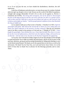ve can pas in us. If we can pass the test, we have eluded the disobedience, therefore, the selfoppression.

 *to help us and to fight our battles." And the people gained confidence from what Hezekiah* In the face of hindrances and adversaries<br>and never give up, but give over to God. Alwardstrength and courage. Remember if God is<br>Chronicles 32:7-8 NIV, "Be strong and cour<br>because of the king of Assyria and the vast c Chronicles 32:7-8 NIV, *"Be strong and courageous. Do not be afraid or discouraged* In the face of hindrances and adversaries, we must always pray for wisdom, fortitude and never give up, but give over to God. Always use the words of the Bible for guidance, strength and courage. Remember if God is for us who can be against us. Review 2 *because of the king of Assyria and the vast army with him, for there is a greater power with us than with him. With him is only the arm of flesh, but with us is the Lord our God the king of Judah said.*

*d to fig*<br>i*udah s*<br>istand<br>*f the fo good fight of the faith. Take hold of the eternal life to which you were called when you made your good confession in the presence of many witnesses. One day all Christians want to be able to stand in the presence of God* Let us stand in faith just as Paul wrote to Timothy: 1 Timothy 6:12 NIV, *Fight the made your good confession in the presence of many witnesses.* One day all Christians want to be able to stand in the presence of God and say: 2 Timothy 4:7-8 NIV, *I have fought the good fight, I have finished the race, I have kept the faith. Now there is in store for me the crown of righteousness, which the Lord, the righteous Judge, will award to me on that day—and not only to me, but also to all who have longed for his appearing.*

hand the Usus that we thank You in advance for the blessings presently and to come.<br>Amen. *lso to all who have longed for his appearing.*<br>ther, forgive us of our sins and give us the strength<br>ttles and adversaries, and do not let us grow weak<br>poming disobedient by failing and refusing to carry<br>vou for the opene and faint, therefore, giving up and becoming disobedient by failing and refusing to carry Let us pray: Our God and our Father, forgive us of our sins and give us the strength to stand and permit You to fight our battles and adversaries, and do not let us grow weak on the blood stained banner. We thank you for the opened doors in our lives, as well as the adversaries. We thank You for Your Son, our Lord and Savior Jesus Christ. It is in the Amen.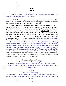# **Chapter 7 Satan**

**Satan**<br>1 Peter 5:8, Be sober, be vigilant; becaus<br>like a roaring lion, seeking whom he may devou *like a roaring lion, seeking whom he may devour.* 1 Peter 5:8, *Be sober, be vigilant; because your adversary the devil walks about*

nmes fo<br>more en<br>e many Satan is God's greatest opponent, or adversary, as well as man's. The name Satan is one of the names for the fallen angel Lucifer. This chapter is related to the previous one, however, more emphasis will be given to Satan himself.

That is the reason Satan tries to discredit the Word of God. He is not a <u>principle of evil</u>,<br>he is a created person. 1 Peter 5:8, "*Be sober, be vigilant; because your adversary the*<br>devil walks about like a roaring lion, in what with<br>gible thing<br>irit (heart)<br><u>GOOD</u> th<br>ot be detern There are many who deny the existence of Satan. They claim what we call Satan is only a principle of evil. This evil is a sort of malaria, an intangible thing like disease germs that float about in the atmosphere and attacks people's spirit (heart) under certain conditions. They are willing to go so far as to say if God is ALL GOOD there cannot be the existence of a devil (Satan). The existence of Satan cannot be determined by the opinions of men. The only known reliable source of information on Satan is the Bible. That is the reason Satan tries to discredit the Word of God. He is not a *principle of evil*, he is a created person. 1 Peter 5:8, *"Be sober, be vigilant; because your adversary the devil walks about like a roaring lion, seeking whom he may devour."*

erpent. He i<br>epending up<br>He thousand years; and he cast him into the bottomless pit, and shut him up, and set a seal on<br>him, so that he should deceive the nations no more till the thousand years were finished. But<br>after these things he must be releas He walks about, and is to be chained. Revelation 20:1-3, *Then I saw an angel coming hold of the dragon, that serpent of old, who is the Devil and Satan, and bound him for a thousand years; and he cast him into the bottomless pit, and shut him up, and set a seal on him, so that he should deceive the nations no more till the thousand years were finished. But after these things he must be released for a little while.* These could not be said of a principle Dragon; and Serpent. He is mentioned by one or the other of these names a total of 174 times in the Bible (depending upon which translation you use).

# **He is a great Celestial Potentate.** He is: *The Prince of the Power of the Air.*

Ephesians 2:2, In which you once walked according to the <u>prince of the power of the air</u>, the size of the power of the air, the is also<br>disobedient disobedient<br>**He is also** Ephesians 2:2, *In which you once walked according to the course of this world, according to the prince of the power of the air, the spirit who now works in the sons of disobedience.*

## **He is also**

# *The God of this World (Age).*

 $the\ qos$  2 Corinthians 4:4, *Whose minds the god of this age has blinded, who do not believe, lest the light of the gospel of the glory of Christ, who is the image of God, should shine on them.*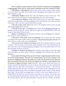il, is anothermal.<br>Superior Othermal. Devil, is another common name for Satan in the New Testament meaning slanderer or false accuser. Other titles by which Satan is identified in the New Testament include:

I The tempter: 1 Thessalonians 3:5, *For this reason, when I could no longe*<br>*it, I sent to know your faith, lest by some means <u>the tempter</u> had tempted you,<br><i>labor might be in vain.*<br>1 Beelzebub: Matthew 12:24, *Now when* l The tempter: 1 Thessalonians 3:5, *For this reason, when I could no longer endure it, I sent to know your faith, lest by some means the tempter had tempted you, and our labor might be in vain.*

l Beelzebub: Matthew 12:24, *Now when the Pharisees heard it they said, "This*

 *and does not understand it, then the wicked one comes and snatches away what was sown* l The wicked one: Matthew 13:19, *When anyone hears the word of the kingdom, in his heart. This is he who received seed by the wayside.*

*t under*<br>This is<br>ruler o<br><u>world</u> l The ruler of this world: John 12:31, *Now is the judgment of this world; now the ruler of this world will be cast out.*

 $ds$  <u>the god</u><br>big glory of C<br>st with Boli l The god of this age: 2 Corinthians 4:4, *Whose minds the god of this age has blinded, who do not believe, lest the light of the gospel of the glory of Christ, who is the image of God, should shine on them.*

l Belial: 2 Corinthians 6:15, *And what accord has Christ with Belial? Or what part has a believer with an unbeliever?*

e air: Ephesians 2:2, *In which you once walked*<br>uccording to <u>the prince of the power of the air</u>, the<br>sobedience.<br>evelation 12:10, *Then I heard a loud voice saying* l The prince of the power of the air: Ephesians 2:2, *In which you once walked according to the course of this world, according to the prince of the power of the air, the spirit who now works in the sons of disobedience.*

 *His Christ have come, for the accuser of our brethren, who accused them before our God* l The accuser of our brethren: Revelation 12:10, *Then I heard a loud voice saying in heaven, "Now salvation, and strength, and the kingdom of our God, and the power of day and night, has been cast down."*

used th<br>: king c<br>in Gree l Abaddon or Apollyon: Revelation 9:11, *And they had as king over them the angel of the bottomless pit, whose name in Hebrew is Abaddon, but in Greek he has the name Apollyon.*

tion for<br>rfectio Ezekiel 28:11-19, *Moreover the word of the Lord came to me, saying, "Son of man, take Lucifer, son of the morning! How you are cut down to the ground, you who weakened the nations! For you have said in your heart: 'I will ascend into heaven, I will exalt my throne above the stars of God; I will also sit on farthest sides of the north; I will ascend above the heights of the clouds, I will be like the* h and Ezek<br>of that cap<br>ambitious<br>and his fol Isaiah and Ezekiel help provide a picture of Satan's original position and the reasons for his loss of that capacity. They tell of an celestial being, one of God's creatures, who became too ambitious and proud. His desire was to take over the throne of God. But God threw him and his followers (one third of the angels) out, therefore, removing him from his position of dignity and honor. Isaiah 14:12-15, *"How you are fallen from heaven, O nations! For you have said in your heart: 'I will ascend into heaven, I will exalt my throne above the stars of God; I will also sit on the mount of the congregation on the Most High.' Yet you shall be brought down to Sheol, to the lowest depths of the Pit." up a lamentation for the king of Tyre, and say to him, 'Thus says the Lord God: "You were the seal of perfection, full of wisdom and perfect in beauty. You were in Eden, the garden*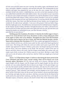*es. You*<br>sake o<br>gaze at<br>of your *of the fiery stones. Your heart was lifted up because of your beauty; you corrupted your* timbrels and pipes was prepared for you on the<br>anointed cherub who covers; I established you;<br>you walked back and forth in the midst of fiery state day you were created, till iniquity was found i<br>you became filled with vio *the day you were created, till iniquity was found in you. By the abundance of your trading* precious s *by the iniquity of your trading; therefore I brought fire from your midst; it devoured you, and I turned you to ashes upon the earth in the sight of all who saw you. All who knew you among the peoples are astonished at yo of God; every precious stone was your covering: the sardius, topaz, and diamond, beryl, onyx, and jasper, sapphire, turquoise, and emerald with gold. The workmanship of your timbrels and pipes was prepared for you on the day you were created. You were the anointed cherub who covers; I established you; you were on the holy mountain of God; you walked back and forth in the midst of fiery stones. You were perfect in your ways from you became filled with violence within, and you sinned; therefore I cast you as a profane thing out of the mountain of God; and I destroyed you, O covering cherub, from the midst wisdom for the sake of your splendor; I cast you to the ground, I laid you before kings, that they might gaze at you. You defiled your sanctuaries by the multitude of your iniquities, and I turned you to ashes upon the earth in the sight of all who saw you. All who knew you among the peoples are astonished at you; you have become a horror, and shall be no more forever.'"*

on havi<br>a third<br>e the w<br>She boi *another sign appeared in heaven: behold, a great, fiery red dragon having seven heads* Revelation 12 tells us Satan influenced a third<br>on. Throughout the time of the Old Testament<br>esus, and when the Messiah became a person,<br>2:1-5, Now a great sign appeared in heaven: a<br>n under her feet, and on her head a gar Building upon this foundation, Revelation 12 sketches the further stages in Satan's work of evil. In his fall from God's favor, Revelation 12 tells us Satan influenced a third of the angels to follow him in his rebellion. Throughout the time of the Old Testament period Satan tried to destroy the line of Jesus, and when the Messiah became a person, Satan tried to eliminate Him. Revelation 12:1-5, *Now a great sign appeared in heaven: a woman clothed with the sun, with the moon under her feet, and on her head a garland of twelve stars. Then being with child, she cried out in labor and in pain to give birth. And and ten horns, and seven diadems on his heads. His tail drew a third of the stars of heaven and threw them to the earth. And the dragon stood before the woman who was ready to give birth, to devour her Child as soon as it was born. She bore a male Child who was to rule all nations with a rod of iron. And her Child was caught up to God and His throne.*

e word<br>e, O he *our God day and night, has been cast down. And they overcame him by the blood of the prevail, nor was a place found for them in heaven any longer. So the great dragon was* cast out, that serpent of old, called the Devil and Satan, who deceives the whole world; he was cast to the earth, and his angels were *saying in heaven, "Now salvation, and strength, and the kingdom of our God, and the le all natio*<br>7-12 of Rev<br>tion and be<br>re. Revela Verses 7-12 of Revelation chapter 12 inform us that during the future period of the Great Tribulation and before Jesus' second coming, Satan will be thrown out of the heavenly sphere. Revelation 12:7-12, *And war broke out in heaven: Michael and his angels fought with the dragon; and the dragon and his angels fought, but they did not cast out, that serpent of old, called the Devil and Satan, who deceives the whole world; he was cast to the earth, and his angels were cast out with him. Then I heard a loud voice power of His Christ have come, for the accuser of our brethren, who accused them before Lamb and by the word of their testimony, and they did not love their lives to the death. Therefore rejoice, O heavens, and you who dwell in them! Woe to the inhabitants of the*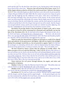flood.<br>up the f<br>l with t<br>nmand *away by the flood. But the earth helped the woman, and the earth opened its mouth and* of this chapter informs us then he will direct hipped that the 12:13-17, Now when the dragon saw that he has woman who gave birth to the male Child. But eagle, that she might fly into the wilderness time and times and half *eagle, that she might fly into the wilderness to her place, where she is nourished for a*  $\frac{1}{2}$ <br>the sea! For the base of  $\frac{1}{2}$ *earth and the sea! For the devil has come down to you, having great wrath, because he knows that he has a short time."* However, that will not be the end of Satan, verses 13-17 of this chapter informs us then he will direct his wrath toward Jesus' followers. Revelation 12:13-17, *Now when the dragon saw that he had been cast to the earth, he persecuted the woman who gave birth to the male Child. But the woman was given two wings of a great time and times and half a time, from the presence of the serpent. So the serpent spewed water out of his mouth like a flood after the woman, that he might cause her to be carried swallowed up the flood which the dragon had spewed out of his mouth. And the dragon was enraged with the woman, and he went to make war with the rest of her offspring, who keep the commandments of God and have the testimony of Jesus Christ.*

Esus Christ<br>Satan's wond<br>ars and fin<br>that serpe Revelation 20 provides details of the final phases of Satan's work, and in verses two and ten we learn he will be constrained for a thousand years and finally cast into the lake of fire. Revelation 20:2, 10, *He laid hold of the dragon, that serpent of old, who is the Devil and Satan, and bound him for a thousand years . . . The devil, who deceived them, was cast into the lake of fire and brimstone where the beast and the false prophet are. And they will be tormented day and night forever and ever.*

 *dared not bring against him a reviling accusation, but said, "The Lord rebuke you!" I* brimstone where the beast and the false prophet<br>d night forever and ever.<br>cs of Satan we will learn as a result of his original<br>r and dignity. Jude tells us so great is his strength,<br>a foe too powerful to oppose. Jude status and authority, he has great power and dignity. Jude tells us so great is his strength, When we study the characteristics of Satan we will learn as a result of his original Michael the archangel viewed him as a foe too powerful to oppose. Jude 9, *Yet Michael the archangel, in contending with the devil, when he disputed about the body of Moses,*

bes not touch him. We know that we are of God, and <u>the whole world lies under the<br>of the wicked one</u>. And we know that the Son of God has come and has given us an<br>standing, that we may know Him who is true; and we are in  $\frac{1}{2}$  he Loi<br>
e in w<br>  $\frac{1}{2}$  We kn We have learned by Satan's various titles his influence in worldly affairs. The Bible even goes so far as to state the following: 1 John 5:18-20, *We know that whoever is born of God does not sin; but he who has been born of God keeps himself, and the wicked one does not touch him. We know that we are of God, and the whole world lies under the sway of the wicked one. And we know that the Son of God has come and has given us an understanding, that we may know Him who is true; and we are in Him who is true, in His Son Jesus Christ. This is the true God and eternal life.*

principalities of darkness.

Matthew 12:24, *Now when the Pharisees heard it they said, "This fellow does not cast out demons except by Beelzebub, the ruler of the demons."*

Matthew 12:24, Now when the Pharise<br>cast out demons except by <u>Beelzebub</u>, the rule<br>Matthew 25:41, Then He will also say t<br>you cursed, into the everlasting fire prepared<br>Revelations 12:7.9. And war broke out *you cursed, into the everlasting fire prepared for the devil and his angels."* Matthew 25:41, *Then He will also say to those on the left hand, "Depart from Me,*

out, that serpent of old, called the Devil and Satan, who deceives the whole world; he was<br>cast to the earth, and <u>his angels were cast out with him</u>. *with the dragon; and the dragon and his angels fought . . . So the great dragon was cast* Revelations 12:7, 9, *And war broke out in heaven: Michael and his angels fought cast to the earth, and his angels were cast out with him.*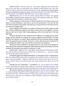words were heard; and I have come because of yer of Persia withstood me twenty-one days; and be<br>came to help me, for I had been left alone there<br>Ephesians 6:12, For we do not wrestle<br>principalities, against powers, against  $\frac{10:12-13}{10:12-13}$ Daniel 10:12-13, *Then he said to me, "Do not fear, Daniel, for from the first day that you set your heart to understand, and to humble yourself before your God, your words were heard; and I have come because of your words. But the prince of the kingdom of Persia withstood me twenty-one days; and behold, Michael, one of the chief princes, came to help me, for I had been left alone there with the kings of Persia."*

 Ephesians 6:12, *For we do not wrestle against flesh and blood, but against principalities, against powers, against the rulers of the darkness of this age, against spiritual hosts of wickedness in the heavenly places.*

going 1<br>'s limit<br>protect<br>conque Without going into all the details we should already know that Satan's powers are subject to God's limitations. Satan had to ask God for permission to test Job. We also know that God protects His people and Satan has to ask permission to test them but he is not allowed to conquer them.

ve God's pe<br>exact oppo<br>ne same tin Satan's objective and ambition is to replace God and to have God's people worship him. God has baffled this aspiration and Satan became God's exact opposite. Text has shown us that one of Satan's titles is the wicked one, while, at the same time, God is the Holy One!

us in his endeavors of combating God, God's<br>is forever opposed to the follower's of Christ<br>introduced sin into the human family, through<br>rever, we know that this power was broken by<br>His resurrection from the grave. We know that Satan is very malicious in his endeavors of combating God, God's people, and his methods are untiring. He is forever opposed to the follower's of Christ and their best interests. In Genesis Satan introduced sin into the human family, through which he gained the power of death. However, we know that this power was broken by Jesus, through His death on the cross and His resurrection from the grave.

 more characteristic than that of temptation. Satan influences people into iniquity by diverse Satan uses various methods in carrying out his evil work. None of his methods is methods. He sometimes uses explicit exhortation, as with:

 $e$  devil<br> $\cdots$  A. Judas Iscariot : John 13: 2, 27, *And supper being ended, the devil having already put it into the heart of Judas Iscariot, Simon's son, to betray Him . . . As soon as Judas took the bread, Satan entered into him.*

*spirits, wheread, Satan entered into him.*<br>**Through his agents who disguise themselves as messengers of God: 2 Thessalonians**<br>**2:9,** The coming of the lawless one is according to the working of Satan, with all power,<br>sign Through his agents who disguise themselves as messengers of God: 2 Thessalonians 2:9, *The coming of the lawless one is according to the working of Satan, with all power, signs, and lying wonders.* 1 John 4:1, *Beloved, do not believe every spirit, but test the world.*

Through our own weaknesses: 1 Corinth<br>except with consent for a time, that you may give<br>come together again so that Satan does not tempt<br>He tempts us directly as he did Christ: Luk<br>on a high mountain, showed Him all the ki Through our own weaknesses: 1 Corinthians 7:5, *Do not deprive one another except with consent for a time, that you may give yourselves to fasting and prayer; and come together again so that Satan does not tempt you because of your lack of self-control.*

delivered to me, and I give it to whomever I wish. Therefore, if You will worship before<br>me, all will be Yours."<br>36 He tempts us directly as he did Christ: Luke 4:5-8, *Then the devil, taking Him up on a high mountain, showed Him all the kingdoms of the world in a moment of time. And the devil said to Him, "All this authority I will give You, and their glory; for this has been me, all will be Yours."*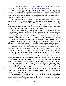# *Jesus ans And Jesus answered and said to him, "Get behind Me, Satan! For it is written, 'You shall worship the Lord your God, and Him only you shall serve.'"*

Satan also delights in deception. Satan'<br>dissimilarity to the gospel for which Christ sta<br>that he tempts us to believe good can be atta<br>you the reader, know and understand Satan is<br>the master at falsifying the truth. you the reader, know and understand Satan is the greatest deceiver of all time, he is also Satan also delights in deception. Satan's untruthful characteristics are in prominent dissimilarity to the gospel for which Christ stands. He uses so frequently a great falsehood, that he tempts us to believe good can be attained by doing wrong. I am certain by now the master at falsifying the truth.

of when<br>apex to<br>returns<br>ll be lea remind him of where he's going because of sin. Jesus' death and resurrection was the I read a sign several years ago stating: If Satan reminds you of where you are in sin, magnificent apex to a sinless life during which Jesus conquered the adversary repeatedly. When Jesus returns at His second coming Satan will be bound for one thousand years and mankind will be lead in truth by Christ for those one thousand years., that will be the final victory and the time when Satan will be cast into the lake of fire.

years., tha<br>fire.<br>of Christ, a<br>der your feat We have already won the victory through the death of Christ, and we have the perfect assurance that the God of peace will crush Satan under your feet. But you must know however, that we can only have such personal victory if we resist Satan's temptations.

Thristians to win this battle we know that God has<br>We have the continuing prayer of Christ in heaven<br>Inding of the Holy Spirit. Finally, we learn God has<br>piritual warfare. Therefore, we have no excuse for<br>to you realize ex provided us with various weapons for spiritual warfare. Therefore, we have no excuse for To help you, myself, and other Christians to win this battle we know that God has furnished the power of Christ's blood. We have the continuing prayer of Christ in heaven for us the believer. We also have the leading of the Holy Spirit. Finally, we learn God has failing and no excuse for giving up. Do you realize excuses are only choices we make? Consider this thought the next time you make an excuse for not being obedient to God.

etuse to<br>g the e<br>nave al<br>his lif I am utterly amazed how some people, even Christians, refuse to believe Satan is a reality. For whatever reason, some people have trouble admitting the existence of such an enemy. They can believe in the Boogie Man, but not Satan. I have already explained in prior paragraphs the Bible makes it plain Satan is alive and his life is to dispute the precepts of God in the concerns of man.

God in the<br>aps you, a<br>have never<br>1 knowing<br>nptations a Perhaps you, as I, have wondered why God would allow Satan to exist in His creation. I have never found an answer that fulfilled my inquisitiveness. Since God is an all wise, all knowing God, perhaps He allows it to show us there is evil and good, and without temptations and test, how would or could we know the true fulfillments of life?

not worth fighting for— I am not sure I would want it. Anything worth having, is worth fighting for. Nothing in this life worth having comes easy. Sin is the easy route toward all we may ever want. Sometimes we try so hard having is worth fighting for. What you put in is what you get out. We grow from obstacles, Life would indeed be a bore without challenges and obstacles, and if heaven were fighting for. Nothing in this life worth having comes easy. Sin is the easy route toward all we may ever want. Sometimes we try so hard but still fail. However, anything worth test and pain. No pain, no gain!

> er scrip As you continue to read, it is my prayer you are developing a positive attitude from scripture after scripture, prayer after prayer and page after page. If you have attained the level of self-oppression through disobedience, I further pray you are beginning to see the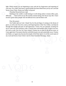means you light. Which means you are beginning to pray and ask for forgiveness and repenting of your sins. If so, then I also know a great burden has been lifted from you by our Lord and Savior Jesus Christ. Praise our Father in heaven!

Theodore Roosevelt once said:

Savior Jesus Christ. Praise our Father in heaven!<br>Theodore Roosevelt once said:<br>Nothing in the world is worth having or worth doing unless it is<br>difficulty . . . I have never in my life envied a human being who led a<br>envie difficulty . . . I have never in my life envied a human being who led an easy life. I have Nothing in the world is worth having or worth doing unless it means effort, pain,

Pray this prayer:

prayer<br>er and<br>s for Yo<br>rden ar these bountiful blessings. Amen. through this burden and pain of self-oppression. I know You are patiently awaiting for<br>me to come into Your presence with a contrite heart and humble spirit. Forgive me now,<br>oh Lord, as only You can, for I have sinned. Cle Our Father and our God. I thank You for the privilege of coming to the throne of grace, as well as for Your love, mercy and forgiving heart. Only You, Father, can help me me to come into Your presence with a contrite heart and humble spirit. Forgive me now, oh Lord, as only You can, for I have sinned. Cleanse me as white as the driven snow, so I may again have Your peace that the world did not give me and cannot take away. Cleanse me Father, so I again may become the temple of the Holy Spirit. It is in the sweet name of my Lord and Savior Jesus Christ I ask for these bountiful blessings. Amen.

38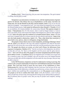# **Chapter 8 Temptation**

**Tempt**<br>Matthew 26:41, "Watch and pray, lest<br>is willing, but the flesh is weak." Matthew 26:41, *"Watch and pray, lest you enter into temptation. The spirit indeed is willing, but the flesh is weak."*

> derived<br>nor car<br>*empted*<br>t*empt d* each one is tempted when he is drawn away by his own desires and enticed. Satan is the<br>one who leads people to destruction. James 1:15, Then, when desire has conceived, it<br>gives birth to sin; and sin, when it is full-grown *De tempted*<br>Himself. 2<br>*elf.* The sup<br>*p* longer en<br>you, and ot Temptation is an enticement or invitation to sin, with the implied promise of greater good to be derived. This follows the way of disobedience. In this sense, God does not tempt man, nor can He Himself as the holy God be tempted. James 1:13, *Let no one say when he is tempted, "I am tempted by God"; for God cannot be tempted by evil, nor does He Himself tempt anyone.* God cannot be influenced to deny Himself. 2 Timothy 2:13, *If we are faithless, He remains faithful; He cannot deny Himself.* The supreme tempter is Satan. 1 Thessalonians 3:5, *For this reason, when I could no longer endure it, I sent to know your faith, lest by some means the tempter had tempted you, and our labor might be in vain.* Satan who plays upon the weakness of corrupted human nature. James 1:14, *But each one is tempted when he is drawn away by his own desires and enticed.* Satan is the one who leads people to destruction. James 1:15, Then, when desire has conceived, it gives birth to sin; and sin, when it is full-grown, brings forth death.

ty to resist.<br>non to man,<br>re able, but<br>bear it.<br>e Old Testa yer, foi<br>*to temp<br>er and*<br>ation <mark>t</mark> The gospel of Jesus directs man to resist temptation, promising a blessing to those *approved, he will receive the crown of life which the Lord has promised to those who love Him.* The gospel also directs us to pray, as in the Lord's Prayer, for deliverance from exposure to temptation. Matthew 6:13, *"And do not lead us into temptation, but deliver us from the evil one. For Yours is the kingdom and the power and the glory forever. Amen."* The Lord will not allow His people to encounter temptation beyond their Spiritgiven ability to resist. 1 Corinthians 10:13, *No temptation has overtaken you except such as is common to man; but God is faithful, who will not allow you to be tempted beyond what you are able, but with the temptation will also make the way of escape, that you may be able to bear it.*

rmove<br>nce ha<br>C *when you fall into various trials, knowing that the testing of your faith produces patience.* context is the covenant relationship of mutual<br>people. The Lord tests Israel to prove the<br>Deuteronomy 8:2, And you shall remember to<br>these forty years in the wilderness, to humble<br>heart, whether you would keep His command In the Old Testament, temptation can best be understood as testing or proving. The context is the covenant relationship of mutual love and faithfulness between God and His people. The Lord tests Israel to prove the true nature of her faithfulness to Him. Deuteronomy 8:2, *And you shall remember that the Lord your God led you all the way these forty years in the wilderness, to humble you and test you, to know what was in your heart, whether you would keep His commandments or not.* His purpose is not to induce His people to sin but to confirm their faith. James 1:2-4, *My brethren, count it all joy But let patience have its perfect work, that you may be perfect and complete, lacking nothing.*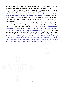$\frac{1}{2}$  of Job, Sa As in the case of Job, Satan the tempter can serve the Lord's purpose. Satan's temptation of Adam in the Garden of Eden was also the Lord's testing of Adam's faith.

 to be their God. The nation of Israel also tempts, or tests, the Lord by calling into question the<br>Lord's unswerving loyalty to His people. Exodus 17:2, *Therefore the people contended*<br>with Moses, and said, "Give us water, that we may dri *"Why do you contend with me? Why do you tempt the Lord?"* God has promised to The nation of Israel also tempts, or tests, the Lord by calling into question the Lord's unswerving loyalty to His people. Exodus 17:2, *Therefore the people contended with Moses, and said, "Give us water, that we may drink." And Moses said to them,* destroy a rebellious nation. His people's disobedience tempts the Lord to break His promise

nptatio<br>esus, ho<br>mpt Go red in the same, that through death He might<br>hat is, the devil, and release those who through<br>ct to bondage.... For in that He Himself has<br>those who are tempted. to the test, or tempt God, like Israel of old. He lives *by every word that proceeds from the mouth of God*. Matthew 4:4, *But He answered and said, "It is written, 'Man shall not live by bread alone, but by every word tha* In the temptation of Jesus, Satan enticed the Son of God to forsake His messianic commitment. Jesus, however, did not prove to be a disloyal Son. He did not put the Lord *mouth of God.* Matthew 4:4, *But He answered and said, "It is written, 'Man shall not live by bread alone, but by every word that proceeds from the mouth of God.'"* Having resisted satanic temptation Himself, Christ is able to comfort and aid His followers who are tempted in similar fashion. Hebrews 2:14-15, 18, *Inasmuch then as the children have partaken of flesh and blood, He Himself likewise shared in the same, that through death He might destroy him who had the power of death, that is, the devil, and release those who through fear of death were all their lifetime subject to bondage. . . . For in that He Himself has suffered, being tempted, He is able to aid those who are tempted.*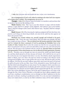1 John 3:4*, Everyone who sins breaks the law; in fact, sin is lawlessness.*

Sin<br>
1 John 3:4, *Everyone who sins breaks the law; in fact, sin is lawlessness*.<br>
Sin is transgression of God's will, either by omitting to do what God's law requires or by doing what it forbids. The transgression can occur in:

> **Thought:** 1 John 3:15, *Whoever hates his brother is a murderer, and you know that no murderer has eternal life abiding in him.*

> **ght:** 1 .<br>· *has et*<br>: Matt<br>*uuse sh* hoever say<br>You fool!' si<br>nent of Goo **Word:** Matthew 5:22, *"But I say to you that whoever is angry with his brother without a cause shall be in danger of the judgment. And whoever says to his brother, 'Raca!' shall be in danger of the council. But whoever says, 'You fool!' shall be in danger of hell fire."*

> **Deed:** Romans 1:32, *Who, knowing the righteous judgment of God, that those who practice such things are deserving of death, not only do the same but also approve of those who practice them.*

gift came to all men, resulting in justification of life. For as by one man's disobedience<br>many were made sinners, so also by one Man's obedience many will be made righteous. *to all men, resulting in condemnation, even so through one Man's righteous act the free* the gip by the grace of the one man, sesas entirely the that which came through the one who sinn<br>offense resulted in condemnation, but the free g<br>in justification. For if by the one man's offense<br>those who receive abundanc *those who receive abundance of grace and of the gift of righteousness will reign in life* us death sp<br>but sin is n<br>loses, even<br>on of Adan<br>. For if by i that it was pleasant to the eyes, and a tree desirable to make one wise, she took of its fruit<br>and ate. She also gave to her husband with her, and he ate. Because Adam was the head<br>and representative of the whole human rac *that it was pleasant to the eyes, and a tree desirable to make one wise, she took of its fruit* sin, morally upright and inclined to do good.<br>ave found: that God made man upright, but they<br>in entered into the human experience when Adam<br>of God by partaking the forbidden fruit in the *have sought out many schemes."* But sin entered into the human experience when Adam Mankind was created without sin, morally upright and inclined to do good. Ecclesiastes 7:29, *"Truly, this only I have found: that God made man upright, but they* and Eve violated the direct command of God by partaking the forbidden fruit in the Garden of Eden. Genesis 3:6, *So when the woman saw that the tree was good for food, and ate. She also gave to her husband with her, and he ate.* Because Adam was the head and representative of the whole human race, his sin affected all future generations. Romans *sin, and thus death spread to all men, because all sinned—(For until the law sin was in the world, but sin is not imputed when there is no law. Nevertheless death reigned from Adam to Moses, even over those who had not sinned according to the likeness of the transgression of Adam, who is a type of Him who was to come. But the free gift is not like the offense. For if by the one man's offense many died, much more the grace of God and the gift by the grace of the one Man, Jesus Christ, abounded to many. And the gift is not like that which came through the one who sinned. For the judgment which came from one offense resulted in condemnation, but the free gift which came from many offenses resulted in justification. For if by the one man's offense death reigned through the one, much more through the One, Jesus Christ.) Therefore, as through one man's offense judgment came many were made sinners, so also by one Man's obedience many will be made righteous.*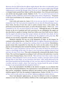righteousness to eternal life through Jesus Chris<br>a corrupted nature passed from Adam to all his d<br>arise all the sins that people commit. Matthew 1<br>thoughts, murders, adulteries, fornications, thefts<br>is free from involveme *thoughts, murders, adulteries, fornications, thefts, false witness, blasphemies."* No person a de la de la de la de la de la de la de la de la de la de la de la de la de la de la de la de la de la de la<br>La de la de la de la de la de la de la de la de la de la de la de la de la de la de la de la de la de la de la *Moreover the law entered that the offense might abound. But where sin abounded, grace abounded much more, so that as sin reigned in death, even so grace might reign through righteousness to eternal life through Jesus Christ our Lord.* Associated with this guilt is a corrupted nature passed from Adam to all his descendants. Out of this perverted nature arise all the sins that people commit. Matthew 15:19, *"For out of the heart proceed evil* is free from involvement in sin. Romans 3:23, *For all have sinned and fall short of the glory of God.*

bly and<br>*l*;" *for*<br>ie Son<br>s from God is holy and cannot sin. James 1:13, *Let no one say when he is tempted, "I am* perfection arises from His divine nature, as well as His human nature. 1 Peter 2:22, *"Who* committed no sin, nor was deceit found in His mouth." Although the story of the Bible focuses on the sin of mankind and God's prov *tempted by God;" for God cannot be tempted by evil, nor does He Himself tempt anyone.* Jesus Christ, the Son of God who came to earth in human form, is also sinless. His *committed no sin, nor was deceit found in His mouth."* Although the story of the Bible focuses on the sin of mankind and God's provision for our redemption, the angels are also described as capable of sinning. Some have fallen away from God's service. Jude 6, *And the angels who did not keep their proper domain, but left their own abode, He has reserved in everlasting chains under darkness for the judgment of the great day.* But animals are not morally responsible creatures, therefore they cannot sin.

ucifixion ha<br>f human hi<br>*an attested<br>in your mic<br>rpose and* ot sin.<br>*ien to i*<br>*nediate*<br>**d** in th plan for world redemption does include His dealing with the reality of sin. 1 Timothy 2:3 kness for the judgment of the great day. But<br>ures, therefore they cannot sin.<br>the temptation of Satan. As the tempter, he<br>3, Be sober, be vigilant; because your adversary<br>seeking whom he may devour. Nevertheless, Mankind originally fell into sin at the temptation of Satan. As the tempter, he continues to lure people into sin. 1 Peter 5:8, *Be sober, be vigilant; because your adversary the devil walks about like a roaring lion, seeking whom he may devour.* Nevertheless, people remain fully responsible for what they do. God is not the author of sin, but His 5 NIV, *This is good, and pleases God our Savior, who wants all men to be saved and to come to a knowledge of the truth. For there is one God and one mediator between God and men, the man Christ Jesus.* This truth is dramatically witnessed in the death of Jesus Christ. The crucifixion happened according to God's will, but at the same time, it was the worst crime of human history. Acts 2:22-24, *"Men of Israel, hear these words: Jesus of Nazareth, a Man attested by God to you by miracles, wonders, and signs which God did through Him in your midst, as you yourselves also know—Him, being delivered by the determined purpose and foreknowledge of God, you have taken by lawless hands, have crucified, and put to death; whom God raised up, having loosed the pains of death, because it was not possible that He should be held by it."*

 *of Your word is truth, and every one of Your righteous judgments endures forever.* because it was not possible that He should be he<br>Sin is not represented in the Bible as the<br>stems from our human limitations. Sin is portraye<br>than unwise, inexpedient, calamitous behavior the<br>rebellion against God's law, t than unwise, inexpedient, calamitous behavior that produces sorrow and distress. It is Sin is not represented in the Bible as the absence of good, or as an illusion that stems from our human limitations. Sin is portrayed as a real and harmful evil. Sin is more rebellion against God's law, the standard of righteousness. Psalms 119:160, *The entirety*

 $\frac{d}{d}$  dema<br>Sin is t Since God demands righteousness, sin must be defined in terms of mankind's relation to God. Sin is thus the faithless rebellion of the created against the just authority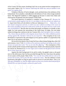ator. For the of his Creator. For this reason, breaking God's law at any point involves transgression at every point. James 2:10, *For whoever shall keep the whole law, and yet stumble in one point, he is guilty of all.*

point, he is guilty of all.<br>Violation of the law of God in thought,<br>human heart. Sin is actually a contradiction to<br>bears. This depraved condition is called <u>ori</u>g<br>characterizes all persons from the moment of bears. This depraved condition is called **original sin** because it comes from Adam and Violation of the law of God in thought, word, and deed shows the sinfulness of the human heart. Sin is actually a contradiction to the holiness of God, whose image mankind characterizes all persons from the moment of their birth.

*us enm*<br>bm Chr<br>*n tresp*<br>ccordi *carnal mind is enmity against God; for it is not subject to the law of God, nor indeed can t let you touch her.*" The corruption of sin is not<br>gree in every person; neither is it expressed in the<br>ing God from whom human beings draw their life<br>we live and move and have our being, as also some *this world, according to the prince of the power of the air, the spirit who now works in the sons of disobedience.* But this does not mean that people can behave as wickedly as they might, for God restrains the outworking The moral depravity of mankind is complete in that: Romans 8:7, *Because the be.* Apart from Christ, all who believe in Him are: Ephesians 2:1-2, *. . . Made alive, who were dead in trespasses and sins, in which you once walked according to the course of sons of disobedience.* But this does not mean that people can behave as wickedly as they might, for God restrains the outworking of the sinful heart. At times, He even helps sinners do things that conform to the law. Genesis 20:6, *And God said to him in a dream, "Yes, I know that you did this in the integrity of your heart. For I also withheld you from sinning against Me; therefore I did not let you touch her."* The corruption of sin is not developed or expressed to the same degree in every person; neither is it expressed in the same way in any person at all times.

ultima<br>t the gi<br>gospel revolt is death and the torment of hell (oppression). Death is the ultimate penalty imposed Sin involves the denial of the living God from whom human beings draw their life and existence. Acts 17:28, *For in Him we live and move and have our being, as also some of your own poets have said, "For we are also His offspring."* The consequence of this by God for sin. Romans 6:23, *For the wages of sin is death, but the gift of God is eternal life in Christ Jesus our Lord.*

Himsey His Own special people, sealons yor e deliveran<br>ace of His<br>to serve, d<br>s and make<br>Himself for Against this dark background of sin and its reality, the gospel comes as the good news of the deliverance that God has provided through His Son. Jesus bears the penalty of sin in place of His people. Mark 10:45, *"For even the Son of Man did not come to be served, but to serve, and to give His life a ransom for many."* He also redeems us from lawlessness and makes us long for good works in service to God and others. Titus 2:14, *Who gave Himself for us, that He might redeem us from every lawless deed and purify for Himself His own special people, zealous for good works.*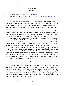# **Chapter 10 Prayer**

Prayer<br>
1 Thessalonians 5:17 NIV, "*Pray continu*<br>
Colossians 4:2 NIV, "*Devote yourself to*  Colossians 4:2 NIV*, "Devote yourself to prayer, being watchful and thankful."* 1 Thessalonians 5:17 NIV, *"Pray continually."*

s comin<br>n with<br>, we mu<br>. We m discussed<br>wever, sinn<br>od. So while Prayer is communication with God and/or our way of talking to God. The communication with God should be serious, sincere and from the heart. In our communication, we must also allow the Holy Spirit to enter and not attempt to communicate with Him alone. We must pray in the Spirit. More of this will be discussed further in this chapter.

Because God is personal, all people can offer prayers. However, sinners who have not trusted Jesus Christ for their salvation remain alienated from God. So while unbelievers may pray, they do not have the basis for a rewarding fellowship with God. They have not met the conditions laid down in the Bible for effectiveness in prayer.

for effectiveness in prayer.<br>
ce upon their Creator. They have every reason<br>
ut they have far more reason to respond to God<br>
I for them. God's love is revealed through the<br>
st, His atoning provision at the Cross, His Christians recognize their dependence upon their Creator. They have every reason to express gratitude for God's blessings. But they have far more reason to respond to God than this. They respond to the love of God for them. God's love is revealed through the marvelous incarnation and life of Christ, His atoning provision at the Cross, His resurrection, as well as His continuing presence through the Holy Spirit.

ly informed<br>er on the b<br>er involves y world<br>d God,<br>pught c<br>Effect Prayer cannot be replaced by devout good works in a needy world. Important as service to others is, at times we must turn away from it and toward God, who is distinct from all things and over all things. Neither should prayer be thought of as a mystical experience in which people lose their identity in the infinite reality. Effective prayer must be a scripturally informed response of persons saved by grace to the living God who can hear and answer on the basis of Christ's payment of the penalty which sinners deserved. As such, prayer involves several important aspects.

## **Faith**

erstone<br>bired w built on the cornerstone of Christ's work and words as shown by the prophets and apostles The most meaningful prayer comes from<br>who has acted and spoken through the Jesus of<br>God speaks to us through the Bible, and we in t<br>prayer. Assured by the Scripture that God is pe The most meaningful prayer comes from a heart that places its trust in the God who has acted and spoken through the Jesus of history and the teachings of the Bible. God speaks to us through the Bible, and we in turn speak to Him in trustful, believing prayer. Assured by the Scripture that God is personal, living, active, all-knowing, allwise, and all-powerful, we know God can hear and help us. A confident prayer life is in the Spirit inspired writings of the Bible.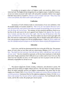## **Worship**

In worship we recognize what is of highest worth<br>work, but God. The Highest divine being deserves our highe<br>we set our values in accord with God's will and perfect<br>hide their faces and cry: Isaiah 6:3, *And one cried to an*  hide their faces and cry: Isaiah 6:3, *And one cried to another and said: "Holy, holy, holy* In worship we recognize what is of highest worth: not ourselves, others, or our work, but God. The Highest divine being deserves our highest respect. Guided by Scripture, we set our values in accord with God's will and perfect standards. Before God, angels

# **Confession**

eness o We must confess our sins to God to get right with<br>her being. But we should confess them directly to<br>our unrighteousness. 1 John 1:9, If we confess our<br>our sins and to cleanse us from all unrighteousness. *sins, He is faithful and just to forgive us our sins and to cleanse us from all unrighteousness.* am undone<br>clean lips;<br>ves and the<br>1:4, Again<br>*a*y be found Awareness of God's holiness leads to consciousness of our own sinfulness. Like the prophet Isaiah, we exclaim: Isaiah 6:5, *"Woe is me, for I am undone! Because I am a man of unclean lips, and I dwell in the midst of a people of unclean lips; for my eyes have seen the King, the Lord of hosts."* By sinning, we hurt ourselves and those closest to us, but first of all, and worst of all, sin is against God. Psalms 51:4, *Against You, You only, have I sinned, and done this evil in Your sight—that You may be found just when You speak, and blameless when You judge.* We must confess our sins to God to get right with Him. We need not confess them to another being. But we should confess them directly to God, who promises to forgive us of all our unrighteousness. 1 John 1:9, *If we confess our*

#### **Adoration**

*nd.*" Our let<br>People son<br>for God fi<br>responsible t of Hi<br>thew 2<br>*th all* y God is love, and He has demonstrated His love in the gift of His Son. The greatest desire of God is that we love Him with our whole being. Matthew 22:37, *Jesus said to him, "You shall love the Lord your God with all your heart, with all your soul, and with all your mind."* Our love should be expressed, as His has been expressed, in both deeds and words. People sometimes find it difficult to say to others and to God, I love you. But when love for God fills our lives, we will express our love in prayer to the one who is ultimately responsible for all that we are.

#### **Praise**

times a day I praise You, because of Your righteous judgments. For God Himself, for His works, and for His words, His people give sincere praise. *excellent greatness!* And praise Him for His righteous judgments. Psalms 119:164, *Seven* The natural outgrowth of faith, worshi<br>speak well of one whom we highly esteem an<br>above all others naturally receives our highe<br>mighty acts. Psalms 150:2. Praise Him for Hi above all others naturally receives our highest commendation. We praise Him for His The natural outgrowth of faith, worship, confession, and adoration is praise. We speak well of one whom we highly esteem and love. The one whom we respect and love mighty acts. Psalms 150:2, *Praise Him for His mighty acts; praise Him according to His* works, and for His words, His people give sincere praise.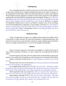# **Thanksgiving**

nought<br>God h<br>cipline<br>or dee futile in their thoughts, and their foolish hearts were darkened. Believers, in contrast, Are we thankless because we think we have not received what we deserve? But if<br>we got what we deserved, we would be condemned because of our guilt. As sinners, we<br>are not people of God by nature. We have no claim upon His He has forgiven our sins, granted us acceptance as His people, and given us His righteous iving than<br>g give than<br>**than** Are we thankless because we think we have not received what we deserve? But if we got what we deserved, we would be condemned because of our guilt. As sinners, we are not people of God by nature. We have no claim upon His mercy or grace. Nevertheless, *although they knew God, they did not glorify Him as God, nor were thankful, but became* live thankfully. God has been at work on our behalf in countless ways. So in everything, even for the discipline that is unpleasant, we give thanks. Colossians 3:17, *And whatever you do in word or deed, do all in the name of the Lord Jesus, giving thanks to God the Father through Him.* And in 1 Thessalonians 5:18, *In everything give thanks; for this is the will of God in Christ Jesus for you.*

## **Dedicated Action**

to withdraw from society, but to render service<br>over Jerusalem in compassionate prayer, and<br>ransom for many. Authentic prayer will be the<br>vas for the prophets and apostles. Christ's example does not require us to withdraw from society, but to render service to the needy in a spirit of prayer. He wept over Jerusalem in compassionate prayer, and then He went into the city to give His life a ransom for many. Authentic prayer will be the source of courage and productivity, as it was for the prophets and apostles.

#### **Request**

in the 1<br>eeds are Prayer is not only response to God's grace as brought to us in the life and work of Jesus and the teaching of Scripture, it is also a request for our needs and the needs of others.

For good reasons God's holy and wise purpose does not permit Him to grant every petition as it is asked. Several hindrances to answered prayer are mentioned in the Bible:

d reasons C<br>asked. Sev<br>in the hea Iniquity in the heart, Psalms 66:18, *If I regard iniquity in my heart, the Lord will not hear.*

Refusal to hear God's law, Proverbs 28:9, *One who turns away his ear from hearing the law, even his prayer is an abomination.*

the law, even his prayer is an abomination.<br>An estranged heart, Isaiah 29:13, Therefore people draw near with their mouths and honor M<br>hearts far from Me, and their fear toward Me is<br>Sinful separation from God, Isaiah 59:2 *hearts far from Me, and their fear toward Me is taught by the commandment of men.* An estranged heart, Isaiah 29:13, *Therefore the Lord said: "Inasmuch as these people draw near with their mouths and honor Me with their lips, but have removed their*

Sinful separation from God, Isaiah 59:2, *But your iniquities have separated you from your God; and your sins have hidden His face from you, so that He will not hear.*

ness, J<br>*ander;*<br>? *will re* Waywardness, Jeremiah 14:10-12, *Thus says the Lord to this people: "Thus they have loved to wander; they have not restrained their feet. Therefore the Lord does not accept them; He will remember their iniquity now, and punish their sins."*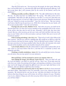n the Lord<br>n the Lord<br>not bear th *Then the Lord said to me, "Do not pray for this people, for their good. When they fast, I will not hear their cry; and when they offer burnt offering and grain offering, I will not accept them. But I will consume them by the sword, by the famine, and by the pestilence."*

*ould h*<br>that H<br>ou fave<br>ng to b *with you? Would he accept you favorably?" Says the Lord of hosts. "But now entreat contemptible.'* And will consume them by the sword, by the famine, and by the pestilence.''<br>Offering unworthy sacrifices, Malachi 1:7-9, "You offer defiled food on My altar.<br>But say, 'In what way have we defiled You?' By *But say, 'In what way have we defiled You?' By saying, 'The table of the Lord is* Offering unworthy sacrifices, Malachi 1:7-9, *"You offer defiled food on My altar. offer the lame and sick, is it not evil? Offer it then to your governor! Would he be pleased* God's favor, that He may be gracious to us. While this is being done by your hands, will *He accept you favorably?" Says the Lord of hosts.*

n you pray,<br>ngogues an<br>say to you,<br>en you have Praying to be seen of men, Matthew 6:5-6, *"And when you pray, you shall not be like the hypocrites. For they love to pray standing in the synagogues and on the corners of the streets, that they may be seen by men. Assuredly, I say to you, they have their reward. But you, when you pray, go into your room, and when you have shut your door, pray to your Father who is in the secret place; and your Father who sees in secret will reward you openly."*

18:11-14, "'*I fast twice a week*; *I give tithes of all* tanding afar off, would not so much as raise his ing, 'God, be merciful to me a sinner!' *I tell you*, ed rather than the other; for everyone who exalts *eyes to heaven, but beat his breast, saying, 'God, be merciful to me a sinner!' I tell you,* Pride in fasting and tithing, Luke 18:11-14, *"'I fast twice a week; I give tithes of all that I possess.' And the tax collector, standing afar off, would not so much as raise his this man went down to his house justified rather than the other; for everyone who exalts himself will be humbled, and he who humbles himself will be exalted."*

sible to<br>a rewa<br>d do ne Lack of faith, Hebrews 11:6, *But without faith it is impossible to please Him, for he who comes to God must believe that He is, and that He is a rewarder of those who diligently seek Him.*

Doubting or double-mindedness, James 4:3, *You ask and do not receive, because you ask amiss, that you may spend it on your pleasures.*

More positively, God has promised to answer our requests when we:

*iss, that yo*<br>e positively<br>helping th<br>*ill answer;* Start helping the hungry and afflicted, Isaiah 58:9-10, *"Then you shall call, and the Lord will answer; you shall cry, and He will say, 'Here I am.' If you take away the yoke from your midst, the pointing of the finger, and speaking wickedness, if you extend darkness, and your darkness shall be as the noonday."*

*I say to you, whatever things you ask when you pray, believe that you receive them, and* you will have them."<br> *A believes that those things he says will be done, he will have whatever he says. Therefore* your soul to the hungry and satisfy the afflicted soul, then your light shall dawn in the<br>darkness, and your darkness shall be as the noonday."<br>When we believe we will receive what we ask, Mark 11:22-24, So Jesus answered<br> *and said to them, "Have faith in God. For assuredly, I say to you, whoever says to this* When we believe we will receive what we ask, Mark 11:22-24, *So Jesus answered mountain, 'Be removed and be cast into the sea,' and does not doubt in his heart, but you will have them."*

47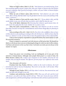we forgive When we forgive others, Mark 11:25-26, *"And whenever you stand praying, if you have anything against anyone, forgive him, that your Father in heaven may also forgive you your trespasses. But if you do not forgive, neither will your Father in heaven forgive your trespasses."*

you your trespasses. But if you do not forgive, ne<br>
your trespasses."<br>
When we ask in Christ's name, John 14<br>
name, that I will do, that the Father may be glori;<br>
name, I will do it." *name, that I will do, that the Father may be glorified in the Son. If you ask anything in My* When we ask in Christ's name, John 14:13-14, *"And whatever you ask in My name, I will do it."*

 *words abide in you, you will ask what you desire, and it shall be done for you."* When we abide in Christ and His words, John 15:7, *"If you abide in Me, and My*

you, you<br>he Spin<br>same j<br>Lord' Pray in the Spirit, Ephesians 6:8, *Knowing that whatever good anyone does, he will receive the same from the Lord, whether he is a slave or free.*

*tever we as<br>ings that af<br>confidence* Obey the Lord's commandments, 1 John 3:22, *And whatever we ask we receive from Him, because we keep His commandments and do those things that are pleasing in His sight.*

Ask according to His will, 1 John 5:14-15, *Now this is the confidence that we have in Him, that if we ask anything according to His will, He hears us. And if we know that He hears us, whatever we ask, we know that we have the petitions that we have asked of Him.*

Until we have properly responded to God and His Word, He cannot entrust us with His powerful resources.

 $\frac{1}{25}$ e have the petitions that we have asked of Him.<br>
So God and His Word, He cannot entrust us with<br>
who answers as He knows best. We should not<br>
ing the things for which we ask. In His wisdom, Prayer is request to a personal Lord who answers as He knows best. We should not think we will always have success in obtaining the things for which we ask. In His wisdom, God hears and answers in the way that is best. God meets our need, just not always in the manner we expect.

## **Effectiveness**

has power<br>
uman histo:<br>
i: James 5:<br>
you may be Prayer has power over everything. God can intelligently act in any part of the universe or human history. Although some people think prayer is a waste of time, the Bible declares: James 5:16, *Confess your trespasses to one another, and pray for one another, that you may be healed. The effective, fervent prayer of a righteous man avails much.*

One who prays will receive:

Since who plays will receive.<br>Freedom from fear, Psalms 118:5-6, *I ca*<br>answered me and set me in a broad place. The L<br>can man do to me?<br>Strength of soul, Psalms 138:3, *In the day* made me hold with strength in my soul. Freedom from fear, Psalms 118:5-6, *I called on the Lord in distress; the Lord answered me and set me in a broad place. The Lord is on my side; I will not fear. What can man do to me?*

 Strength of soul, Psalms 138:3, *In the day when I cried out, You answered me, and made me bold with strength in my soul.*

u will c<br>on, with<br> Guidance and satisfaction, Isaiah 58:9-11 NIV, *Then you will call, and the Lord will answer; you will cry for help, and He will say: "Here am I. If you do away with the yoke of oppression, with the pointing finger and malicious talk, and if you spend yourselves*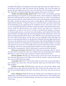of the hunging *in behalf of the hungry and satisfy the needs of the oppressed, then your light will rise in the darkness, and your night will become like the noonday. The Lord will guide you always; He will satisfy your needs in a sun-scorched land and will strengthen your frame. You will be like a well-watered garden, like a spring whose waters never fail."*

eached<br>ne, and<br>ning o<br>are gre *fly swiftly, reached me about the time of the evening offering. And he informed me, and* always; He will satisfy your needs in a sun-scale of the UV of the UV of the UV of the UV of the UV of the UV of the UV of the UV of the UV of the UV of the UV of the North performance before the Lord my God for the holy m *and confessing my sin and the sin of my people Israel, and presenting my supplication and offering. And on the wing of abominations shall be one who makes desolate,* re, there shall be seven weeks and sixty-two weeks;<br>e wall, even in troublesome times. And after the<br>f, but not for Himself; and the people of the prince<br>d the sanctuary. The end of it shall be with a flood,<br>are determined *who is to come shall destroy the city and the sanctuary. The end of it shall be with a flood,* % and under<br>*pur holy ci*<br>on for iniq<br>nd to anoin<br>the comman Wisdom and understanding, Daniel 9:20-27, *Now while I was speaking, praying, before the Lord my God for the holy mountain of my God, yes, while I was speaking in prayer, the man Gabriel, whom I had seen in the vision at the beginning, being caused to talked with me, and said, "O Daniel, I have now come forth to give you skill to understand. At the beginning of your supplications the command went out, and I have come to tell you, for you are greatly beloved; therefore consider the matter, and understand the vision: seventy weeks are determined for your people and for your holy city, to finish the transgression, to make an end of sins, to make reconciliation for iniquity, to bring in everlasting righteousness, to seal up vision and prophecy, and to anoint the Most Holy. Know therefore and understand, that from the going forth of the command to restore and build Jerusalem until Messiah the Prince, there shall be seven weeks and sixty-two weeks; the street shall be built again, and the wall, even in troublesome times. And after the sixty-two weeks Messiah shall be cut off, but not for Himself; and the people of the prince and till the end of the war desolations are determined. Then he shall confirm a covenant with many for one week; but in the middle of the week He shall bring an end to sacrifice even until the consummation, which is determined, is poured out on the desolate."*

*to mak*<br>*ut on t*<br>ass the<br>Jerusa Deliverance from harm, Joel 2:32, *And it shall come to pass that whoever calls on the name of the Lord shall be saved. For in Mount Zion and in Jerusalem there shall be deliverance, as the Lord has said, among the remnant whom the Lord calls.*

e, *as the Lc*<br>ard, Matthe<br>*our door, p<br>ret will rew*<br>d gifts, Lul Reward, Matthew 6:6, *But you, when you pray, go into your room, and when you have shut your door, pray to your Father who is in the secret place; and your Father who sees in secret will reward you openly.*

Good gifts, Luke 11:13, *"If you then, being evil, know how to give good gifts to your children, how much more will your heavenly Father give the Holy Spirit to those who ask Him!"*

who ask Him!"<br>Fullness of joy, John 16:23-24, And in<br>assuredly, I say to you, whatever you ask the<br>now you have asked nothing in My name. Ask,<br>full. *now you have asked nothing in My name. Ask, and you will receive, that your joy may be* Fullness of joy, John 16:23-24, *And in that day you will ask Me nothing. Most assuredly, I say to you, whatever you ask the Father in My name He will give you. Until full.*

> with the<br>
> with surp<br>
> and the surple Peace, Philippians 4:6-8, *Be anxious for nothing, but in everything by prayer and supplication, with thanksgiving, let your requests be made known to God; and the peace of God, which surpasses all understanding, will guard your hearts and minds through Christ Jesus.*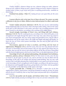of good report, if there is any virtue and if there is anything praiseworthy—meditate on<br>these things.<br>Freedom from anxiety, 1 Peter 5:7, Casting all your care upon Him, for He cares<br>for you. *brethren,*<br>twkatayar *Finally, brethren, whatever things are true, whatever things are noble, whatever things are just, whatever things are pure, whatever things are lovely, whatever things are these things.*

Freedom from anxiety, 1 Peter 5:7, *Casting all your care upon Him, for He cares for you.*

 a difference in the lives of others. Biblical writers believed prayer for others could result Is prayer effective only in the inner lives of those who pray? No, prayer can make in:

the live<br>visdom<br>*ed*; tha  $\lim_{x\to a}$  what  $\lim_{x\to a}$  with  $\lim_{x\to a}$  with  $\lim_{x\to a}$ Greater wisdom and power, Ephesians 1:18-19, *The eyes of your understanding being enlightened; that you may know what is the hope of His calling, what are the riches of the glory of His inheritance in the saints, and what is the exceeding greatness of His power toward us who believe, according to the working of His mighty power.*

The intermal in that Christ may dwell in<br>
vertical and a grounded in love, may be able to<br>
de width and length and depth and height—to<br>
owledge; that you may be filled with all the<br>  $\frac{1}{2}$ Inward strength, knowledge of Christ's love, and filling with God's fullness, Ephesians 3:16-19, *That He would grant you, according to the riches of His glory, to be strengthened with might through His Spirit in the inner man, that Christ may dwell in your hearts through faith; that you, being rooted and grounded in love, may be able to comprehend with all the saints what is the width and length and depth and height—to know the love of Christ which passes knowledge; that you may be filled with all the fullness of God.*

may ab<br>we the<br>of Chi<br>ory and righteousness, Philippians 1:9-11, *And this I pray, that your love may abound still more* Discernment, approval of what is excellent, and filling with the fruits of *and more in knowledge and all discernment, that you may approve the things that are excellent, that you may be sincere and without offense till the day of Christ, being filled with the fruits of righteousness which are by Jesus Christ, to the glory and praise of God.*

dge of God<br>tience, and<br>lo not ceas<br>His will in<br>Lord, fully Knowledge of God's will, spiritual understanding, a life pleasing to God, fruitfulness, endurance, patience, and joy, Colossians 1:9-12, *For this reason we also, since the day we heard it, do not cease to pray for you, and to ask that you may be filled with the knowledge of His will in all wisdom and spiritual understanding; that you may walk worthy of the Lord, fully pleasing Him, being fruitful in every good work and increasing in the knowledge of God; strengthened with all might, according to His glorious power, us to be partakers of the inheritance of the saints in the light.*

*for all patience and longsuffering with joy; giving thanks to the Father who has qualified*<br>us to be partakers of the inheritance of the saints in the light.<br>A quiet, peaceable life, 1 Timothy 2:1-2, Therefore I exhort fi *supplications, prayers, intercessions, and giving of thanks be made for all men, for kings* A quiet, peaceable life, 1 Timothy 2:1-2, *Therefore I exhort first of all that and all who are in authority, that we may lead a quiet and peaceable life in all godliness and reverence.*

one an<br>und day Love for one another and all people, and holiness before God, 1 Thessalonians 3:10-13, *Night and day praying exceedingly that we may see your face and perfect what*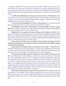one another and to all, just as we do to you, so<br>in holiness before our God and Father at the c<br>saints.<br>Comfort and establishment in every gone<br>17, Now may our Lord Jesus Christ Himself,  $\frac{1}{\ln \text{ your fa}}$ *is lacking in your faith? Now may our God and Father Himself, and our Lord Jesus Christ, direct our way to you. And may the Lord make you increase and abound in love to one another and to all, just as we do to you, so that He may establish your hearts blameless in holiness before our God and Father at the coming of our Lord Jesus Christ with all His saints.*

 *establish you in every good word and work.* Comfort and establishment in every good word and work, 2 Thessalonians 2:16- 17, *Now may our Lord Jesus Christ Himself, and our God and Father, who has loved us and given us everlasting consolation and good hope by grace, comfort your hearts and*

*u in ever*<br>for Goe<br>haring<br>m Love for God, and steadfastness in Christ, 2 Thessalonians 3:5, *Now may the Lord direct your hearts into the love of God and into the patience of Christ.*

wledge of<br>tive by the  $d$ , Hebrew The sharing of one's faith, and promotion of the knowledge of all that is good, Philemon 6, *That the sharing of your faith may become effective by the acknowledgment of every good thing which is in you in Christ Jesus.*

iverlasting covenant, make you complete in every<br>
u what is well pleasing in His sight, through Jesus<br>
ver. Amen.<br>
can affect others question the ability of God to<br>
cal world. But some prayers in the Bible changed Equipment for every good work that is pleasing to God, Hebrews 13:20-21, *Now may the God of peace who brought up our Lord Jesus from the dead, that great Shepherd of the sheep, through the blood of the everlasting covenant, make you complete in every good work to do His will, working in you what is well pleasing in His sight, through Jesus Christ, to whom be glory forever and ever. Amen.*

 Some people who think prayer can affect others question the ability of God to change His usual patterns in the physical world. But some prayers in the Bible changed nature and physical bodies:

harm,<br>*puld bl*<br>*t You w<br>reques*  Jabez prayed for enlarged borders and protection from harm, 1 Chronicles 4:10, *And Jabez called on the God of Israel saying, "Oh, that You would bless me indeed, and enlarge my territory, that Your hand would be with me, and that You would keep me from evil, that I may not cause pain!" So God granted him what he requested.*

many are the afflictions by the righteous, but<br>guards all his bones; not one of them is broker<br>hate the righteous shall be condemned. The I<br>none of those who trust in Him shall be conde<br>Deliverance from both poverty and ri r people ir<br><sup>f</sup> the Lord a<br>against the<br>pus cry out,<br>ur to those Other people in the Bible prayed for deliverance from trouble, Psalms 34:15-22, *The eyes of the Lord are on the righteous, and His ears are open to their cry. The face of the Lord is against those who do evil, to cut off the remembrance of them from the earth. The righteous cry out, and the Lord hears, and delivers them out of all their troubles. The Lord is near to those who have a broken heart, and saves such as have a contrite spirit. Many are the afflictions of the righteous, but the Lord delivers him out of them all. He guards all his bones; not one of them is broken. Evil shall slay the wicked, and those who hate the righteous shall be condemned. The Lord redeems the soul of His servants, and none of those who trust in Him shall be condemned.*

*You, and say, "Who is the Lord?" Or lest I be poor and steal, and profane the name of my*<br>God. *neither poverty nor riches—feed me with the food allotted to me; lest I be full and deny* Deliverance from both poverty and riches, Proverbs 30:7-9, *Two things I request of You (Deprive me not before I die): Remove falsehood and lies far from me; give me God.*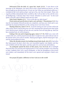have brought up my life from the pit, O Lord, my God.<br>
remembered the Lord; and my prayer went up to You,<br>
regard worthless idols forsake their own Mercy. But I<br>
of thanksgiving; I will pay what I have vowed. Salve<br>
spoke *of thanksgiving; I will pay what I have vowed. Salvation is of the Lord." So the Lord* Example 14 Deliverance from the belly of a great fish, Jonah 2:6-10, *"I went down to the moorings of the mountains; the earth with its bars closed behind me forever; yet You have brought up my life from the pit, O Lord, my God. When my soul fainted within me, I remembered the Lord; and my prayer went up to You, into Your holy temple. Those who regard worthless idols forsake their own Mercy. But I will sacrifice to You with the voice*

Daily bread, Matthew 6:11, *"Give us this day our daily bread."*

non and<br>*peace*<br>perved<br>of the si Preservation and sanctification of spirit, soul, and body, 1 Thessalonians 5:23, *Now may the God of peace Himself sanctify you completely; and may your whole spirit, soul, and body be preserved blameless at the coming of our Lord Jesus Christ.*

sick? Let hi<br>ith oil in th<br>l raise him<br>? Flijgh we Healing of the sick, James 5:14-15, *Is anyone among you sick? Let him call for the elders of the church, and let them pray over him, anointing him with oil in the name of the Lord. And the prayer of faith will save the sick, and the Lord will raise him up. And if he has committed sins, he will be forgiven.*

y that it would not rain; and it did not rain on<br>nd he prayed again, and the heaven gave rain,<br>ding around them shook, Acts 4:31, And when<br>ere assembled together was shaken; and they Ending of the rain and its beginning again, James 5:17-18, *Elijah was a man with a nature like ours, and he prayed earnestly that it would not rain; and it did not rain on the land for three years and six months. And he prayed again, and the heaven gave rain, and the earth produced its fruit.*

When the disciples prayed, the building around them shook, Acts 4:31, *And when they had prayed, the place where they were assembled together was shaken; and they were all filled with the Holy Spirit, and they spoke the word of God with boldness.*

5-26, 1<br>*isoner*<br>ndatior<br>veryon An earthquake opened the doors of their prison, Acts 16:25-26, *But at midnight Paul and Silas were praying and singing hymns to God, and the prisoners were listening to them. Suddenly there was a great earthquake, so that the foundations of the prison were shaken; and immediately all the doors were opened and everyone's chains were loosed.*

yers do ma Our prayers do make a difference in how God acts in the world!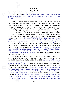# **Chapter 11 Holy Spirit**

**Holy S**<br>Acts 1:8 NIV, "But you will receive poy<br>you will be my witnesses in Jerusalem, and in<br>the earth." *you will be my witnesses in Jerusalem, and in all Judea and Samaria, and to the ends of* Acts 1:8 NIV, "But *you will receive power when the Holy Spirit comes on you; and the earth."*

> nird pe<br>redem<br>i see w<br>he bod the is seldo<br>is seen in a<br>re promine<br>-Son relation The third person of the trinity exercises the power of the Father and the Son in creation and redemption. Because the Holy Spirit is the power by which believers come to Christ and see with new eyes of faith, He is closer to us than we are to ourselves. Like the eyes of the body through which we see physical things, He is seldom in focus to be seen directly, because He is the One through whom all else is seen in a new light. This explains why the relationship of the Father and the Son is more prominent in the gospels, because it is through the eyes of the Holy Spirit that the Father-Son relationship is viewed.

nd their walk with God. He brings a person to new<br>of the flesh is flesh, and that which is born of the<br>fe: John 6:63, "It is the Spirit who gives life; the<br>speak to you are spirit, and they are life."<br>, or Helper, whom Jes The Holy Spirit appears in the Gospel of John as the power by which Christians are brought to faith and helped to understand their walk with God. He brings a person to new birth: John 3:6, *"That which is born of the flesh is flesh, and that which is born of the Spirit is spirit."* And to newness of life: John 6:63, *"It is the Spirit who gives life; the flesh profits nothing. The words that I speak to you are spirit, and they are life."*

Fathe.<br>But th<br>pu all to<br>he Hel. The Holy Spirit is the Counselor, or Helper, whom Jesus promised to the disciples after His ascension. The triune family of Father, Son, and Holy Spirit are unified in ministering to believers. John 14:16, 26, *"And I will pray the Father, and He will give you another Helper, that He may abide with you forever. . . . But the Helper, the Holy Spirit, whom the Father will send in My name, He will teach you all things, and bring to your remembrance all things that I said to you."* It is through the Helper that Father and Son abide with the disciples.

rna yet<br>ho sen<br>e who 18, 50, 54, *And yet if I do judge, My judgment is true; for I am not alone, but I am with* Father, He will testify of Me." It is a remar-<br>Trinitarian family serves the others as all def<br>hears from the Father. John 12:49-50, "For I<br>the Father who sent Me gave Me a command,<br>And I know that His command is everlasti with the dis<br>unified mi<br>of sin, right<br>He hears fi This unified ministry of the trinity is also seen as the Spirit brings the world under conviction of sin, righteousness, and judgment. He guides believers into all truth with that which He hears from the Father and Son. John 15:26, *"But when the Helper comes, whom I shall send to you from the Father, the Spirit of truth who proceeds from the Father, He will testify of Me.*" It is a remarkable fact that each of the persons of the Trinitarian family serves the others as all defer to one another: The Son says what He hears from the Father. John 12:49-50, *"For I have not spoken on My own authority; but the Father who sent Me gave Me a command, what I should say and what I should speak. And I know that His command is everlasting life. Therefore, whatever I speak, just as the Father has told Me, so I speak."* The Father witnesses to and glorifies the Son. John 8:16 *the Father who sent Me. It is also written in your law that the testimony of two men is true. I am One who bears witness of Myself, and the Father who sent Me bears witness of*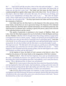the community of believers. whom you say that He is your God." The Fat<br>commissioning Him to speak in their name. John<br>Holy Spirit, whom the Father will send in My t<br>bring to your remembrance all things that I se<br>comes, whom I shall send to you from t *bring to your remembrance all things that I said to you.". . . "But when the Helper*  $dI$  do not set *Me.". . . "And I do not seek My own glory; there is One who seeks and judges." . . . Jesus answered, "If I honor Myself, My honor is nothing. It is My Father who honors Me, of whom you say that He is your God."* The Father and Son honor the Holy Spirit by commissioning Him to speak in their name. John 14:26; John 15:26, *"But the Helper, the Holy Spirit, whom the Father will send in My name, He will teach you all things, and comes, whom I shall send to you from the Father, the Spirit of truth who proceeds from the Father, He will testify of Me."* The Holy Spirit honors the Father and Son by helping

of beli<br>
ner and<br>
nd all<br>
rers. Th arked by go<br>n, and to w<br>of Matthey Like Father and Son, the Holy Spirit is at the disposal of the other persons of the triune family, and all three are one in graciously being at the disposal of the redeemed family of believers. The Holy Spirit's attitude and ministry are marked by generosity. His chief function is to illumine Jesus' teaching, to glorify His person, and to work in the life of the individual believer and the church.

 $\frac{1}{e}$  leaperture<br>of leaperture<br>of  $\frac{1}{e}$  *will overshadow you. So the holy one to be born will be called the Son of God." . . ."And it* ght about these things, behold, an angel of the<br>"Joseph, son of David, do not be afraid to take<br>nceived in her is of the Holy Spirit." And Luke<br>ht of the Lord, and shall drink neither wine nor<br>e Holy Spirit, even from his This quality of generosity is prominent in the Gospels of Matthew, Mark, and Luke, where the Holy Spirit prepares the way for the births of John the Baptist and Jesus the Son: Matthew 1:20, *But while he thought about these things, behold, an angel of the Lord appeared to him in a dream, saying, "Joseph, son of David, do not be afraid to take to you Mary your wife, for that which is conceived in her is of the Holy Spirit."* And Luke 1:15, 35, 41, *For he will be great in the sight of the Lord, and shall drink neither wine nor strong drink. He will also be filled with the Holy Spirit, even from his mother's womb. . . . The angel answered, "The Holy Spirit will come upon you, and the power of the Most High happened, when Elizabeth heard the greeting of Mary, that the babe leaped in her womb; and Elizabeth was filled with the Holy Spirit."*

At the baptism of Jesus, the Spirit of God is present in the form of a dove. This completes the presence of the triune family at the inauguration of the Son's ministry:

presence c<br>v 3:16-17,<br>*d behold, th*<br>*e a dove ar*<br>*is My belo* Matthew 3:16-17, *When He had been baptized, Jesus came up immediately from the water; and behold, the heavens were opened to Him, and He saw the Spirit of God descending like a dove and alighting upon Him. And suddenly a voice came from heaven, saying, "This is My beloved Son, in whom I am well pleased."*

Frank 1.5 11, *I* came to pass in those tarys in<br>and was baptized by John in the Jordan. And imm<br>saw the heavens parting and the Spirit descendi<br>came from heaven, "You are My beloved Son, in<br>Luke 3:21-22, When all the peop Mark 1:9-11, *It came to pass in those days that Jesus came from Nazareth of Galilee, and was baptized by John in the Jordan. And immediately, coming up from the water, He saw the heavens parting and the Spirit descending upon Him like a dove. Then a voice came from heaven, "You are My beloved Son, in whom I am well pleased."*

-*My beloved Son; in You I am well pleased." in bodily form like a dove upon Him, and a voice came from heaven which said, "You are* Luke 3:21-22, *When all the people were baptized, it came to pass that Jesus also was baptized; and while He prayed, the heaven was opened. And the Holy Spirit descended*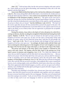$\frac{1}{33}$ , "I depend to the property of the state of the state of the state of the state of the state of the state of the state of the state of the state of the state of the state of the state of the state of the state o John 1:33, *"I did not know Him, but He who sent me to baptize with water said to me, 'Upon whom you see the Spirit descending, and remaining on Him, this is He who baptizes with the Holy Spirit.'"*

eal the<br>n those<br>pon M<br>to heal *sent Me to heal the brokenhearted, to proclaim liberty to the captives, and the opening of* baptizes with the Holy Spirit."<br>Jesus is also filled with the Holy Spirit a<br>Luke 4:1, *Then Jesus, being filled with the Hole d by the Spirit into the wilderness*. Jesus cla<br>in fulfillment of Old Testament prophecy. Is *led by the Spirit into the wilderness.* Jesus claims to be anointed by the Spirit of the Lord *has sent Me to heal the brokenhearted, to proclaim liberty to the captives and recovery of*<br>sight to the blind, to set at liberty those who are oppressed; to proclaim the acceptable<br>year of the Lord."<br>During His ministry Jesus is also filled with the Holy Spirit as He is led into the wilderness to be tempted. Luke 4:1, *Then Jesus, being filled with the Holy Spirit, returned from the Jordan and was* in fulfillment of Old Testament prophecy. Isaiah 61:1, *"The Spirit of the Lord God is upon Me, because the Lord has anointed Me to preach good tidings to the poor; He has the prison to those who are bound."* And the fulfillment: Luke 4:18-19, *"The Spirit of the Lord is upon Me, because He has anointed Me to preach the gospel to the poor; He sight to the blind, to set at liberty those who are oppressed; to proclaim the acceptable year of the Lord."*

 the reign of the Son but also the reign of the Spirit, as all share in the reign of the Father. cast out demons by the Spirit of God, surely the<br>Or how can one enter a strong man's house and<br>is the strong man? And then he will plunder his<br>ist out demons with the finger of God, surely the<br>Accordingly, the Spirit works *house."* And: Luke 11:20, *"But if I cast out demons with the finger of God, surely the* During His ministry, Jesus refers to the Spirit of God as the power by which He is casting out demons, thereby invading the stronghold of Beelzebub and freeing those held captive. Matthew 12:28-29, *"But if I cast out demons by the Spirit of God, surely the kingdom of God has come upon you. Or how can one enter a strong man's house and plunder his goods, unless he first binds the strong man? And then he will plunder his kingdom of God has come upon you."* Accordingly, the Spirit works with the Father and Son in realizing the redeeming power of the kingdom of God. God's kingdom is not only

*Then there appeared to them divided tongues, as of fire, and one sat upon each of them.*<br>And they were all filled with the Holy Spirit and began to speak with other tongues, as the<br>Spirit gave them utterance.<br>And there w *vou shall be<br>ve power w<br>erusalem, d<br>f Jesus beg<br>were all wa* in the independent<br>pels is<br>is the John t The person and ministry of the Holy Spirit in the Gospels is confirmed by His work in the early church. The baptism with the Holy Spirit is the pouring out of the Spirit's power in missions and evangelism. Acts 1:5, 8, *"For John truly baptized with water, but you shall be baptized with the Holy Spirit not many days from now. . . . But you shall receive power when the Holy Spirit has come upon you; and you shall be witnesses to Me in Jerusalem, and in all Judea and Samaria, and to the end of the earth."* This prophecy of Jesus begins on Pentecost. Acts 2:1-18, *When the Day of Pentecost had fully come, they were all with one accord in one place. And suddenly there came a sound from heaven, as of a rushing mighty wind, and it filled the whole house where they were sitting. And they were all filled with the Holy Spirit and began to speak with other tongues, as the Spirit gave them utterance.*

marveled, saying to one another, "Look, are not all these who speak Galileans? And how<br>is it that we hear, each in our own language in which we were born? Parthians and<br>55 *because everyone heard them speak in his own language. Then they were all amazed and And there were dwelling in Jerusalem Jews, devout men, from every nation under heaven. And when this sound occurred, the multitude came together, and were confused, is it that we hear, each in our own language in which we were born? Parthians and*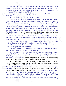from Rome, both Jews and proselytes, Cretans and<br>own tongues the wonderful works of God."<br>So they were all amazed and perplexed, s<br>this mean?"<br>Others mocking said, "They are full of ne antities, the main set of the set of the set of the set of the set of the set of the set of the set of the set of the set of the set of the set of the set of the set of the set of the set of the set of the set of the set o *Medes and Elamites, those dwelling in Mesopotamia, Judea and Cappadocia, Pontus and Asia, Phrygia and Pamphylia, Egypt and the parts of Libya adjoining Cyrene, visitors from Rome, both Jews and proselytes, Cretans and Arabs—we hear them speaking in our own tongues the wonderful works of God."*

*So they were all amazed and perplexed, saying to one another, "Whatever could this mean?"*

*Others mocking said, "They are full of new wine."*

rho dwe<br>runk, a<br>en by t<br>! pour *Judea and all who dwell in Jerusalem, let this be known to you, and heed my words. For* being exalted to the right hand of God, and<br>se of the Holy Spirit, He poured out this which<br>heavens, but he says himself: The Lord said to<br>Your enemies Your footstool.'" nd your da<br>l dream dre<br>'pirit in the<br>l work of C *But Peter, standing up with the eleven, raised his voice and said to them, "Men of these are not drunk, as you suppose, since it is only the third hour of the day. But this is what was spoken by the prophet Joel: 'And it shall come to pass in the last days, says God, that I will pour out of My Spirit on all flesh; your sons and your daughters shall prophesy, your young men shall see visions, your old men shall dream dreams. And on My menservants and on My maidservants I will pour out My Spirit in those days; and they shall prophesy.'"* Many of those who hear of the finished work of God in Jesus' death and resurrection repent of their sins. Acts 2:32-39, *"This Jesus God has raised up, of which we are all witnesses. Therefore being exalted to the right hand of God, and having received from the Father the promise of the Holy Spirit, He poured out this which you now see and hear."*

*"For David did not ascend into the heavens, but he says himself: The Lord said to my Lord, 'Sit at My right hand, till I make Your enemies Your footstool.'"*

*"Therefore let all the house of Israel know assuredly that God has made this Jesus, whom you crucified, both Lord and Christ."*

id to Pe<br>e bapti *Now when they heard this, they were cut to the heart, and said to Peter and the rest of the apostles, "Men and brethren, what shall we do?"*

*t for the rei<br>mise is to y<br>God will ca*<br>ome witnes<br>eaching abo *Then Peter said to them, "Repent, and let every one of you be baptized in the name of Jesus Christ for the remission of sins; and you shall receive the gift of the Holy Spirit. 39 For the promise is to you and to your children, and to all who are afar off, as many as the Lord our God will call."* In this act of repentance, they received the gift of the Holy Spirit and become witnesses of God's grace through the Holy Spirit.

one fo<br>other th *of activities, but it is the same God who works all in all. But the manifestation of the Spirit* Jesus is Lord. 1 Corinthians 12:3, *Therefore I make known to you that no one speaking by*<br>*the Spirit of God calls Jesus accursed, and no one can say that Jesus is Lord except by the*<br>*Holy Spirit*. Through the same Spiri ensure its richness and unity. 1 Corinthians 12:4-27, *There are diversities of gifts, but the* Paul's teaching about the Holy Spirit harmonizes with the accounts of the Spirit's activity in the gospels and Acts. According to Paul, it is by the Holy Spirit one confesses *the Spirit of God calls Jesus accursed, and no one can say that Jesus is Lord except by the Holy Spirit.* Through the same Spirit varieties of gifts are given to the body of Christ to *same Spirit. There are differences of ministries, but the same Lord. And there are diversities is given to each one for the profit of all: for to one is given the word of wisdom through the Spirit, to another the word of knowledge through the same Spirit, to another faith by*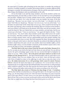$S$ *the same Spirit, to another gifts of healings by the same Spirit, to another the working of miracles, to another prophecy, to another discerning of spirits, to another different kinds of tongues, to another the interpretation of tongues. But one and the same Spirit works all these things, distributing to each one individually as He wills.*

*Becal*<br>f the ed<br>t of the<br>ere hea *should say, "Because I am not a hand, I am not of the body," is it therefore not of the* of tongues, to another the interpretation of tor<br>these things, distributing to each one individ<br>For as the body is one and has many<br>body, being many, are one body, so also is Cl<br>into one body—whether Jews or Greeks, whe *body, being many, are one body, so also is Christ. For by one Spirit we were all baptized* the body which we think to be less honorable, on<br>ir unpresentable parts have greater modesty, but<br>ut God composed the body, having given greater<br>here should be no schism in the body, but that the<br>in the canother. And if on *honor to that part which lacks it, that there should be no schism in the body, but that the* w God has<br>vere all on<br>s, yet one b<br>he head to<br>ly which se *For as the body is one and has many members, but all the members of that one into one body—whether Jews or Greeks, whether slaves or free—and have all been made to drink into one Spirit. For in fact the body is not one member but many. If the foot body? And if the ear should say, "Because I am not an eye, I am not of the body," is it therefore not of the body? If the whole body were an eye, where would be the hearing? If the whole were hearing, where would be the smelling? But now God has set the members, each one of them, in the body just as He pleased. And if they were all one member, where would the body be? But now indeed there are many members, yet one body. And the eye cannot say to the hand, "I have no need of you;" nor again the head to the feet, "I have no need of you." No, much rather, those members of the body which seem to be weaker are necessary. And those members of the body which we think to be less honorable, on these we bestow greater honor; and our unpresentable parts have greater modesty, but our presentable parts have no need. But God composed the body, having given greater members should have the same care for one another. And if one member suffers, all the members suffer with it; or if one member is honored, all the members rejoice with it. Now you are the body of Christ, and members individually.*

should pray for as we ought, but the Spirit Himself makes intercession for us with groanings<br>which cannot be uttered. Now He who searches the hearts knows what the mind of the<br>Spirit is, because He makes intercession for t *glory.* Whom we cry out, Abba, Father. He is the person who bears witness to us that we are children of God. Romans 8:16-17, *The Spirit himself testifies with our spirit that we are God's children. Now if we are children* the Fat<br>s of Go<br>the Sp The Holy Spirit is the way to Jesus Christ the Son and to the Father. Romans 8:14- 15, *For as many as are led by the Spirit of God, these are sons of God. For you did not receive the spirit of bondage again to fear, but you received the Spirit of adoption by whom we cry out, "Abba, Father."* He is the person who bears witness to us that we are children of God. Romans 8:16-17, *The Spirit himself testifies with our spirit that we are God's children. Now if we are children, then we are heirs—heirs of God and co-heirs with Christ, if indeed we share in his sufferings in order that we may also share in his* 8:26-27, *Likewise the Spirit also helps in our weaknesses. For we do not know what we which cannot be uttered. Now He who searches the hearts knows what the mind of the Spirit is, because He makes intercession for the saints according to the will of God.*

man w<br>. Now v<br>might The Holy Spirit also reveals to Christians the deep things of God. 1 Corinthians 2:10-12, *But God has revealed them to us through His Spirit. For the Spirit searches all things, yes, the deep things of God. For what man knows the things of a man except the spirit of the man which is in him? Even so no one knows the things of God except the Spirit of God. Now we have received, not the spirit of the world, but the Spirit who is from God, that we might know the things that have been freely given to us by God.*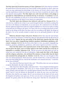read, you may understand my knowledge in the<br>was not made known to the sons of men, as it ha<br>holy apostles and prophets. The Holy Spirit act<br>guarantee by which believers are sealed for the<br>Now He who establishes us with yo guarantee by which believers are sealed for the day of salvation. 2 Corinthians 1:21-22,  $\frac{1}{2}$  it also reve The Holy Spirit also reveals the mystery of Christ. Ephesians 3:3-5, *How that by revelation He made known to me the mystery (as I have briefly written already, by which, when you read, you may understand my knowledge in the mystery of Christ), which in other ages was not made known to the sons of men, as it has now been revealed by the Spirit to His holy apostles and prophets.* The Holy Spirit acts with God and Christ as the pledge or *Now He who establishes us with you in Christ and has anointed us is God, who also has sealed us and given us the Spirit in our hearts as a guarantee.*

The Holy Spirit also influences how believers walk and live. Romans 8:3-6, *For* what the law could not do in that it was weak through the flesh, God did by sending His own Son in the likeness of sinful flesh, on account o The Holy Spirit also influences how believers walk and live. Romans 8:3-6, *For* ho do not wi<br>ding to the<br>the Spirit,<br>ually mind *what the law could not do in that it was weak through the flesh, God did by sending His own Son in the likeness of sinful flesh, on account of sin: He condemned sin in the flesh, to the flesh but according to the Spirit. For those who live according to the flesh set their minds on the things of the flesh, but those who live according to the Spirit, the things of the Spirit. For to be carnally minded is death, but to be spiritually minded is life and peace.*

Free: Romans 15:13, Now may the God of hope<br>that you may abound in hope by the power of<br>ity of the flesh Paul contrasts the fruit of the<br>dness, goodness, faithfulness, gentleness, self-<br>of the Spirit is love, joy, peace, l Believers abound in hope with power. Romans 15:13, *Now may the God of hope fill you with all joy and peace in believing, that you may abound in hope by the power of the Holy Spirit.* Against the lust and enmity of the flesh Paul contrasts the fruit of the Spirit: love, joy, peace, longsuffering, kindness, goodness, faithfulness, gentleness, selfcontrol. Galatians 5:22-23, *But the fruit of the Spirit is love, joy, peace, longsuffering, kindness, goodness, faithfulness, gentleness, self-control. Against such there is no law.*

ous authori<br>d the unfor<br>*on-possess<br>n spoke ana*<br>D*avid?*" amily,<br>the Sc<br>*Holy S<sub>l</sub>*<br>is clear Since the Holy Spirit is the expressed power of the triune family, it is imperative one not grieve the Spirit, since no further appeal to the Father and the Son on the day of redemption is available. Ephesians 4:30, *And do not grieve the Holy Spirit of God, by whom you were sealed for the day of redemption.* Jesus made this clear in His dispute with the religious authorities, who attributed His ministry to Satan rather than the Spirit and committed the unforgivable sin. Matthew 12:22-32, *Then one was brought to Him who was demon-possessed, blind and mute; and He healed him, so that the blind and mute man both spoke and saw. And all the multitudes were amazed and said, "Could this be the Son of David?"*

*Now when the Pharisees heard it they said, "This fellow does not cast out demons except by Beelzebub, the ruler of the demons."*

God ha<br>ds, uni<br> *Therefore they shall be your judges. But if I cast out demons by the Spirit of God, surely* except by Beelzebub, the ruler of the demons."<br>"But Jesus knew their thoughts, and said to<br>itself is brought to desolation, and every city of<br>stand. If Satan casts out Satan, he is divided againstand? And if I cast out dem *stand. If Satan casts out Satan, he is divided against himself. How then will his kingdom "But Jesus knew their thoughts, and said to them: "Every kingdom divided against itself is brought to desolation, and every city or house divided against itself will not stand? And if I cast out demons by Beelzebub, by whom do your sons cast them out? the kingdom of God has come upon you. Or how can one enter a strong man's house and plunder his goods, unless he first binds the strong man? And then he will plunder his*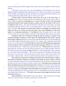$\frac{1}{2}$  who is not *house. He who is not with Me is against Me, and he who does not gather with Me scatters abroad."*

"Therefore I say to you, every sin and<br>blasphemy against the Spirit will not be forgiv<br>the Son of Man, it will be forgiven him; but wh<br>not be forgiven him, either in this age or in th<br>In Paul's letters Christian liberty st *not be forgiven him, either in this age or in the age to come." "Therefore I say to you, every sin and blasphemy will be forgiven men, but the blasphemy against the Spirit will not be forgiven men. Anyone who speaks a word against the Son of Man, it will be forgiven him; but whoever speaks against the Holy Spirit, it will*

 $\frac{1}{3}$  a p<br>into th<br> $\frac{3:18}{4}$ , into h *liberty.* This is a process of beholding as in a mirror the glory of the Lord, and being *transformed into his likeness with ever-increasing glory, which comes from the Lord,*<br>who is the Spirit. The personal work of the Holy Spirit is accordingly one with that of the<br>Father and the Son, so Paul can relate the In Paul's letters Christian liberty stems from the work of the Holy Spirit: 2 Corinthians 3:17, *Now the Lord is the Spirit; and where the Spirit of the Lord is, there is* transformed into the same image from glory to glory, just as by the Spirit of the Lord. 2 Corinthians 3:18, *And we, who with unveiled faces all reflect the Lord's glory, are being who is the Spirit.* The personal work of the Holy Spirit is accordingly one with that of the Father and the Son, so Paul can relate the grace, love, and communion of the triune family in a trinitarian benediction: 2 Corinthians 13:14, *The grace of the Lord Jesus Christ, and the love of God, and the communion of the Holy Spirit be with you all. Amen.*

prews<br>*made*<br>Holy S<sub>l</sub><br>will ma *as the Holy Spirit says: "Today, if you will hear His voice."* Hebrews 9:8, *The Holy Spirit* nt writings the Spirit's ministry is evident in the<br>
a shows the relationship of God, Christ, and the<br> *h* more shall the blood of Christ, who through the<br>
spot to God, cleanse your conscience from dead<br>
y Spirit's work in *eternal Spirit offered Himself without spot to God, cleanse your conscience from dead* Among the other New Testament writings the Spirit's ministry is evident in the profound teaching of Hebrews, which shows the relationship of God, Christ, and the eternal Spirit. Hebrews 9:14, *How much more shall the blood of Christ, who through the works to serve the living God?* The Holy Spirit's work in the Old Testament in preparation for the coming of Christ is explained in this and other passages. Hebrews 3:7, *Therefore, indicating this, that the way into the Holiest of All was not yet made manifest while the first tabernacle was still standing.* Hebrews 10:15-17, *But the Holy Spirit also witnesses to us; for after He had said before, "This is the covenant that I will make with them after those days, says the Lord: I will put My laws into their hearts, and in their minds I will write them," then He adds, "Their sins and their lawless deeds I will remember no more."*

 charismatic power, i.e. Ifte by breathing into his nostrils the breath of life. Genesis 2:7, *And the Lord God formed*<br>man of the dust of the ground, and breathed into his nostrils the breath of life; and man<br>became a living being. The Spirit str *"My Spirit shall not strive with man forever, for he is indeed flesh; yet his days shall be* says the L<br>
" then He a<br>
leads us to<br>
y in the Ne<br>
rth was with This leads us to consider the working of the Spirit in the Old Testament in light of His ministry in the New Testament. The Spirit is the energy of God in creation. Genesis 1:2, *The earth was without form, and void; and darkness was on the face of the deep. And the Spirit of God was hovering over the face of the waters.* God endows man with personal *man of the dust of the ground, and breathed into his nostrils the breath of life; and man became a living being.* The Spirit strives with fallen man. Genesis 6:3, *And the Lord said, one hundred and twenty years."* The Spirit comes upon certain judges and warriors with

 $\lim_{n \to \infty}$ Joshua, Numbers 27:18, *And the Lord said to Moses: "Take Joshua the son of Nun with you, a man in whom is the Spirit, and lay your hand on him."*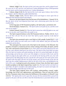$\frac{1}{2}$ , Judges 3: Othniel, Judges 3:10, *The Spirit of the Lord came upon him, and he judged Israel. He went out to war, and the Lord delivered Cushan-Rishathaim king of Mesopotamia into his hand; and his hand prevailed over Cushan-Rishathaim.*

into his hand; and his hand prevailed over Cush<br>Gideon, Judges 6:34, But the Spirit of the<br>the trumpet, and the Abiezrites gathered behind<br>Samson, Judges 13:25, And the Spirit of<br>Mahaneh Dan between Zorah and Eshtaol. Gideon, Judges 6:34, *But the Spirit of the Lord came upon Gideon; then he blew the trumpet, and the Abiezrites gathered behind him.*

 Samson, Judges 13:25, *And the Spirit of the Lord began to move upon him at Mahaneh Dan between Zorah and Eshtaol.*

of the<br>
ug span<br>
clared, *But the Spirit of the Lord departed from Saul, and a distressing spirit from the Lord* However, the Spirit departs from Saul because of his disobedience. 1 Samuel 16:14, *troubled him.*

In the long span of Old Testament prophecy, the Spirit plays a prominent role:

*was on my tongue."*

David declared, 2 Samuel 23:2, "The Spirit of the Lord spoke by me, and His word<br>a my tongue."<br>Ezekiel claimed, Ezekiel 2:2, Then the Spirit entered me when He spoke to me, and<br>on my feet; and I heard Him who spoke to me.<br> Ezekiel claimed, Ezekiel 2:2, *Then the Spirit entered me when He spoke to me, and set me on my feet; and I heard Him who spoke to me.*

The Spirit inspired holiness in the Old Testament believer. Psalms 143:10, *Teach me to do Your will, for You are my God; Your Spirit is good. Lead me in the land of uprightness.*

Your Spirit is good. Lead me in the land of<br>ew heart to God's people, Ezekiel 36:27, I will<br>to walk in My statutes, and you will keep My The Spirit also promised to give a new heart to God's people, Ezekiel 36:27, *I will put My Spirit within you and cause you to walk in My statutes, and you will keep My judgments and do them.*

Used by His *Matsi.* EGOKing forward to the finitially of sesas Ciffst, the Hory Spirit catascal<br>Isaiah to prophesy as the Spirit inspired him. Isaiah 11:2, *The Spirit of the Lord shall rest*<br>upon Him, the Spirit of wisdo and of the<br>e by the sig<br>He shall ji<br>e the earth<br>wicked. Ri ther, th<br>*th a Ro<br>e Lord<br>l and r*  prophecy of Isaiah is a trinitarian preview of the working of the Father, the Spirit, and the This anticipates the crucial work of the Spirit in the ministry of the Messiah. One Son, who is the branch of Jesse Isaiah 11:1-5, *There shall come forth a Rod from the stem of Jesse, and a Branch shall grow out of his roots. The Spirit of the Lord shall rest upon Him, the Spirit of wisdom and understanding, the Spirit of counsel and might, the Spirit of knowledge and of the fear of the Lord. His delight is in the fear of the Lord, and He shall not judge by the sight of His eyes, nor decide by the hearing of His ears; but with righteousness He shall judge the poor, and decide with equity for the meek of the earth; He shall strike the earth with the rod of His mouth, and with the breath of His lips He shall slay the wicked. Righteousness shall be the belt of His loins, and faithfulness the belt of His waist.* Looking forward to the ministry of Jesus Christ, the Holy Spirit caused *upon Him, the Spirit of wisdom and understanding, the Spirit of counsel and might, the Spirit of knowledge and of the fear of the Lord.*

pirit of<br>or; He<br> the New Testament where Jesus claims the fulfillment of this prophecy in Himself. Luke The Holy Spirit inspired Jesus with wisdom, understanding, counsel, might, knowledge, fear of the Lord, righteousness, and faithfulness. Thus we come full cycle to 4:18-19, *"The Spirit of the Lord is upon Me, because He has anointed Me to preach the gospel to the poor; He has sent Me to heal the brokenhearted, to proclaim liberty to the*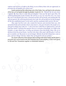and recover *captives and recovery of sight to the blind, to set at liberty those who are oppressed; to proclaim the acceptable year of the Lord."*

 *till He has established justice in the earth; and the coastlands shall wait for His law."* Isaiah summarized the redeeming work<br>of the lost, as God spoke through the prophet<br>*I uphold, My Elect One in whom My soul de<br>will bring forth justice to the Gentiles. He wil*<br>*His voice to be heard in the street. A bruise will bring forth justice to the Gentiles. He will not cry out, nor raise His voice, nor cause* Isaiah summarized the redeeming work of the Father, Son, and Spirit in the salvation of the lost, as God spoke through the prophet: Isaiah 42:1-9, *"Behold! My Servant whom I uphold, My Elect One in whom My soul delights! I have put My Spirit upon Him; He His voice to be heard in the street. A bruised reed He will not break, and smoking flax He will not quench; He will bring forth justice for truth. He will not fail nor be discouraged,*

stablis<br>says G<br>the ea<br>those u in righted<br>the people<br>he prison,<br>me; and M *Thus says God the Lord, who created the heavens and stretched them out, who spread forth the earth and that which comes from it, who gives breath to the people on it, and spirit to those who walk on it: "I, the Lord, have called You in righteousness, and will hold Your hand; I will keep You and give You as a covenant to the people, as a light to the Gentiles, to open blind eyes, to bring out prisoners from the prison, those who sit in darkness from the prison house. I am the Lord, that is My name; and My glory I will not give to another, nor My praise to carved images. Behold, the former things have come to pass, and new things I declare; before they spring forth I tell you of them."*

they spring forth I tell you of them."<br>te interworking of the triune family and the Spirit's<br>estament than in this prophecy. It ties God's grace<br>a remarkable harmony. No clearer reflection of the intimate interworking of the triune family and the Spirit's powerful role can be found in the Old Testament than in this prophecy. It ties God's grace in Old and New Testaments together in remarkable harmony.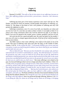# **Chapter 12 Suffering**

**Suffering Suffering Suffering Suffering Suffering SCS-4 NIV, "Not only so, but we a know that suffering produces perseverance; polynope."**  *know that suffering produces perseverance; perseverance, character; and character,* Romans 5:3-4 NIV, *"Not only so, but we also rejoice in our sufferings, because we hope."*

Suffering has been part of the human experience since man's fall into sin. The s, one-third of which are laments, include graphic descriptions of suffering, e.g., s 22. The theme of the Book of Job is the problem of suffer Psalms, one-third of which are laments, include graphic descriptions of suffering, e.g., Psalms 22. The theme of the Book of Job is the problem of suffering and why God permits the righteous to suffer.

surrering a<br>haracter, o<br>can make u<br>ur pain. It Suffering is sometimes a test. It's a test of our faith, our character, our values and our love for God. It's a test that can make us bitter or better. It can make us bitter if we jump to the wrong conclusions about why God has allowed our pain. It can make us better if our eyes are opened to the wonder, power, wisdom, goodness, and love of God.

bodly man. He came out better for his trouble. I<br>bn not only of Job but of the God he learned to<br>fering is the result of evil action or sin in the<br>man after the <u>FALL</u> in the Garden of Eden. Job went into the fire a good and godly man. He came out better for his trouble. I pray you will come to a deeper appreciation not only of Job but of the God he learned to trust as never before.

-*conception; in pain you shall bring forth children; your desire shall be for your husband,* The Bible makes it clear some suffering is the result of evil action or sin in the world. This type of suffering came upon man after the FALL in the Garden of Eden. Genesis. 3:16-19, *To the woman He said: "I will greatly multiply your sorrow and your and he shall rule over you."*

 $\sum_{i=1}^{n} H$  *He su*  things that He suffered. Hebrews 5:8, *Though He was a Son, yet He learned obedience by*  $V$ ; 5:10, In this you greatly rejoice, though now for grieved by various trials, that the genuineness of than gold that perishes, though it is tested by figure and glory at the revelation of Jesus Christ.... But me His e *your sake*<br>shall bring<br>pu shall eat<br>re, and to d<br>ard-looking *Then to Adam He said, "Because you have heeded the voice of your wife, and have eaten from the tree of which I commanded you, saying, 'You shall not eat of it:' Cursed is the ground for your sake; in toil you shall eat of it all the days of your life. Both thorns and thistles it shall bring forth for you, and you shall eat the herb of the field. In the sweat of your face you shall eat bread till you return to the ground, for out of it you were taken; for dust you are, and to dust you shall return."* But some suffering is not related to the past. It is forward-looking in that it serves to shape and refine God's children. 1 Peter 1:6- 7; 5:10, *In this you greatly rejoice, though now for a little while, if need be, you have been grieved by various trials, that the genuineness of your faith, being much more precious than gold that perishes, though it is tested by fire, may be found to praise, honor, and glory at the revelation of Jesus Christ. . . . But may the God of all grace, who called us to His eternal glory by Christ Jesus, after you have suffered a while, perfect, establish, strengthen, and settle you.* The Book of Hebrews declares Jesus learned obedience by the *the things which He suffered.* Jesus was perfected through suffering. Hebrews 2:10, *For it was fitting for Him, for whom are all things and by whom are all things, in bringing*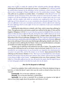<sup>-</sup> Chris<br>icted, i<br>ferings<br>n. *sufferings of Christ abound in us, so our consolation also abounds through Christ. Now* be exalted above measure by the abundance<br>given to me, a messenger of Satan to buffet n<br>who suffer are in a position to comfort other<br>and Father of our Lord Jesus Christ, the Fat.<br>comforts us in all our tribulation, that w *and Father of our Lord Jesus Christ, the Father of mercies and God of all comfort, who*  $\frac{1}{5}$  to glory, *many sons to glory, to make the captain of their salvation perfect through sufferings.* Suffering has the potential of showing God's power. 2 Corinthians 12:7, *And lest I should be exalted above measure by the abundance of the revelations, a thorn in the flesh was given to me, a messenger of Satan to buffet me, lest I be exalted above measure.* Those who suffer are in a position to comfort others. 2 Corinthians 1:3-6, *Blessed be the God comforts us in all our tribulation, that we may be able to comfort those who are in any trouble, with the comfort with which we ourselves are comforted by God. For as the if we are afflicted, it is for your consolation and salvation, which is effective for enduring the same sufferings which we also suffer. Or if we are comforted, it is for your consolation and salvation.*

hrist, however, is another matter. Paul speaks of the<br>nilippians 3:10, *That I may know Him and the power*<br>lis sufferings, *being conformed to His death*. Believers<br>e that through suffering they identify with Christ. To<br>Ma share in the suffering of Christ in the sense that through suffering they identify with Christ. To  $\frac{1}{2}$  ch is more<br>or the sake<br>the *shalf of C*<br>conflict white Suffering also helps believers to identify with Christ, which is more than suffering for Christ. Through persecution and tortures, people have suffered for the sake of Christ and His kingdom. Philippians 1:29-30, *For to you it has been granted on behalf of Christ, not only to believe in Him, but also to suffer for His sake, having the same conflict which you saw in me and now hear is in me.* To suffer with Christ, however, is another matter. Paul speaks of the fellowship of His (*Christ's*) sufferings. Philippians 3:10, *That I may know Him and the power of His resurrection, and the fellowship of His sufferings, being conformed to His death.* Believers be a disciple involves suffering like the Master. Christ as Lord and His believers as disciples are bonded even further through the experience of suffering.

as His miss<br>*d not know*<br>*ut to suffer<br>`hrist also .*<br>ing put to a buiers.<br>|: Isaial<br>*ties; th*<br>|esus a Another type of suffering is that endured for the sake of others. The prophet Isaiah portrayed the Suffering Servant as sin-bearer when he declared: Isaiah 53:5, *But He was wounded for our transgressions, he was bruised for our iniquities; the chastisement for our peace was upon Him, and by His stripes we are healed.* Jesus announced that His suffering was His mission. Matthew 17:12, *"But I say to you that Elijah has come already, and they did not know him but did to him whatever they wished. Likewise the Son of Man is also about to suffer at their hands."* Looking back to the cross, Peter explained: 1 Peter 3:18, *For Christ also suffered once for sins, the just for the unjust, that He might bring us to God, being put to death in the flesh but made alive by the Spirit.*

## **How Do We Respond to Suffering?**

How Do We Response Some of us complain: How could God d<br>bad news, or when the doctor's quiet voice sa<br>respond? bad news, or when the doctor's quiet voice says the words we dread to hear, how do we Some of us complain: How could God do this to me? When the telephone brings us respond?

**Emotionally**: Do we become saddened, or angry?

**Mentally**: Do we become detached, or philosophic?

**Illy**: Do<br> **ually**: A<br>
e been **Spiritually**: Are we hurt, or puzzled? Do we ponder our situation in the light of what we have been taught about the goodness and fairness of God?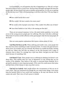people right. We have heard God wants us health<br>all this bad news now? Why is He hammering us<br>ask:<br>• How could God do this to me? robability, In all probability, we will question why this is happening to us. After all, we have been led to believe God is a God of love. We have been told again and again He treats His people right. We have heard God wants us healthy and prosperous. So why are we getting all this bad news now? Why is He hammering us with blow after blow? We may begin to ask:

- How could God do this to me?
- Why couldn't He have waited a few more years?
- $\frac{1}{2}$ <br>orld is The world is full of people worse than I. Why couldn't He afflict one of them?
- I have been faithful to God. Why is He treating me like this?

What kind of God lets terrible affliction strike good people while He lets bad people off<br>the hook?<br>Here are some popular explanations that express various points of view: e this?<br>ar questions<br>as God alle These are not unusual responses. In fact, Job asked similar questions. Let us look at two of the wrong answers people give for suffering. Why does God allow suffering? the hook?

Here are some popular explanations that express various points of view:

an who<br>ner are<br>cause (<br>l gave they must have done something to make God mad at them. A woman who gets bad news **God Must Be Down on Me.** When suffering and trouble come, some people feel about cancer, for example, may say to herself. My failures as a mother are finally catching up with me. Others may feel they are taking it on the chin because God is angry at someone close to them. Or a teenage boy or girl may think, God gave my dad a heart attack because of something I did.

attack because of something I did.<br> **God Doesn't Care.** These people react to suffering by thinking God doesn't care<br>
about them. They transfer their low view of themselves to God, feeling they are not<br>
worthy of His atten **God Doesn't Care.** These people react to suffering by thinking God doesn't care about them. They transfer their low view of themselves to God, feeling they are not giving His attention to more important people. If He cared, He would answer their pleas

 cannot rule earth. Their view of God's power is limited.giving ris attention to more important people. If the care<br>and heal them of their disease or take away their sorrow.<br>**God Isn't in Control.** Other people believe the c<br>God's reach. They are convinced even though He can co<br> God's reach. They are convinced even though He can control many things, God cannot God Isn't in Control. Other people believe the circumstances of life are out of keep the harmful effects of our world from reaching us. He may rule heaven, but He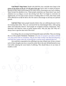Because of that, Satan can do whatever he was<br>Satan focuses his attention on us. These peopart<br>attention to us as long as we are not servin<br>aggressively, or if we start to have success in<br>some affliction to us like he did aggressively, or if we start to have success in leading others to Christ, then Satan sends l Doesn't S **God Doesn't Stop Satan.** People who hold this view conclude since Satan is the prince of the power of the air and the god of this age God is only in control of heaven. Because of that, Satan can do whatever he wants with us. Knowing we are God's children, Satan focuses his attention on us. These people sometimes say Satan doesn't pay much attention to us as long as we are not serving God. But if we begin to overcome sin some affliction to us like he did to Job. He wants to discourage us and stop our spiritual growth.

> $\begin{bmatrix} \text{sn}' & \text{r} \\ \text{them} & \text{th} \\ \text{than} & \text{th} \end{bmatrix}$ others more than they deserve. Such people are wrapped in human comparisons. They<br>determine who deserves what on purely human terms. Why me, they ask? Why do I<br>always have to get the short end of the stick? **God Isn't Fair.** Some people honestly believe they are suffering because God is not treating them fairly. They are convinced He has shortchanged them, while giving determine who deserves what on purely human terms. Why me, they ask? Why do I always have to get the short end of the stick?

akkuk 1:13, *You are of purer eyes than to behold*<br>Vhy do *You look on those who deal treacherously,*<br>devours a person more righteous than he?<br>suffering in any one of these ways. In fact, at times<br>d his mind. But in the en In so doing, they are accusing God of being both unjust and unfair. They are echoing the cry of the prophet Habakkuk: Habakkuk 1:13, *You are of purer eyes than to behold evil, and cannot look on wickedness. Why do You look on those who deal treacherously, and hold Your tongue when the wicked devours a person more righteous than he?*

 Job could have responded to his suffering in any one of these ways. In fact, at times each of these thoughts may have crossed his mind. But in the end, Job had learned to trust God while enduring the worst kinds of suffering. This should help us in our times of trouble as well.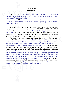# **Chapter 13 Condemnation**

**Condemna**<br>
Romans 5:16 NIV, "Again, the gift of God<br>
The judgment followed one sin and brought contrespasses and brought justification." *The judgment followed one sin and brought condemnation, but the gift followed many* Romans 5:16 NIV, *"Again, the gift of God is not like the result of the one man's sin: trespasses and brought justification."*

cause<br>leath."<br>e a per Romans 8:1-2 NIV, *"Therefore, there is now no condemnation for those who are in Christ Jesus, because through Christ Jesus the law of the Spirit of life set me free from the law of sin and death."*

ondemnation<br>and JUST<br>v your word<br>righteousn To declare a person guilty and worthy of punishment is condemnation! Condemn and condemnation are judicial terms, the opposite of JUSTIFY and JUSTIFICATION. Matthew 12:37, *"For by your words you will be justified, and by your words you will be condemned."* God alone is the judge of men; in His demand for righteousness, sin leads invariably to condemnation and death, and if continued without repentance, it will lead to self-oppression and further separation from God.

you shall not be condemned. Forgive, and you w *s has made<br>it was we<br>ful flesh, or*<br>gracious pa<br>: Luke 6:3 for sinners who repent and believe in Him. Jesus not only bore the consequences of sin,<br>but also condemned (*destroyed*) sin itself so believers are released from its power. Romans<br>8:1-3, *There is therefore now no condemn* m God.<br>demn the world but to save it by bearing, on the<br>"For God did not send His Son into the world<br>through Him might be saved. He who believes<br>not believe is condemned already, because he The mission of Jesus was not to condemn the world but to save it by bearing, on the cross, the sins of the people. John 3:17-18, *"For God did not send His Son into the world to condemn the world, but that the world through Him might be saved. He who believes in Him is not condemned; but he who does not believe is condemned already, because he has not believed in the name of the only begotten Son of God."* There is no condemnation for sinners who repent and believe in Him. Jesus not only bore the consequences of sin, but also condemned (*destroyed*) sin itself so believers are released from its power. Romans 8:1-3, *There is therefore now no condemnation to those who are in Christ Jesus, who do in Christ Jesus has made me free from the law of sin and death. For what the law could not do in that it was weak through the flesh, God did by sending His own Son in the likeness of sinful flesh, on account of sin: He condemned sin in the flesh. Since they have* experienced a gracious pardon, believers are directed to practice forgiveness and to avoid vindictiveness: Luke 6:37, *"Judge not, and you shall not be judged. Condemn not, and you shall not be condemned. Forgive, and you will be forgiven."*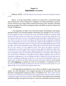### **Chapter 14 Imputation (Accusation)**

**Emputation**<br>Philemon 18 NIV, "If he has done you<br>to me." Philemon 18 NIV, *"If he has done you any wrong or owes you anything, charge it to me."*

> ne else<br>ul says<br><u>:count</u>.<br>mputat Impute - to lay the responsibility or blame for an often false or unjustified charge upon someone else. Thusly, Imputation is charging or reckoning something to a person's account. Paul says any wrong or debt caused by the runaway slave, Onesimus, should be put on my account. Three distinct theological truths in the Bible are directly related to the concept of imputation:

*Christ.*) *T*<br>*condemna*<br>*sulting in j*<br>*rs, so also*<br>original site one o<br>s resul<br>e, muc<br>ll reign spread to all men, because all sinned. (For until the law sin was in the world, but sin is<br>not imputed when there is no law. Nevertheless death reigned from Adam to Moses, even<br>over those who had not sinned according to th *who is a type of Him who was to come. But the free gift is not like the offense. For if by the* the guilt of Adam's sin to all other members of the human race: Romans 5:12-19, *Therefore*, the guilt of Adam's sin to all other members of the human race: Romans 5:12-19, *Therefore*, 1. The Imputation of Adam's Sin to His Descendants. Paul declares God imputes *just as through one man sin entered the world, and death through sin, and thus death spread to all men, because all sinned. (For until the law sin was in the world, but sin is not imputed when there is no law. Nevertheless death reigned from Adam to Moses, even over those who had not sinned according to the likeness of the transgression of Adam, one Man, Jesus Christ, abounded to many. And the gift is not like that which came through the one who sinned. For the judgment which came from one offense resulted in condemnation, but the free gift which came from many offenses resulted in justification. For if by the one man's offense death reigned through the one, much more those who receive abundance of grace and of the gift of righteousness will reign in life through the One, Jesus Christ.) Therefore, as through one man's offense judgment came to all men, resulting in condemnation, even so through one Man's righteous act the free gift came to all men, resulting in justification of life. For as by one man's disobedience many were made sinners, so also by one Man's obedience many will be made righteous.* This concept, also called original sin, is touched on as well in 1st Corinthians. 1 Corinthians 15:21-22, *For since by man came death, by Man also came the resurrection of the dead. For as in Adam all die, even so in Christ all shall be made alive.*

 $\frac{u}{u}$  as the vector  $\frac{u}{u}$  *in Christ reconciling the world to Himself, not imputing their trespasses to them, and has* For since by man came death, by Man also contract Adam all die, even so in Christ all shall be moved.<br>2. The Imputation of the Believer's Sin Adam's sin, each individual is also charged 2. The Imputation of the Believer's Sin to Christ. In addition to guilt imputed from Adam's sin, each individual is also charged with guilt for his personal sin. This Paul describes as imputing their trespasses to them. 2 Corinthians 5:19, *That is, that God was committed to us the word of reconciliation.* The Lord Jesus, whose supernatural conception and birth freed Him from guilt from Adam's sin and who committed no personal sin, had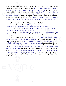sin for us, that we might become the righteousness of God in Him. Therefore, Jesus bore<br>our sins in His own body on the tree. 1 Peter 2:24, Who Himself bore our sins in His own<br>body on the tree, that we, having died to sin *stripes you were healed.* This is made perfectly clear in the Book of Isaiah, where the d against I no sin counted against Him. But when He died as our substitute, God made Him who knew no sin to be sin for us. 2 Corinthians 5:21, *For He made Him who knew no sin to be sin for us, that we might become the righteousness of God in Him.* Therefore, Jesus bore our sins in His own body on the tree. 1 Peter 2:24, *Who Himself bore our sins in His own body on the tree, that we, having died to sins, might live for righteousness—by whose turned, every one, to his own way; and the Lord has laid on Him the iniquity of us all.*

3. The Imputation of Christ's Righteousness to the Believer:

putation<br>inthiar<br>od--an 1 Corinthians 1:30, *But of Him you are in Christ Jesus, who became for us wisdom from God--and righteousness and sanctification and redemption.*

demption.<br>n to be sin f<br>wn righteou 2 Corinthians 5:21, *For He made Him who knew no sin to be sin for us, that we might become the righteousness of God in Him.*

 Philippians 3:9, *And be found in Him, not having my own righteousness, which is from the law, but that* which is through faith in Christ, the righteousness which is from God by faith.

because Jesus has imputed His righteousness and holiness to us through His sacrificial death on the Cross. *n who*<br>before<br>*o prese*<br>nd in 4:24, *But also for us. It shall be imputed to us who believe in Him who raised up Jesus* Exacts 3:14, But you denied the Holy One and<br>ted to you. Jesus fulfilled His perfect obedience<br>only man's disobedience many were made sinners,<br>the made righteous. These qualities are imputed Jesus became the Holy and Just One. Acts 3:14, *But you denied the Holy One and the Just, and asked for a murderer to be granted to you.* Jesus fulfilled His perfect obedience to God's Law. Romans 5:19, *For as by one man's disobedience many were made sinners, so also by one Man's obedience many will be made righteous.* These qualities are imputed in turn to us who believe in Him who raised up Jesus our Lord from the dead. Romans *our Lord from the dead.* Because of this the believer will appear before God faultless. Jude 24, *Now to Him who is able to keep you from stumbling, and to present you faultless before the presence of His glory with exceeding joy.* We can stand in God's presence death on the Cross.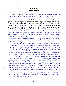### **Chapter 15 Punishment**

**Punish**<br>2 Peter 2:9 NIV, "*The Lord knows how*<br>the unrighteous for the day of judgment, whi *the unrighteous for the day of judgment, while continuing their punishment.* 2 Peter 2:9 NIV, *"The Lord knows how to rescue godly men from trials and to hold*

> the prombution<br>24, Eye<br>only a of for foot.<br>"If men co<br>and he do<br>"with his s Punishment of sin is one of the basic truths of the Old Testament. Mosaic Law spelled out the proper punishments for each crime. The punishments generally took the form of retribution, eye for eye and other punishment in kind being the most memorable. Exodus 21:24, *Eye for eye, tooth for tooth, hand for hand, foot for foot.* Retribution such as this was only a small part of the ideas of compensation and restitution of value emphasized under the Old Testament law. Exodus 21:18-36, *"If men contend with each other, and one strikes the other with a stone or with his fist, and he does not die but is confined to his bed, if he rises again and walks about outside with his staff, then he who struck him shall be acquitted. He shall only pay for the loss of his time, and shall provide for him to be thoroughly healed.*

The servant with a rod, so that he dies under his<br>withstanding, if he remains alive a day or two, he<br>perty.<br>with child, so that she gives birth prematurely, yet *And if a man beats his male or female servant with a rod, so that he dies under his hand, he shall surely be punished. Notwithstanding, if he remains alive a day or two, he shall not be punished; for he is his property.*

rm foll<br>ot for f<br>is male<br>And ij *If men fight, and hurt a woman with child, so that she gives birth prematurely, yet no harm follows, he shall surely be punished accordingly as the woman's husband imposes on him; and he shall pay as the judges determine. But if any harm follows, then you shall give life for life, eye for eye, tooth for tooth, hand for hand, foot for foot, burn for burn, wound for wound, stripe for stripe. If a man strikes the eye of his male or female servant, and destroys it, he shall let him go free for the sake of his eye. And if he knocks out the tooth of his male or female servant, he shall let him go free for the sake of his tooth.*

owner also shall be put to death. If there is imposed or<br>pay to redeem his life, whatever is imposed or<br>a daughter, according to this judgment it shall<br>female servant, he shall give to their master<br>stoned. male or fe<br>
ox gores a<br>
all not be ea<br>
ith its horn<br>
confined so *If an ox gores a man or a woman to death, then the ox shall surely be stoned, and its flesh shall not be eaten; but the owner of the ox shall be acquitted. But if the ox tended to thrust with its horn in times past, and it has been made known to his owner, and he has not kept it confined, so that it has killed a man or a woman, the ox shall be stoned and its owner also shall be put to death. If there is imposed on him a sum of money, then he shall pay to redeem his life, whatever is imposed on him. Whether it has gored a son or gored a daughter, according to this judgment it shall be done to him. If the ox gores a male or female servant, he shall give to their master thirty shekels of silver, and the ox shall be stoned.*

s in ii,<br>e dead<br>L *a donkey falls in it, the owner of the pit shall make it good; he shall give money to their And if a man opens a pit, or if a man digs a pit and does not cover it, and an ox or owner, but the dead animal shall be his.*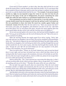the ox tended to thrust in time past, and its owner<br>pay ox for ox, and the dead animal shall be his o<br>another in a fight, he was required to repay the<br>because of the injury. In the case of disfigurer<br>might also suffer the because of the injury. In the case of disfigurement, the person committing the crime  $\frac{1}{2}$  and  $\frac{1}{2}$  and  $\frac{1}{2}$  and  $\frac{1}{2}$  and  $\frac{1}{2}$  and  $\frac{1}{2}$  and  $\frac{1}{2}$  and  $\frac{1}{2}$  and  $\frac{1}{2}$  and  $\frac{1}{2}$  and  $\frac{1}{2}$  and  $\frac{1}{2}$  and  $\frac{1}{2}$  and  $\frac{1}{2}$  and  $\frac{1}{2}$  and  $\frac{1}{2}$  a *If one man's ox hurts another's, so that it dies, then they shall sell the live ox and divide the money from it; and the dead ox they shall also divide. Or if it was known that the ox tended to thrust in time past, and its owner has not kept it confined, he shall surely pay ox for ox, and the dead animal shall be his own."* For example, if one person injured another in a fight, he was required to repay the victim for any time lost from his job might also suffer the same violence as a punishment handed down by the court.

extend<br>hment<br>lesis 19<br>*ur sons*  concept should extend from the temporal world into the spiritual world. God meted out *Son-in-law, your sons, your daughters, and whomever you have in the city—take them out of this place! For we will destroy this place, because the outcry against them has grown great before the face of the Lord, and the* Since punishment was tied so closely to crime and sin, it was only natural that this His own punishment to those who broke His moral law, notably against Sodom and Gomorrah. Genesis 19:12-29, *Then the men said to Lot, "Have you anyone else here? out of this place! For we will destroy this place, because the outcry against them has grown great before the face of the Lord, and the Lord has sent us to destroy it."*

*So Lot went out and spoke to his sons-in-law, who had married his daughters, and said, "Get up, get out of this place; for the Lord will destroy this city!" But to his sons-inlaw he seemed to be joking.*

 *said, "Escape for your life! Do not look behind you nor stay anywhere in the plain.* gels urged Lot to hurry, saying, "Arise, take<br>
there, lest you be consumed in the punishment<br>
took hold of his hand, his wife's hand, and the<br>
merciful to him, and they brought him out and *When the morning dawned, the angels urged Lot to hurry, saying, "Arise, take your wife and your two daughters who are here, lest you be consumed in the punishment of the city." And while he lingered, the men took hold of his hand, his wife's hand, and the hands of his two daughters, the Lord being merciful to him, and they brought him out and set him outside the city. So it came to pass, when they had brought them outside, that he Escape to the mountains, lest you be destroyed."*

' but I cann<br>ity is near (<br>le one?) an<br>said to him<br>row this ci nywhe<br>our se<br>ou hav *Then Lot said to them, "Please, no, my lords! Indeed now, your servant has found favor in your sight, and you have increased your mercy which you have shown me by saving my life; but I cannot escape to the mountains, lest some evil overtake me and I die. See now, this city is near enough to flee to, and it is a little one; please let me escape there (is it not a little one?) and my soul shall live."*

*And he said to him, "See, I have favored you concerning this thing also, in that I will not overthrow this city for which you have spoken. Hurry, escape there. For I cannot do anything until you arrive there." Therefore the name of the city was called Zoar.*

able that the sun had risen upon the earth when L<br>The sun had risen upon the earth when L<br>brimstone and fire on Sodom and Gomorrah, fre<br>overthrew those cities, all the plain, all the inhabi<br>ground. But his wife looked back *ground. But his wife looked back behind him, and she became a pillar of salt. The sun had risen upon the earth when Lot entered Zoar. Then the Lord rained brimstone and fire on Sodom and Gomorrah, from the Lord out of the heavens. So He overthrew those cities, all the plain, all the inhabitants of the cities, and what grew on the*

and he saw, and behold, the smoke of the land which went up like the smoke of a furnace. *Lord. Then he looked toward Sodom and Gomorrah, and toward all the land of the plain; And Abraham went early in the morning to the place where he had stood before the*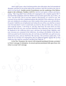imbere<br>'aleb th<br>he vici<br>be vici *who were numbered, according to your entire number, from twenty years old and above.* which Lot had dwelt. Another period of pun<br>people in the wilderness. Numbers 14:26-35<br>saying, "How long shall I bear with this evil<br>have heard the complaints which the children<br>I live,' says the Lord, 'just as you have spo *have heard the complaints which the children of Israel make against Me. Say to them, 'As*  $\frac{1}{2}$ <br>it came to  $\frac{1}{2}$ *v My rejection. I the Lord have spoken this; I will*<br>on who are gathered together against Me. In this<br>d there they shall die.'"<br>ern with temporal punishment became secondary<br>eternal spiritual punishment falls upon those w *i* the land<br>erness. And<br>unt of you<br>o the numb *And it came to pass, when God destroyed the cities of the plain, that God remembered Abraham, and sent Lot out of the midst of the overthrow, when He overthrew the cities in which Lot had dwelt.* Another period of punishment was the wandering of the Hebrew people in the wilderness. Numbers 14:26-35, *And the Lord spoke to Moses and Aaron, saying, "How long shall I bear with this evil congregation who complain against Me? I I live,' says the Lord, 'just as you have spoken in My hearing, so I will do to you: The carcasses of you who have complained against Me shall fall in this wilderness, all of you Except for Caleb the son of Jephunneh and Joshua the son of Nun, you shall by no means enter the land which I swore I would make you dwell in. But your little ones, whom you said would be victims, I will bring in, and they shall know the land which you have despised. But as for you, your carcasses shall fall in this wilderness. And your sons shall be shepherds in the wilderness forty years, and bear the brunt of your infidelity, until your carcasses are consumed in the wilderness. According to the number of the days in which you spied out the land, forty days, for each day you shall bear your guilt one year, namely forty years, and you shall know My rejection. I the Lord have spoken this; I will surely do so to all this evil congregation who are gathered together against Me. In this wilderness they shall be consumed, and there they shall die.'"*

 In the New Testament, the concern with temporal punishment became secondary to Christ's message of redemption. An eternal spiritual punishment falls upon those who refuse to accept God's message.

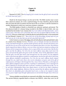### **Chapter 16 Death**

**Death**<br>Romans 6:23 NIV, "For the wages of sin i.<br>in Christ Jesus our Lord." Romans 6:23 NIV, "For *the wages of sin is death, but the gift of God is eternal life in Christ Jesus our Lord."*

than a physical creature, he is also a spiritual being. For man, therefore, physical death<br>does not mean the end of existence but the end of life as we know it and the transition to<br>another dimension in which our conscious Death for the human being is not the end of life. The Bible teaches man is more does not mean the end of existence but the end of life as we know it and the transition to another dimension in which our conscious existence continues.

piritual, and<br>that of Al<br>n*Abel his b*<br>inst Abel hi The Bible speaks of death in a threefold way: physical, spiritual, and eternal. The first physical death of a human being recorded in the Bible is that of Abel, who was murdered by his brother Cain. Genesis 4:8, *Now Cain talked with Abel his brother; and it came to pass, when they were in the field, that Cain rose up against Abel his brother and killed him.* However, death itself, in both the physical and spiritual sense, is first mentioned *shall not eat, for in the day that you eat of it you shall surely die."*

man's offense judgment came to all men, resulting<br>Man's righteous act the free gift came to all men,<br>by one man's disobedience many were made sin<br>many will be made righteous. Moreover the law<br>But where sin abounded, grace not like th<br>om one offe<br>resulted i<br>ne, much n<br>will reion i death reigned from Adam to Moses, even over those who had not sinned according to the<br>likeness of the transgression of Adam, who is a type of Him who was to come. But the free<br>gift is not like the offense. For if by the on by God Himself. Genesis 2:17, *"But of the tree of the knowledge of good and evil you*<br>shall not eat, for in the day that you eat of it you shall surely die."<br>In the Genesis account of the <u>FALL</u> into sin both physical and In the Genesis account of the FALL into sin both physical and spiritual death come as a result of sin. Romans 5:12-21, *Therefore, just as through one man sin entered the world, and death through sin, and thus death spread to all men, because all sinned. (For until the law sin was in the world, but sin is not imputed when there is no law. Nevertheless death reigned from Adam to Moses, even over those who had not sinned according to the likeness of the transgression of Adam, who is a type of Him who was to come. But the free gift is not like the offense. For if by the one man's offense many died, much more the And the gift is not like that which came through the one who sinned. For the judgment which came from one offense resulted in condemnation, but the free gift which came from many offenses resulted in justification. For if by the one man's offense death reigned through the one, much more those who receive abundance of grace and of the gift of righteousness will reign in life through the One, Jesus Christ.) Therefore, as through one man's offense judgment came to all men, resulting in condemnation, even so through one Man's righteous act the free gift came to all men, resulting in justification of life. For as by one man's disobedience many were made sinners, so also by one Man's obedience many will be made righteous. Moreover the law entered that the offense might abound. But where sin abounded, grace abounded much more, so that as sin reigned in death, even so grace might reign through righteousness to eternal life through Jesus Christ our Lord.*

titudes<br>prews 1 Various attitudes toward death are expressed in the Bible, from dread to anticipation. The ancient Hebrews regarded death as entrance into SHEOL, where they were cut off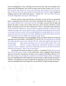can I go from Your Spirit? Or where can I<br>heaven, You are there; if I make my bed in he<br>bringing a person out of Sheol (the grave).<br>alive; He brings down to the grave and bring *alive; He brings down to the grave and brings up."* whing dear from everything dear in life, including God and loved ones. But God revealed to the psalmist that the Redeemer God is both in heaven and in Sheol. Psalms 139:7-8, *Where can I go from Your Spirit? Or where can I flee from Your presence? If I ascend into heaven, You are there; if I make my bed in hell, behold, You are there.* God is capable of bringing a person out of Sheol (the grave). 1 Samuel 2:6, *"The Lord kills and makes*

arated<br>
and fa<br>
truth; i<br>
yone v dead, or separated from God who is the Source of spiritual life. Romans 3:23, *For all* things. Everyone who has not been redeemed by Christ is spiritually dead. Ephesians 2:1-3, And you He made alive, who were dead in trespasses and sins, in which you once walked according to the course of this world, accord Because all have sinned and fall short of the glory of God, all men are spiritually *have sinned and fall short of the glory of God.* Sin makes a person hate the light and despise the truth; it causes one to break God's laws and to become insensitive to holy 2:1-3, *And you He made alive, who were dead in trespasses and sins, in which you once walked according to the course of this world, according to the prince of the power of the air, the spirit who now works in the sons of disobedience, among whom also we all once conducted ourselves in the lusts of our flesh, fulfilling the desires of the flesh and of the mind, and were by nature children of wrath, just as the others.*

 *immoral, sorcerers, idolaters, and all liars shall have their part in the lake which burns* by the set of the others.<br>
And death, which is an eternal death, the everlasting<br>
ion 2:11; 20:14; 21:8, "He who has an ear, let him<br>
hes. He who overcomes shall not be hurt by the<br>
Hades were cast into the lake of fire. *hear what the Spirit says to the churches. He who overcomes shall not be hurt by the* The Bible also speaks of the second death, which is an eternal death, the everlasting separation from God in HELL. Revelation 2:11; 20:14; 21:8, *"He who has an ear, let him second death.". . . Then Death and Hades were cast into the lake of fire. This is the second death. . . . "But the cowardly, unbelieving, abominable, murderers, sexually with fire and brimstone, which is the second death."*

nd eternal.<br>*e those wh*<br>bolished de<br>:10, But ha<br>oolished de rt *in the*<br>ans 15:<br>mquere The apostle Paul speaks of death as an enemy: 1 Corinthians 15:26, *The last enemy that will be destroyed is death.* In His resurrection, Jesus conquered death: physical, spiritual, and eternal. Through fear of death, men are subject to bondage. Hebrews 2:15, *And release those who through fear of death were all their lifetime subject to bondage.* Jesus has abolished death and brought life and immortality to light through the gospel. 2 Timothy 1:10, But has now been revealed by the appearing of our Savior Jesus Christ, who has abolished death and brought life and immortality to light through the gospel.

73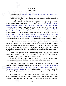### **Chapter 17 The Dead**

Ephesians 2:1 NIV, *"As for you, you were dead in your transgressions and sins."*

The Dead<br>Ephesians 2:1 NIV, "As for you, you were dead in your transgressions and sins."<br>The Bible speaks of two types of death: physical and spiritual. Those outside of Christ are alive physically, but they are spiritually dead.

ated m<br>oweve<br>*tered th*<br>*ned*. Th to guard the way to the tree of life. When the<br>Then man sins, he is separated from God and he<br>lead in sins: yes, in trespasses and sins, which<br>actual, sins of heart and of life. Sin is the death ettern spred<br>i, he died, let<br>i 5:5, *So all*<br>owever, with ellowship. God created man to live forever, both physically and spiritually. By man's disobedience, however, death became his fate. Romans 5:12, *Therefore, just as through one man sin entered the world, and death through sin, and thus death spread to all men, because all sinned.* The day Adam partook of the forbidden tree, he died, he did not die physically but lived on and reached the age of 930 years. Genesis 5:5, *So all the days that Adam lived were nine hundred and thirty years; and he died.* However, with that act of disobedience he died spiritually and was separated from God's fellowship. Genesis 3:24, *So He drove out the man; and He placed cherubim at the east of the garden of Eden, and a flaming sword which turned every way, to guard the way to the tree of life.* When the breath leaves the body, the body is dead. When man sins, he is separated from God and he becomes dead spiritually.

Deing destitute of the principles, and powers of spiritual life; and of course, cut off<br>God, the fountain of life. They are dead in law, as a condemned sinner is said to be<br>man.<br>The Bible also speaks of eternal, or everlas All those who are in their sins, are dead in sins: yes, in trespasses and sins, which may signify all sorts of sins, habitual and actual, sins of heart and of life. Sin is the death of the soul. Wherever sin prevails there is a void of all spiritual life. Sinners are dead in state, being destitute of the principles, and powers of spiritual life; and of course, cut off from God, the fountain of life. They are dead in law, as a condemned sinner is said to be a dead man.

n forever in<br>
<u>nd death</u>, as<br>
one may fi<br>
tive points unbelief remain forever in spiritual death— eternal separation from God— which Scripture calls the second death, as explained in the previous chapter.

Perhaps one may find it strange that death applies to the living. However, there are certain suggestive points of similarity between natural and spiritual death:

1. The dead have all the organs of sense, but<br>the idols of the heathen, so are the dead: Psalms 1<br>not speak; eyes they have, but they do not see; the<br>they have, but they do not smell. So the spiritually<br>the things of God; 1. The dead have all the organs of sense, but no sensibility. As the psalmist said of the idols of the heathen, so are the dead: Psalms 115:5-6, *They have mouths, but they do not speak; eyes they have, but they do not see; they have ears, but they do not hear; noses they have, but they do not smell.* So the spiritually dead have no susceptibility in regard to the things of God; they see not the beauties of holiness, they do not see God or Christ.

<u>add have</u><br>ve all the<br>t they 2. The dead have all the machinery of motion, but the machine is at rest. So the spiritual dead have all the natural faculties of life—judgment, memory, imagination, feeling conscience—but they are unable to renew themselves into spiritual life. The inability is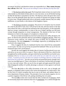Let the set of the set of the set of the set of the set of the set of the set of the set of the set of the set of the set of the set of the set of the set of the set of the set of the set of the set of the set of the set o not natural, but moral, and therefore sinners are responsible for it. **They cannot, because they will not.** John 5:40, *"But you are not willing to come to Me that you may have life."*

 indifferent, or even hostile, to the interest of the kingdom of grace. 3. The dead are cold to the touch. The l<br>same manner as a fire retains its heat, and, in a<br>out like the fuel that is consumed in our fires<br>them. So are the spiritually dead, they have n out like the fuel that is consumed in our fires. The dead are cold as the grave that covers 3. The dead are cold to the touch. The living body retains its heat very much in the same manner as a fire retains its heat, and, in a very true sense, we are all literally burning them. So are the spiritually dead, they have no warmth of Christian love going out either to God or man. Though intellectually alive to all purely worldly interests, they are coldly

or ever<br>
<u>e dead</u><br>
y the sl for a time by the skill of man, but it will prevail in the end, and man returns to the dust<br>from whence he came, as the spirit has returned to the God who gave it. So the spiritually<br>dead are corrupt, constitutionally, in 4. The dead go onward to corruption. The process of corruption may be arrested from whence he came, as the spirit has returned to the God who gave it. So the spiritually dead are corrupt, constitutionally, in virtue of the sin of Adam, and they are still more corrupt through temptation to actual transgression. The absence of the love of God interposes no check to the progress of corruption in a human heart.

cessively by the shroud, the coffin, the hearse, the<br>are surrounded by <u>trespasses and sins</u>. These two<br>ly the cause of death, but its conditions and<br>s exceedingly expressive as embodying what is circumstances. The term **trespasses**, is exceedingly expressive as embodying what is We see our dead surrounded successively by the shroud, the coffin, the hearse, the grave. So likewise the spiritually dead are surrounded by trespasses and sins. These two expressive terms indicate, not simply the cause of death, but its conditions and involved in the original term.

 us not to pass. Yet who can say he has not passed the landmark? Who can say he has not First, it suggests the idea of a landmark fixed by God, which He has commanded trespassed upon God's sacred places?

ed by terrib<br>3:10, For a<br>*law, to do i*<br>nscribed up ? Who<br>od has<br>of his Second, the word suggests the further idea of a barrier God has placed in our way, and told us we are not to force it or pass it. There is the barrier of his Law, which he has strengthened by terrible penalties, and upon which he has inscribed his own fearful curse. Galatians 3:10, *For as many as are of the works of the law are under the curse; for it is written, "Cursed is everyone who does not continue in all things which are written in the book of the law, to do them."* Yet who can say he has not passed this barrier, though God's curse was inscribed upon it? There is the barrier of conscience God has built up strongly in every man and woman. Who can say he has not again and again passed this barrier, often bringing the artillery of worldly advantage or pleasure to bear against it and break it down?

 every department of human conduct. The principle of sin is not merely negative, for it is often bringing the artillery of worldly advanta<br>it down?<br>The term sin points to the sinful mov<br>purpose, as trespasses seem to point to the val<br>are the fruit of a moral corruption that has it purpose, as trespasses seem to point to the various developments of a sinful nature. Sins The term **sin** points to the sinful movements of the soul—sins of thought and are the fruit of a moral corruption that has its seat in the heart, and radiates thence to a positive negation of the Divine will, putting something else in its place.

gation<br>rm **sins**<br>ly muc The term **sins** would, more exactly than the other, include sins of omission, which are necessarily much more numerous than sins of commission. It is a solemn thought that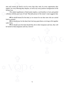men are de men and women are dead in sin by every duty they omit, by every opportunity they neglect, by every blessing they despise, as well as by every positive transgression of the Divine Law.

Divine Law.<br>The radical significance of both terms importlision with the pure Law of God. This dark position with the pure Law of God. This dark position The radical significance of both terms implies a real hostility to God, and painful collision with the pure Law of God. This dark picture of the sinner's state suggests that:

 We should mourn for the dead, as we mourn for our dear ones who are carried forth to torment.

 We should pray for the dead, that God may grant them a reviving to life together with Christ.

• We should pray for the dead, that God<br>with Christ.<br>• We should warn the dead should they<br>be buried in their trespasses and sins, forever! We should warn the dead should they die in their trespasses and sins, they will

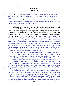### **Chapter 18 Obedience**

**Obedition Channel Channel Channel Channel Channel Channel Channel Channel Channel Channel Channel Channel Channel Channel Channel Channel Channel Channel Channel Channel Channel Channel Channel Channel Channel Channel Cha**  *covenant, then you shall be a special treasure to Me above all people; for all the earth is* Exodus 19:5 NIV, *Now therefore, if you will indeed obey My voice and keep My Mine.*

> offerings and sacrifices, as in obeying the voice of the Lord? Behold, to obey is better than sacrifice, and to heed than the fat of rams."<br>Obedience is carrying out the word and will of another person, especially the will 1 Samuel 15:22 NIV, *So Samuel said: "Has the Lord as great delight in burnt than sacrifice, and to heed than the fat of rams."*

ind the<br>Blessed<br>o be de *and the increase of your herds, the increase of your cattle and the offspring of your* my 28:1-14, "Now it shall come to pass, if you<br><u>r God</u>, to observe carefully all His commandments<br>ord your God will set you high above all nations of<br>**I come upon you and overtake you**, because you<br>blessed shall you be in *the earth. And all these blessings shall come upon you and overtake you, because you* r person, es<br>ey is relate<br>erson hear:<br>pey God res Obedience is carrying out the word and will of another person, especially the will of God. In both the Old and New Testaments the word obey is related to the idea of hearing. Obedience is a positive, active response to what a person hears. God summons people to active obedience to His revelation. Man's failure to obey God results in judgment. In the Old Testament covenant between God and man, obedience was the basis for knowing God's blessing and favor. Deuteronomy 28:1-14, *"Now it shall come to pass, if you diligently obey the voice of the Lord your God, to observe carefully all His commandments which I command you today, that the Lord your God will set you high above all nations of obey the voice of the Lord your God: blessed shall you be in the city, and blessed shall you be in the country. Blessed shall be the fruit of your body, the produce of your ground flocks. Blessed shall be your basket and your kneading bowl. Blessed shall you be when you come in, and blessed shall you be when you go out.*

shall come<br>and the ble<br>He will ble<br>Lord will e<br>keep the co *The Lord will cause your enemies who rise against you to be defeated before your face; they shall come out against you one way and flee before you seven ways. The Lord will command the blessing on you in your storehouses and in all to which you set your hand, and He will bless you in the land which the Lord your God is giving you.*

peoples of the earlier shall see that you are call<br>be afraid of you. And the Lord will grant you p<br>the increase of your livestock, and in the produ<br>Lord swore to your fathers to give you.<br>The Lord will open to you His good *The Lord will establish you as a holy people to Himself, just as He has sworn to you, if you keep the commandments of the Lord your God and walk in His ways. Then all peoples of the earth shall see that you are called by the name of the Lord, and they shall be afraid of you. And the Lord will grant you plenty of goods, in the fruit of your body, in the increase of your livestock, and in the produce of your ground, in the land of which the Lord swore to your fathers to give you.*

rected<br>y, and i<br>nand y<br>he wor *but you shall not borrow. And the Lord will make you the head and not the tail; you shall The Lord will open to you His good treasure, the heavens, to give the rain to your land in its season, and to bless all the work of your hand. You shall lend to many nations, be above only, and not be beneath, if you heed the commandments of the Lord your God, which I command you today, and are careful to observe them. So you shall not turn aside from any of the words which I command you this day, to the right or the left, to go after*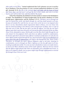gift. Jeremiah 31:33, *But this is the covenant the after those days, says the Lord: I will put My limearts; and I will be their God, and they shall b* In the New Testament, the obedience of Ch of Adam. The disobedience of serve then *other gods to serve them."* Samuel emphasized that God's pleasure was not in sacrifice but in obedience. Even the promise of a new covenant emphasized obedience as God's gift. Jeremiah 31:33, *But this is the covenant that I will make with the house of Israel after those days, says the Lord: I will put My law in their minds, and write it on their hearts; and I will be their God, and they shall be My people.*

d the *v*<br>ned. (F<br>Never<br>accora *man sin entered the world, and death through sin, and thus death spread to all men,* In the New Testament, the obedience of Christ stands in contrast to the disobedience reover<br>pundea<br>ghteou.<br> *so also by one Man's obedience many will be made righteous. Moreover the law entered* enses resulted in justification. For if by the one<br>the, much more those <u>who receive abundance of</u><br>I reign in life through the One, Jesus Christ.)<br>se judgment came to all men, resulting in<br>'s righteous act the free gift ca  $\int$  Adam, wh<br>For if by the grace of<br>th came this of Adam. The disobedience of Adam brought death, but the perfect obedience of Christ brought grace, righteousness, and life. Romans 5:12-21, *Therefore, just as through one because all sinned. (For until the law sin was in the world, but sin is not imputed when there is no law. Nevertheless death reigned from Adam to Moses, even over those who had not sinned according to the likeness of the transgression of Adam, who is a type of Him who was to come. But the free gift is not like the offense. For if by the one man's offense many died, much more the grace of God and the gift by the grace of the one Man, Jesus Christ, abounded to many. And the gift is not like that which came through the one who sinned. For the judgment which came from one offense resulted in condemnation, but the free gift which came from many offenses resulted in justification. For if by the one man's offense death reigned through the one, much more those who receive abundance of grace and of the gift of righteousness will reign in life through the One, Jesus Christ.) Therefore, as through one man's offense judgment came to all men, resulting in condemnation, even so through one Man's righteous act the free gift came to all men, resulting in justification of life. For as by one man's disobedience many were made sinners, that the offense might abound. But where sin abounded, grace abounded much more, so that as sin reigned in death, even so grace might reign through righteousness to eternal life through Jesus Christ our Lord.*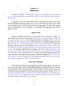### **Chapter 19 Atonement**

Atone<br>
Leviticus 17:11 NIV, For the life of a<br>
to you to make atonement for yourselves on th<br>
for one's life. *to you to make atonement for yourselves on the altar; it is the blood that makes atonement* Leviticus 17:11 NIV, *For the life of a creature is in the blood, and I have given it for one's life.*

> ement i<br>mself a<br>great tr<br>prgiven <u>ent</u>. Through<br>f <u>at-one-me</u> Atonement is the act by which God restores a relationship of harmony and unity between Himself and human beings. The word can be broken into three parts which express this great truth in simple but profound terms: a-tone-ment. Through God's atoning grace and forgiveness, we are reinstated to a relationship of at-one-ment with God, in spite of our sin.

#### **Human Need**

holy wratl<br>*ies we wer*<br>*n reconcile* His sight, but all things are naked and open to the eyes of Him to whom we must give<br>account. We all stand condemned by sin. Romans 3:19, Now we know that whatever the<br>law says, it says to those who are under the law, that In the personal sin, no person is worthy of a<br>stes 7:20, For there is not a just man on earth who<br>estament reference is: Romans 3:23, For all have<br>We are helpless to correct this situation. Proverbs<br>heart clean, I am pure *sinned and fall short of the glory of God.* We are helpless to correct this situation. Proverbs Because of Adam's sin and our own personal sin, no person is worthy of a relationship with a Holy God. Ecclesiastes 7:20, *For there is not a just man on earth who does good and does not sin.* A New Testament reference is: Romans 3:23, *For all have* 20:9, *Who can say, "I have made my heart clean, I am pure from my sin?"* We can do nothing to hide our sins from God. Hebrews 4:13, *And there is no creature hidden from His sight, but all things are naked and open to the eyes of Him to whom we must give account.* We all stand condemned by sin. Romans 3:19, *Now we know that whatever the law says, it says to those who are under the law, that every mouth may be stopped, and all* nature (His holy wrath against sin) that makes us enemies. Romans 5:10, *For if when we were enemies we were reconciled to God through the death of His Son, much more, having been reconciled, we shall be saved by His life.*

#### **God's Gift: Atonement**

 *the guilt of the son. The righteousness of the righteous shall be upon himself, and the* God's gracious response to the helples<br>Israel, was to give them a means of <u>RECONCI</u><br>Law. This came in the sacrificial system wh<br>accepted by God as a substitute for the death t God's gracious response to the helplessness of His chosen people, the nation of Israel, was to give them a means of RECONCILIATION through Old Testament covenant Law. This came in the sacrificial system where the death, or blood of the animal was accepted by God as a substitute for the death that the sinner deserved: Ezekiel 18:20, *The soul who sins shall die. The son shall not bear the guilt of the father, nor the father bear wickedness of the wicked shall be upon himself.*

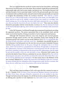ou. Fo<br>ay be d<br>sonally<br>he burn *dwells among you. For on that day the priest shall make atonement for you, to cleanse* make people right with God in some simple, mechanical way. The hostility between God<br>and man because of sin is a personal matter. God for His part personally gave the means<br>of atonement in the sacrificial system, men and w to recognize the seriousness of their sin. Leviticus 16:29-30, *"This shall be a statute* w required The Law required that the sacrificial victims must be free from defect, and buying them always involved some cost to the sinner. But an animal's death did not automatically make people right with God in some simple, mechanical way. The hostility between God and man because of sin is a personal matter. God for His part personally gave the means of atonement in the sacrificial system, men and women for their part personally are expected *souls, and do no work at all, whether a native of your own country or a stranger who you, that you may be clean from all your sins before the Lord."* They must also identify themselves personally with the victim that dies. Leviticus 1:4, *Then he shall put his hand for him.*

on the head of the burnt offering, and it will be accepted on his behalf to make atonement<br>for him.<br>In the Old Testament, God Himself brought about atonement by graciously providing<br>the appointed sacrifices. The priests re In the Old Testament, God Himself brought about atonement by graciously providing the appointed sacrifices. The priests represented Him in the atonement ritual, and the sinner received the benefits of being reconciled to God in forgiveness and harmony.

*served in the death of Jesus Christ as a substitute for our sins. Hebrews 9:12, Not with the blood of goats and calves, but with His own blood He entered the Most Holy Place once for all, having obtained eternal redemptio a faith,<br>wer the<br>ousnes*<br>ver, Go *Jesus, whom God set forth as a propitiation by His blood, through faith, to demonstrate* s were truly forgiven and received genuine<br>New Testament clearly states during the Old<br>rved. Hebrews 10:4, *For it is not possible that*<br>way *sins*. Atonement was possible because in<br>sins that were previously committed. Ro Although Old Testament believers were truly forgiven and received genuine atonement through animal sacrifice, the New Testament clearly states during the Old Testament period God's justice was not served. Hebrews 10:4, *For it is not possible that the blood of bulls and goats could take away sins.* Atonement was possible because in His forbearance God had passed over the sins that were previously committed. Romans 3:24-26, *Being justified freely by His grace through the redemption that is in Christ His righteousness, because in His forbearance God had passed over the sins that were previously committed, to demonstrate at the present time His righteousness, that He might be just and the justifier of the one who has faith in Jesus.* However, God's justice was served in the death of Jesus Christ as a substitute for our sins. Hebrews 9:12, *Not with the blood of goats and calves, but with His own blood He entered the Most Holy Place once for all, having obtained eternal redemption.* For this reason Jesus is the Mediator of the new covenant. Hebrews 9:15, *And for this reason He is the Mediator of the new covenant, those who are called may receive the promise of the eternal inheritance.*

#### **Our Response**

d on Je *the Man Christ Jesus, who gave Himself a ransom for all, to be testified in due time.* For all. 1 Timothy 2:5-6, *For there is one God and one Mediator between God and men,*  The Lord Jesus came according to God's will to give His life a ransom for many or Though God laid on Jesus the iniquity of us all He has loved us and given Himself for us, an offering and a sacrifice to God. Ephesians 5:2, *And walk in love, as Christ also has*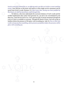*loved us and given Himself for us, an offering and a sacrifice to God for a sweet-smelling aroma.* Jesus did this so that those who believe in Him might receive atonement and be saved from (*God'*s) wrath. Romans 5:9, *Much more then, having now been justified by His blood, we shall be saved from wrath through Him.*

ore the<br>Pyou<br>xceedii<br>xceedii faultless before the presence of His glory with exceeding joy. Jude 24, *Now to Him who* saved from (*God's*) wrath. Romans 5:9, *Mud*<br>*His blood, we shall be saved from wrath thrc*<br>No believer, who truly understands the<br>terrible hopelessness that comes from perso<br>deep love Jesus has for each of us. God's gra terrible hopelessness that comes from personal sin, can fail to be overwhelmed by the No believer, who truly understands the awesome holiness of God's wrath and the deep love Jesus has for each of us. God's gracious gift of eternal atonement through the cross of Christ is available to everyone. Through the blood of Jesus, God will accept us *is able to keep you from stumbling, and to present you faultless before the presence of His glory with exceeding joy.*

81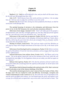### **Chapter 20 Salvation**

**Salvatio**<br>Matthew 1:21, "And *she will bring forth a*<br>*for He will save His people from their sins."*<br>John 12:47, *And if anyone hears My wor for He will save His people from their sins."* Matthew 1:21, "And *she will bring forth a Son, and you shall call His name Jesus,*

John 12:47, *And if anyone hears My words and does not believe, I do not judge him; for I did not come to judge the world but to save the world.*

Romans 5:9, *Much more then, having now been justified by His blood, we shall be*<br>from wrath through Him.<br>The spiritual meaning of salvation is the redemption and deliverance from the *saved from wrath through Him.*

The spiritual meaning of salvation is the redemption and deliverance from the power of sin. In the Old Testament, the word salvation sometimes referred to:

nd delivera<br>es referred<br>ake you to<br>shall not pr Deliverance from danger, Jeremiah 15:20, *"And I will make you to this people a fortified bronze wall; and they will fight against you, but they shall not prevail against you; for I am with you to save you and deliver you," says the Lord.*

pressor, Psalms 35:9-10, And my soul shall be<br>ulvation. All my bones shall say, "Lord, who is<br>no is too strong for him, yes, the poor and the<br>The Lord was ready to save me; therefore we Deliverance of the weak from an oppressor, Psalms 35:9-10, *And my soul shall be joyful in the Lord; it shall rejoice in His salvation. All my bones shall say, "Lord, who is like You, delivering the poor from him who is too strong for him, yes, the poor and the needy from him who plunders him?"*

Healing of sickness, Isaiah 38:20, *"The Lord was ready to save me; therefore we will sing my songs with stringed instruments all the days of our life, in the house of the Lord."*

i1:14,1<br>ongue s Deliverance from blood guilt and its consequences, Psalms 51:14, *Deliver me from the guilt of bloodshed, O God, the God of my salvation, and my tongue shall sing aloud of Your righteousness.*

National deliverance from military threat, Exodus 14:13, *And Moses said to the*<br>  $P<sub>i</sub>$ , "Do not be afraid. Stand still, and see the salvation of the Lord, which He will<br>
plish for you today. For the Egyptians whom you *people, "Do not be afraid. Stand still, and see the salvation of the Lord, which He will accomplish for you today. For the Egyptians whom you see today, you shall see again no more forever."*

Release from captivity, Psalms 14:7, *Oh, that the salvation of Israel would come out of Zion! When the Lord brings back the captivity of His people, let Jacob rejoice and Israel be glad.*

out of *Lion!* When the *Lord brings back the capti*<br>Israel be glad.<br>But salvation finds its deepest meaning in the<br>need for salvation is one of the clearest teaching.<br>The need for salvation goes back to man's i But salvation finds its deepest meaning in the spiritual realm of life. Man's universal need for salvation is one of the clearest teachings of the Bible.

ued ins<br>as fille<br>flesh he<br> violence dominated his world. Genesis 6:11-13, *The earth also was corrupt before God,* The need for salvation goes back to man's removal from the Garden of Eden. After the Fall, man's life was marked by strife and difficulty. Increasingly, corruption and *and the earth was filled with violence. So God looked upon the earth, and indeed it was corrupt; for all flesh had corrupted their way on the earth. And God said to Noah, "The*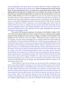he Divi<br>which<br>ich nov<br>good c *when once the Divine longsuffering waited in the days of Noah, while the ark was being* flood, He also performed the first act of salving<br>eight people became the basis of another chan<br>his family was viewed by the apostle Peter as<br>Christ. 1 Peter 3:18-22, For Christ also suffer<br>He might bring us to God, being Christ. 1 Peter 3:18-22, *For Christ also suffered once for sins, the just for the unjust, that* flesh has c *answer of a good conscience toward God), through the resurrection of Jesus Christ, who*<br>has gone into heaven and is at the right hand of God, angels and authorities and powers<br>having been made subject to Him.<br>The central *end of all flesh has come before Me, for the earth is filled with violence through them; and behold, I will destroy them with the earth.* When God destroyed the world with the flood, He also performed the first act of salvation by saving Noah and his family. These eight people became the basis of another chance for mankind. The salvation of Noah and his family was viewed by the apostle Peter as a pattern of full salvation that we receive in *He might bring us to God, being put to death in the flesh but made alive by the Spirit, by whom also He went and preached to the spirits in prison, who formerly were disobedient, prepared, in which a few, that is, eight souls, were saved through water. There is also an antitype which now saves us--baptism (not the removal of the filth of the flesh, but the has gone into heaven and is at the right hand of God, angels and authorities and powers having been made subject to Him.*

all tell you<br>en I came u<br>petween you<br>ord has bro<br>n year to y i shall<br>he seve<br>n days<br>3 you ir *fathers to give you, a land flowing with milk and honey, that you shall keep this service in* anny in Egypt to freedom in the Promised Land.<br>
E people: "Remember this day in which you went<br>
uge; for by strength of hand the Lord brought you<br>
all be eaten. On this day you are going out, in the<br>
ord brings you into th *out of this place. No leavened bread shall be eaten. On this day you are going out, in the* The central Old Testament experience of salvation is the Exodus. Exodus 12:40- 14:31 (Text not inserted). Much of Israel's worship of God was a renewal of this mighty experience that brought them from tyranny in Egypt to freedom in the Promised Land. Exodus 13:3-16, *And Moses said to the people: "Remember this day in which you went out of Egypt, out of the house of bondage; for by strength of hand the Lord brought you month Abib. And it shall be, when the Lord brings you into the land of the Canaanites and the Hittites and the Amorites and the Hivites and the Jebusites, which He swore to your this month. Seven days you shall eat unleavened bread, and on the seventh day there shall be a feast to the Lord. Unleavened bread shall be eaten seven days. And no leavened bread shall be seen among you, nor shall leaven be seen among you in all your quarters. And you shall tell your son in that day, saying, 'This is done because of what the Lord did for me when I came up from Egypt.' It shall be as a sign to you on your hand and as a memorial between your eyes, that the Lord's law may be in your mouth; for with a strong hand the Lord has brought you out of Egypt. You shall therefore keep this ordinance in its season from year to year.*

brought us out of Egypt, out of the house of bondage. And it came to pass, when Pharaoh<br>was stubborn about letting us go, that the Lord killed all the firstborn in the land of *come, saying, 'What is this?' that you shall say to him, 'By strength of hand the Lord swore to you and your fathers, and gives it to you, that you shall set apart to the Lord all that open the womb, that is, every firstborn that comes from an animal which you have; the males shall be the Lord's. But every lamb; and if you will not redeem it, then you shall break its neck. And all the firstborn of "And it shall be, when the Lord brings you into the land of the Canaanites, as He that open the womb, that is, every firstborn that comes from an animal which you have; the males shall be the Lord's. But every firstborn of a donkey you shall redeem with a man among your sons you shall redeem. So it shall be, when your son asks you in time to was stubborn about letting us go, that the Lord killed all the firstborn in the land of*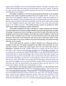*Egypt, both the firstborn of man and the firstborn of beast. Therefore I sacrifice to the Lord all males that open the womb, but all the firstborn of my sons I redeem.' It shall be as a sign on your hand and as frontlets between your eyes, for by strength of hand the Lord brought us out of Egypt."*

shall be a special treasure to Me above all people; for all<br>be to Me a kingdom of priests and a holy nation. Thes<br>speak to the children of Israel." The Exodus became<br>God's future deeds of redemption could be understood. *shall be a special treasure to Me above all people; for all the earth is Mine. And you shall* as a sign on your hand and as frontlets between your eyes, for by strength of hand the<br>*Lord brought us out of Egypt*."<br>**The mighty saving power of God was demonstrated dramatically as the Israelites**<br>formed a holy nation formed a holy nation of priestly servants of the Lord. Exodus 19:4-6, *"You have seen* The mighty saving power of God was demonstrated dramatically as the Israelites *Myself. Now therefore, if you will indeed obey My voice and keep My covenant, then you be to Me a kingdom of priests and a holy nation. These are the words which you shall speak to the children of Israel."* The Exodus became a pattern of salvation by which

out of the Promised Land at the hands of the<br>
cand will not occur until Jesus' return. To this<br>
way from the Promised Land and not knowing<br>
Judah in Babylon was a disastrous return to however,<br>ods that Isr<br>lit of the na The Exodus symbolized all Israel's salvation as a nation, however, this salvation as a nation did not last. The book of Judges identifies several periods that Israel was again in bondage. The greatest returns to bondage occurred after the split of the nation into two kingdoms: Israel, the northern kingdom, and Judah, the southern kingdom. God divorced Israel for their wickedness and cast them out of the Promised Land at the hands of the Assyrians. Their return to the Promised Land will not occur until Jesus' return. To this day Israel remains in an outcast condition away from the Promised Land and not knowing who they are as a people.

hem out of<br>hem, says t<br>those days<br>und I will b<br>neighbor, a restore<br>says th<br><u>house</u><br>that I t and better Exodus in which God would forgive their sins and restore their hearts to On the other hand, the captivity of Judah in Babylon was a disastrous return to bondage for them also. The people responded to this plight with expectations of a new faithfulness. Jeremiah 31:31-34, *"Behold, the days are coming, says the Lord, when I will make a new covenant with the house of Israel and with the house of Judah—not according to the covenant that I made with their fathers in the day that I took them by the hand to lead them out of the land of Egypt, My covenant which they broke, though I was a husband to them, says the Lord. But this is the covenant that I will make with the house of Israel after those days, says the Lord: I will put My law in their minds, and write it on their hearts; and I will be their God, and they shall be My people. No more shall every man teach his neighbor, and every man his brother, saying, 'Know the Lord,' for they all shall know Me, from the least of them to the greatest of them, says the Lord. For I will forgive their iniquity, and their sin I will remember no more."*

midst; and the nations shall know that I am the Lord," says the Lord God, "when I am<br>hallowed in you before their eyes. For I will take you <u>from among the nations</u>, gather you *name, which has been profaned among the nations, which you have profaned in their* shall know the, from the teast of them to the gre<br>forgive their iniquity, and their sin I will rememb<br>This hope for a new Exodus merged with<br>rule of God. Ezekiel 36:22-38, Therefore say to the<br>God: <u>I do not do this for yo</u> *God: I do not do this for your sake, O house of Israel, but for My holy name's sake, which* This hope for a new Exodus merged with expectation of a full realization of the rule of God. Ezekiel 36:22-38, *Therefore say to the house of Israel, "Thus says the Lord you have profaned among the nations wherever you went. And I will sanctify My great hallowed in you before their eyes. For I will take you from among the nations, gather you*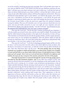*of you*<br>*ations.*<br>vou wil<br>us. <u>Not</u> *the increase of your fields, so that you need never again bear the reproach of famine* idols. I will give you a new heart and put a new stone out of your flesh and give you a heart cause you to walk in My statutes, and you will shall dwell in the land that I gave to your fat your God. I will deliver you from *shall dwell in the land that I gave to your fathers; you shall be My people, and I will be* a<br>
a a shell bo *out of all countries, and bring you into your own land. Then I will sprinkle clean water on you, and you shall be clean; I will cleanse you from all your filthiness and from all your idols. I will give you a new heart and put a new spirit within you; I will take the heart of stone out of your flesh and give you a heart of flesh. I will put My Spirit within you and cause you to walk in My statutes, and you will keep My judgments and do them. Then you your God. I will deliver you from all your uncleannesses. I will call for the grain and multiply it, and bring no famine upon you. And I will multiply the fruit of your trees and among the nations. Then you will remember your evil ways and your deeds that were not good; and you will loathe yourselves in your own sight, for your iniquities and your Be ashamed and confounded for your own ways, O house of Israel!"*

is like the garden of Eden; and the wasted, desolate,<br>d inhabited.' Then the nations which are left all<br>, have rebuilt the ruined places and planted what<br>it, and I will do it."<br>also let <u>the house of Israel</u> inquire of Me *abominations. <u>Not for your sake do I do this</u>," says the Lord God, "<u>let it be known to you.</u><br>
<u>Be ashamed and confounded for your own ways, O house of Israel!</u>"<br>
<i>Thus says the Lord God: "On the day that I cleanse you f Thus says the Lord God: "On the day that I cleanse you from all your iniquities, I will also enable you to dwell in the cities, and the ruins shall be rebuilt. The desolate land shall be tilled instead of lying desolate in the sight of all who pass by. So they will say, 'This land that was desolate has become like the garden of Eden; and the wasted, desolate, and ruined cities are now fortified and inhabited.' Then the nations which are left all around you shall know that I, the Lord, have rebuilt the ruined places and planted what was desolate. I, the Lord, have spoken it, and I will do it."*

es be j<br>ickly c<br>el. Eze<br>el and *the flock at Jerusalem on its feast days, so shall the ruined cities be filled with flocks of Thus says the Lord God: "I will also let the house of Israel inquire of Me to do this for them: I will increase their men like a flock. Like a flock offered as holy sacrifices, like men. Then they shall know that I am the Lord."* We must quickly clear up one thing. Jeremiah was a prophet to Judah and had little to say about Israel. Ezekiel was a Prophet to Israel and had little to say about Judah. Both the house of Israel and the house of Judah make up God's people. Since God was Lord and had shown Himself to be righteous and faithful, He must one day overpower His enemies and perfect the life of His people.

 $\frac{1}{\pi}$  s they<br>e set in *appearance of horses; and like swift steeds, so they run. With a noise like chariots over* day by the Ebra is colling, for a is at hand. a day by darkness and globimiess, a day by clouds and thick darkness, like the morning clouds spread over the mountains. A people come, great and strong, the like of whom has n *them a flame burns; the land is like the Garden of Eden before them, and behind them a* od's people<br>e must one<br>hope of re:<br>by the Old<br>*larm in M*y This hope of restoration is expressed through the concept of the day of the Lord as described by the Old Testament prophets. Joel 2:1-11, *Blow the trumpet in Zion, and sound an alarm in My holy mountain! Let all the inhabitants of the land tremble; for the day of the Lord is coming, for it is at hand: a day of darkness and gloominess, a day of come, great and strong, the like of whom has never been; nor will there ever be any such after them, even for many successive generations. A fire devours before them, and behind desolate wilderness; surely nothing shall escape them. Their appearance is like the mountaintops they leap, like the noise of a flaming fire that devours the stubble, like a strong people set* i*n battle array. Before them the people writhe in pain; all faces are*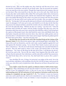uat day<br>ges; I v<br>emna<br>oes thi 9:11-15, *"On that day I will raise up the tabernacle of David, which has fallen down, and* every one marches in his own column. Though the<br>not cut down. They run to and fro in the city, the<br>houses, they enter at the windows like a thief. The<br>tremble; the sun and moon grow dark, and the s<br>gives voice before His a *tremble; the sun and moon grow dark, and the stars diminish their brightness. The Lord lor.* They if *the Lord who does this thing. "Behold, the days are coming," says the Lord, "when the plowman shall overtake the reaper, and the treader of grapes him who sows seed; the mountains shall drip with sweet wine, and all the h drained of color. They run like mighty men, they climb the wall like men of war; every one marches in formation, and they do not break ranks. They do not push one another; every one marches in his own column. Though they lunge between the weapons, they are not cut down. They run to and fro in the city, they run on the wall; they climb into the houses, they enter at the windows like a thief. The earth quakes before them, the heavens gives voice before His army, for His camp is very great; for strong is the One who executes His word. For the day of the Lord is great and very terrible; who can endure it?* Amos *repair its damages; I will raise up its ruins, and rebuild it as in the days of old; that they may possess the remnant of Edom, and all the Gentiles who are called by My name," says plowman shall overtake the reaper, and the treader of grapes him who sows seed; the mountains shall drip with sweet wine, and all the hills shall flow with it. I will bring back the captives of My people Israel; they shall build the waste cities and inhabit them; they shall plant vineyards and drink wine from them; they shall also make gardens and eat fruit from them. I will plant them in their land, and no longer shall they be pulled up from the land I have given them," says the Lord your God.*

will give You the nations for Your inheritance, and the ends of the earth for Your possession.<br>*You shall break them with a rod of iron; You shall dash them to pieces like a potter's*<br>vessel.'''<br>*Now therefore, be wise, O* ord sh<br>ess the<br>ill dect<br>You. A *Their cords from us." He who sits in the heavens shall laugh; the Lord shall hold them in* nd, and no longer shall they be pulled up from<br>d your God.<br>le of the Anointed King and the coming of the<br>us rage, and the people plot a vain thing? The<br>rulers take counsel together, against the Lord But this hope also focused on the role of the Anointed King and the coming of the Messiah. Psalm 2:1-12, *Why do the nations rage, and the people plot a vain thing? The kings of the earth set themselves, and the rulers take counsel together, against the Lord and against His Anointed, saying, "Let us break Their bonds in pieces and cast away derision. Then He shall speak to them in His wrath, and distress them in His deep displeasure: "Yet I have set My King On My holy hill of Zion. I will declare the decree: the Lord has said to Me, 'You are My Son, today I have begotten You. Ask of Me, and I will give You the nations for Your inheritance, and the ends of the earth for Your possession. You shall break them with a rod of iron; You shall dash them to pieces like a potter's vessel.'"*

*Now therefore, be wise, O kings; be instructed, you judges of the earth. Serve the in the way, when His wrath is kindled but a little. Blessed are all those who put their trust in Him.*

 $\frac{1}{x}$ ; and t<br>ver in coming of a completely new age. Isaiah 65:17- 25, *"For behold, I create new heavens* in Him.<br>
Even Judah's return from the captivity in 1<br>
Haggai 2:3, Who is left among you who saw this<br>
you see it now? In comparison with it, is this no<br>
understanding arose: the full realization of God's *you see it now? In comparison with it, is this not in your eyes as nothing?* So a new Even Judah's return from the captivity in Babylon failed to fulfill all their hopes. Haggai 2:3, *Who is left among you who saw this temple in its former glory? And how do* understanding arose: the full realization of God's purpose of salvation would involve the *and a new earth; and the former shall not be remembered or come to mind. But be glad and rejoice forever in what I create; for behold, I create Jerusalem as a rejoicing, and*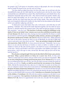$\frac{1}{2}$  a joy. I will *her people a joy. I will rejoice in Jerusalem, and joy in My people; the voice of weeping shall no longer be heard in her, nor the voice of crying."*

 *vain, nor bring forth children for trouble; for they shall be the descendants of the blessed* "Wo more shall an infant from there li'<br>not fulfilled his days; for the child shall die cone<br>nundred years old shall be accursed. The<br>shall plant vineyards and eat their fruit. The<br>shall not plant and another eat; for as t *shall plant vineyards and eat their fruit. They shall not build and another inhabit; they "No more shall an infant from there live but a few days, nor an old man who has not fulfilled his days; for the child shall die one hundred years old, but the sinner being one hundred years old shall be accursed. They shall build houses and inhabit them; they shall not plant and another eat; for as the days of a tree, so shall be the days of My people, and My elect shall long enjoy the work of their hands. They shall not labor in of the Lord, and their offspring with them."*

ng fori<br>and th<br>all con<br>vill hed eceive<br>! childi<br>who ai *children or lands, for My sake and the gospel's, who shall not receive a hundredfold now* ing His earthly ministry, salvation was brought by<br>the 19:9-10, And Jesus said to him, "Today salvation<br>so is a son of Abraham; for the Son of Man has<br>us lost." Now, our salvation is based on His death<br>esus answered and sa *come to seek and to save that which was lost."* Now, our salvation is based on His death her, the lion<br>thurt nor definition<br>to the same of the same of the same<br>if id by Hi *"It shall come to pass that before they call, I will answer; and while they are still speaking, I will hear. The wolf and the lamb shall feed together, the lion shall eat straw like the ox, and dust shall be the serpent's food. They shall not hurt nor destroy in all My holy mountain," says the Lord.* This doctrine of salvation reached its fulfillment in the death of Christ on our behalf. Jesus' mission was to save the world from sin and the wrath of God. Romans 5:9, *Much more then, having now been justified by His blood, we shall be saved from wrath through Him.* During His earthly ministry, salvation was brought by His presence and the power of faith. Luke 19:9-10, *And Jesus said to him, "Today salvation has come to this house, because he also is a son of Abraham; for the Son of Man has* and resurrection. Mark 10:29-31, *So Jesus answered and said, "Assuredly, I say to you, there is no one who has left house or brothers or sisters or father or mother or wife or in this time—houses and brothers and sisters and mothers and children and lands, with persecutions—and in the age to come, eternal life. But many who are first will be last, and the last first."*

uarant<br>7-28, A<br>S as His children. 2 Corinthians 1:22, *Who also has sealed us and given us the Spirit in our* IS:11, And do this, knowing the time, that no<br>13:11, And do this, knowing the time, that no<br>now our salvation is nearer than when we first<br>the power of Christ's resurrection. Romans 6:4,<br>baptism into death, that just as Ch *baptism into death, that just as Christ was raised from the dead by the glory of the Father,* salvation consideration is<br>a prophenderation in the proor<br>in the proor<br>ing to the j The salvation coming through Christ may be described in three tenses: past, present, and future. When a person believes in Christ, he is saved. Acts 16:31, *So they said, "Believe on the Lord Jesus Christ, and you will be saved, you and your household."* But we are also in the process of being saved from the power of sin. Romans 8:13, *For if you live according to the flesh you will die; but if by the Spirit you put to death the deeds of the body, you will live.* Finally, we shall be saved from the very presence of sin. Romans 13:11, *And do this, knowing the time, that now it is high time to awake out of sleep; for now our salvation is nearer than when we first believed.* God releases into our lives today the power of Christ's resurrection. Romans 6:4, *Therefore we were buried with Him through even so we also should walk in newness of life.* God allows us a foretaste of our future life *hearts as a guarantee.* Our experience of salvation will be complete when Christ returns. Hebrews 9:27-28, *And as it is appointed for men to die once, but after this the judgment,*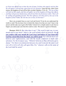returns, the kingdom of God will be fully revealed. Matthew 13:4<br> *will send out His angels, and they will gather out of His kingdom*<br> *and those who practice lawlessness, and will cast them into the full<br>
be wailing and g be wailing and gnashing of teeth. Then the righteous will shine forth as the sun in the* offered on *so Christ was offered once to bear the sins of many. To those who eagerly wait for Him He will appear a second time, apart from sin, for salvation.* Upon that day, when Christ returns, the kingdom of God will be fully revealed. Matthew 13:41-43, *"The Son of Man will send out His angels, and they will gather out of His kingdom all things that offend, and those who practice lawlessness, and will cast them into the furnace of fire. There will*

a accep<br>Do yc<br>only w<br>I to sav Have you accepted Jesus as your Lord and Savior? If not do you understand the wrath to come? Do you know how to break this chain of sin that you wear? Jesus is the answer and the only way to get to His Father's house! It is a simple matter to ask Jesus to forgive you and to save you from the wrath to come. The answer is given in Romans.

**God has raised Him from the dead, you will be saved**. For with the heart one believes unto righteousness, and with the mouth confession is made unto salvation. For the Scripture says, "Whoever believes on Him will not be *mouth and in your heart" (that is, the word of faith which we preach): that if* mouth and *in your heart" (that is, the word of faith which we preach): that* Romans 10:8-13, *But what does it say? "The word is near you, in your you confess with your mouth the Lord Jesus and believe in your heart that believes unto righteousness, and with the mouth confession is made unto salvation. For the Scripture says, "Whoever believes on Him will not be put to shame." For there is no distinction between Jew and Greek, for the same Lord over all is rich to all who call upon Him. For "whoever calls on the name of the Lord shall be saved."*

88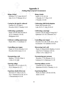### **Appendix A Finding Help In Special Circumstances**

#### **Being a friend Being a leader**

Finding Help In Spe<br>Being a friend<br>Proverbs 17:17; Luke 10:25-37<br>John 15:11-17; Romans 16:1,2 Proverbs 17:17; Luke 10:25-37 Isaiah 11:1-9; 32:1-8; John 15:11-17; Romans 16:1,2 1 Timothy 3:1-7; Titus 1:5-9

Genesis 47:1-12; Ruth 1; Psalm 100; Proverbs 22:6;

### **Celebrating a graduation**

Philippians 4:4-9

### **Celebrate wedding anniversary Controlling your temper**

### **Controlling your tongue Discovering God's will**

# Encountering a cult<br>Matthew 7:15-20; 2 Peter 2;<br>1 John 4:1-6: Jude

## Entering college<br>Proverbs 2:1-8; 3:1-18; 4:1-27;<br>23:12; Romans 8:1-17;<br>Experience death of love one<br>Ish 10:25.27; Jahr 11:25.27; **Entering college Entering military service** Proverbs 2:1-8; 3:1-18; 4:1-27; 2 Samuel 22:2-51; Psalm 91;

### **Experience death of love one Experiencing illness**

 $\frac{1}{2}$  and  $\frac{1}{2}$  14:1-7; Romans 8:31-39; 14:7-9 James 5:14-16 1 Thessalonians 4:13-18

# 2 Timothy 2:14-26

Caring for the aged & widowed<br>
Genesis 47:1-12; Ruth 1;<br>
Proverbs 23:22; 1 Timothy 5:3-8<br>
Luke 18:15-17; John 16:16-22 Luke 18:15-17; John 16:16-22<br>Celebrating a marriage **Caring for the aged & widowed Celebrating child birth/adoption**

 Psalm 119:105,106; Proverbs 9: Genesis 2:18-24; Song of Songs 8:6-7 10-12; Galatians 5:16-26; Ephesians 5:21-33; Colossians 2:6,7

**Controlling your temper<br>Proverbs 14:17,29; 15:18; 19:11; 29:22<br>Ecclesiastes 7:9; Galatians 5:16-26**  Psalm 100:1; 1 Corinthians 13 Proverbs 14:17,29; 15:18; 19:11; 29:22 Ecclesiastes 7:9; Galatians 5:16-26

**'s will**<br>h 6:6-8<br>domans<br>John 4 Psalm 12; 19:14; Proverbs 11:13 Psalm 15; Micah 6:6-8; Matthew 5:14-16 Proverbs 26:20; James 3:1-12 Luke 9:21-27; Romans 13:8-14; 2 Peter 1:3-9; 1 John 4:7-21

#### **Encountering peer pressure**

Proverbs 1:7-19; Romans 12:1-2; Galatians  $6:1-5$ ; Ephesians  $5:1-20$ 

23:12; Romans 8:1-17; Ephesians 6:10-20; 2 Timothy 2:1-13

# Job 19:25-27; John 11:25-27; Psalm 23; Mark 1:29-34; 6:53-56;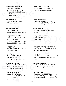# |<br>| persecution<br>| 10:153-16

Matthew 5:3-12; John 15:18; 16:4;<br>
Romans 8:18-30; 2 Corinthians<br>
4:1-15; Hebrews 12:1-11;<br>
1 Peter 4:12-19 Psalm 109; 119:153-160; 1 Kings 3; Esther 4-7; Psalm 139; Romans 8:18-30; 2 Corinthians 4:1-15; Hebrews 12:1-11; 1 Peter 4:12-19

#### **Facing a divorce Facing homelessness**

Philippians 3:1-11 Psalm 25; Matthew 19:1-9;

#### Facing imprisonment Facing life alone

Matthew 25:31-46; Luke 4:16-21 12:1-31

#### **Facing a natural disaster Facing a trial or lawsuit**

Genesis 8:1-9,17; Job 36:22-37; Psalm 26; Isaiah 50:4-11; Job 13; Psalms 29, 124; Luke 18:1-8 Psalm 36:5-9; Jeremiah 31:35-37; Romans 8:31-39; 1 Peter 1:3-12

Philippians 4:10-13 41:17-20; Romans 8:18-39

**ir time**<br>11; 28:19; N<br>34-36;<br>11-16; Titu 1 Timothy 4:11-16; Titus 3:8-14 3:20-21

#### **Overcoming addiction Overcoming a grudge**

Psalm 40:1-5, 11-17; 116:1-7<br>Proverbs 23:29-35; Ephesians 4:<br>22-24; 2 Corinthians 5:16-21<br>Overcoming prejudice 22-24; 2 Corinthians 5:16-21

### **Overcoming prejudice Overcoming pride**

Galatians 3:26-29; Ephesians 2:<br>11-22; Colossians 3:5-11; Matthew 7:1-5; Acts 10:34-36  $James 2:1-13$  1-10

#### **Suffering and persecution Facing a difficult decision**

Matthew 5:3-12; John 15:18; 16:4; Daniel 2:14-23; Colossians 3:12-17

### Psalm 90:1-2; Isaiah 65:17-25; Lamentations 3:19-24; Luke 9:57-62; Revelations 21:1-4

# $5-38; 1 \text{ } \text{Col}$ Lamentations 3:34-36; 1 Corinthians 7:25-38; 1 Corinthians

Facing a trial or lawsuit<br>Psalm 26; Isaiah 50:4-11;<br>Luke 18:1-8

### t**y or p**<br>17; Isai<br>8:18-39 **Losing your job Losing your property or possessions** Jeremiah 29:10-14; Luke 16:1-13; Job 1:13:22; 42: 7-17; Isaiah 30:19-26;

#### **Managing your time Moving into a new home**

Proverbs 12:11; 28:19; Mark Psalm 127:1-2; Proverbs 24:3-4; John 13:32-37; Luke 21:34-36; 14:1-7; Ephesians 3:14-21; Revelation

 Psalm 40:1-5, 11-17; 116:1-7 Leviticus 19:17-18; Matthew 5:23-26 Proverbs 23:29-35; Ephesians 4: Luke 6:27-36; Ephesians 4:25-32

Psalm 131; Mark 9:33-37; Luke 14:7-11 18:9-14; 22:24-27; Romans 12:14-16; 1 Corinthians 1:1831; 2 Corinthians 12:

90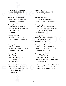

#### **Overcoming procrastination Raising children**

Overcoming procrastination<br>Matthew 22:1-14; 25:1-13<br>2 Corinthians 6:1-2<br>Respecting civil authorities 2 Corinthians 6:1-2 Colossians 3:21

### **Respecting civil authorities Respecting parents**

Titus 3:1-2; 1 Peter 2:13-17

### **Retiring from your job Seeking forgiveness**

; 1 Pete<br>**m you**<br>∴24-26 Numbers 6:24-26; Psalm 145;<br>
Matthew 25:31-46; Romans 12:1-2;<br>
Psalm 32:1-5; 51; Proverbs 28:13;<br>
Joel 2:12-17; Matthew 6:14-15; Lu<br>
Philemon; Hebrews 4:14-16;<br>
2 Peter 1:2<br>
1 John 1:5-10 Philippians 3: 12-21; Philemon; Hebrews 4:14-16; 2 Peter 1:2 1 John 1:5-10

### **Seeking God's help Seeking justice**

Psalm 119:169-176; Matthew 7: 1-7; 61:1-9; Amos 5:21-24; 7-12 Habakkuk 1:1-2:4

### **Seeking salvation Seeking strength**

 John 3:1-21; Romans 1:16-17 Psalms 46; 138; Isaiah 40:27-31 Ephesians 1:3-14; 2:1-10 2 Thessalonians 2:16-17

**Seeking truth**<br>
Psalm 119:153-160;<br>
John 14:6-14; 16:4b-15;<br>
1 Timothy 2:1-7<br>
John 8:31-47

Start a new job<br>
Proverbs 11:3; 22:29; Romans<br>
12:3-11; 1 Thessalonians 5:12-18<br>
2 Thessalonians 3:6-13;<br>
1 Peter 4:7-11 2 Thessalonians 3:6-13; 1 Peter 4:7-11

# Matthew 22:1-14; 25:1-13 Proverbs 22:6; Ephesians 6:4

 Mark 12:13-17; Romans 13:1-7 Exodus 20:12; Proverbs 23:22 Ephesians  $6:1-3$ ; Colossians  $3:20$ 

Matthew 25:31-46; Romans 12:1-2; Joel 2:12-17; Matthew 6:14-15; Luke 15;

Seeking justice<br>
Psalms 10; 17; 75; 94; Isaiah 42:<br>
1-7; 61:1-9; Amos 5:21-24;<br>
Habakkuk 1:1-2:4 Psalms 5; 57; 86; 121; 130; Psalms 10; 17; 75; 94; Isaiah 42:

Isaiah<br>: Ephes<br>2:16-1 Romans 3:21-31; 5:1-11; 10:5-13 Isaiah 51:12-16; Ephesians 6:10-20

#### **Sharing your gifts**

**Exodus 35:20-29; Malachi 3:6-12** Luke 21:1-4; Acts 2:43-47; 4:32-37 Romans 12:9-13; 1 Corinthians 16:1-4 2 Corinthians 8:1-15; 9:6-15

#### **Start a new job Understanding your relationship with God**

Proverbs 11:3; 22:29; Romans Deuteronomy 5:1-22; Psalm 139; 12:3-11; 1 Thessalonians 5:12-18 John 15:1-17; Romans 5:1-11; 8:1-17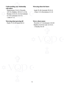## ng your rel **Understanding your relationship Worrying about the future with others**

Deuteronomy 5:16-21; Proverbs<br>
3:27-35; Matthew 18:15-17, 21-35;<br>
Romans 14:13-23; 15:1-6; Galatians<br>
6:1-10; Colossians 3:12-17;<br>
1 John 4:7-12 Deuteronomy 5:16-21; Proverbs Isaiah 35; 60; Jeremiah 29:10-14 3:27-35; Matthew 18:15-17, 21-35; 1 Peter 1:3-5; Revelations 21:1-8 Romans 14:13-23; 15:1-6; Galatians 6:1-10; Colossians 3:12-17; 1 John 4:7-12

#### **Worrying about growing old Worry about money**

Psalm 37:23-29; Isaiah 46:3-4

ŧ Proverbs 11:7; Ecclesiastes 5:10-20 Matthew 6:24-34; Luke 12:13-21; 1 Timothy 6:6-10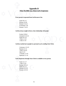# What The Bible Says Ab<br>  $\frac{What The Bible Says Ab}{W}$  Every person is separated from God **Appendix B What The Bible Says About God's Forgiveness**

**Every person is separated from God because of sin.**

Isaiah 59:1-15 Romans 3:9-20 Romans 5:12-21 Ecclesiastes 7:20 Romans 7:14-25

th people. **God has always sought to form a close relationship with people.**

Exodus 19:3b-8 Jeremiah 31:31-34 Isaiah 54:1-10 1 Peter 1:1-10 1 John 3:1-10

Expansion of the set of the set of the set of the set of the set of the set of the set of the set of the set of the set of the set of the set of the set of the set of the set of the set of the set of the set of the set of **God has reached out to people in a personal way by sending Jesus Christ.**

Colossians 1:15-23 Romans 5:1-11 1 Peter 2:10-25 John 3:1-21 2 Timothy 1:3-10 Ephesians 2:1-10

 $E_{\rm p}$ <br>Ep<br>God's for: **God's forgiveness through Jesus Christ is available to every person.**

1 John 1:5-10<br>
Romans 10:5-13<br>
Psalm 32:1-11<br>
Romans 8:31-39<br>
Romans 3:21-26 Psalm 51:1-17 1 John 1:5-10 Romans 10:5-13 Psalm 32:1-11 Romans 8:31-39 Romans 3:21-26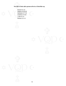# **Example 1**<br>New life in C **New life in Christ calls a person to live in a Christ-like way.**

Romans 6:1-14<br>Matthew 20:20-28<br>Ephesians 4:17-32<br>Galatians 5:16-26<br>1 John 4:7-21<br>Romans 12:1-21 Romans 6:1-14 Matthew 20:20-28 Ephesians 4:17-32 Galatians 5:16-26 1 John 4:7-21 Romans 12:1-21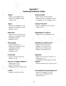### **Appendix C Experiencing Troublesome Feelings**

Experiencing Trou<br>
Afraid?<br>
Psalms 27; 91; Isaiah 41:5-13;<br>
Mark 4:35-41: Hebrews 13:5.6:

Proverbs 15:1; Matthew 5:21-24; Proverbs 15:1; Matthew 5:21-24;<br>
Romans 12:17-21; James 1:19-21<br>
Ephesians 4:26-32<br> **Depressed?**<br> **Disappointed?** Let down? Romans 12:17-21; James 1:19-21 1 Peter 1:3-5; 5:7 Ephesians 4:26-32

 Isaiah 61:1-4; Jeremiah 15:10-20 Lamentations 3:55-57; Ephesians 3:14-21

France 17.5, France 3.5-12;<br>
2 Corinthians 4:16-18;<br>
2 Philippians 4:10-13;<br>
2 Colossians 1:9-14<br>
2 Colossians 1:9-14 Psalm 34; Isaiah 12:1-6; Psalms 8; 146; Proverbs 30:5; Romans 15:13; Hebrews 6:9-12; Philippians 4:10-13; Hebrews 11; Romans 4:13-25 Colossians 1:9-14

### **Frustrated? Impatient?**

Frustrated? **Impatier**<br>
Job 21:1-16; 24:1-17; 36:1-26; Psalms 1<br>
Matthew 7:13,14 Ecclesias<br> **Insecure? Lacking confidence? Jealous?** Matthew 7:13,14 Ecclesiastes 3:1-15;

Deuteronomy 31:1-8;<br>
Psalm 73:21-26; 108;<br>
Philippians 4:10-20; 1 John 3:19-24<br> **Lonely?**<br>
Psalms 22: 42: John 14:15-31a Deuteronomy 31:1-8; Psalm 49; Proverbs 23:17; James 3:13-18 Psalm 73:21-26; 108; Philippians 4:10-20; 1 John 3:19-24

### **Afraid? Afraid of death?**

 Psalms 27; 91; Isaiah 41:5-13; Psalms 23; 63:1-8; John 6:35-40; Mark 4:35-41; Hebrews 13:5,6; Romans 8:18-39; 1 Corinthians 15:35-57; 1 John 4:13-18 2 Corinthians 5:1-10; 2 Timothy 1:8-10

### **Angry? Anxious? Worried?**

Psalm 25; Matthew 6:24-34; 10:26-31

Psalms 16; 43; 130; John 3:14-17 Psalms 55; 62:1-8; Jeremiah 20:7-18

# Doubting your faith in God? **Discouraged? Doubting your faith in God?**

Matthew 7:7-12; Luke 17:5.6;

 Job 21:1-16; 24:1-17; 36:1-26; Psalms 13; 37:1-7; 40:1-5; James 5:7-11 Lamentations 3:25-33; Hebrews 6:13-20

### **Lonely? Overwhelmed? Experiencing stress?**

Psalms 22; 42; John 14:15-31a Isaiah 55:1-9; Matthew 11:25-30; John 4:1-30; 2 Corinthians 6:3-10; Revelations 22:17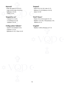#### **Rejected? Tempted?**

Luke 4:16-30; John 15:18-16:4;<br>
Ephesians 1:13-14;<br>
1 Peter 2:1-10<br> **Tempted by sex?**<br>
2 Semuel 11:1 12:25;  $\frac{1}{2}$ Ephesians 1:13-14; James 1:12-18 1 Peter 2:1-10

### **Tempted by sex? Tired? Weary?**

12-20,<br>!6<br>? **Infer**<br>emiah 1: 1 Corinthians 6:12-20; Galatians 5:16-26 Hebrews 4:1-11

### **Feeling useless? Inferior? Vengeful?**

 Galatians 1:11-24; Ephesians 4:1-16; 1 Peter 2:4-10

 Psalm 38; Isaiah 52:13-53:12; Psalm 19:12-14; 141; Luke 4:1-13; Luke 4:16-30; John 15:18-16:4; Hebrews 2:11-18; Hebrews 4:14-16;

2 Samuel 11:1-12:25; Psalms 3:5-6; 4:4-8; Isaiah 35:1-10; Matthew 11:25-30; 2 Thessalonians 3:16;

omans 12:17 **Isaiah 6:1-8; Jeremiah 1:4-10; Matthew 5:38-42; Romans 12:17-21**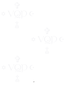